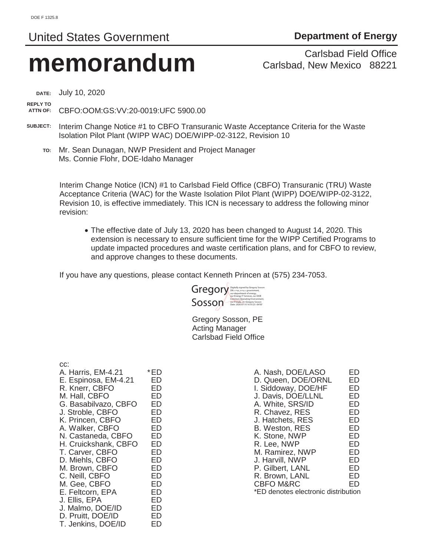# United States Government **Department of Energy**

# **memorandum** Carlsbad Field Office<br>Carlsbad, New Mexico 88221

Carlsbad, New Mexico 88221

**DATE:** July 10, 2020

**REPLY TO** 

**ATTN OF:** CBFO:OOM:GS:VV:20-0019:UFC 5900.00

- **SUBJECT:** Interim Change Notice #1 to CBFO Transuranic Waste Acceptance Criteria for the Waste Isolation Pilot Plant (WIPP WAC) DOE/WIPP-02-3122, Revision 10
	- **TO:** Mr. Sean Dunagan, NWP President and Project Manager Ms. Connie Flohr, DOE-Idaho Manager

Interim Change Notice (ICN) #1 to Carlsbad Field Office (CBFO) Transuranic (TRU) Waste Acceptance Criteria (WAC) for the Waste Isolation Pilot Plant (WIPP) DOE/WIPP-02-3122, Revision 10, is effective immediately. This ICN is necessary to address the following minor revision:

• The effective date of July 13, 2020 has been changed to August 14, 2020. This extension is necessary to ensure sufficient time for the WIPP Certified Programs to update impacted procedures and waste certification plans, and for CBFO to review, and approve changes to these documents.

If you have any questions, please contact Kenneth Princen at (575) 234-7053.



 Gregory Sosson, PE Acting Manager Carlsbad Field Office

| CC:<br>A. Harris, EM-4.21<br>E. Espinosa, EM-4.21<br>R. Knerr, CBFO<br>M. Hall, CBFO<br>G. Basabilvazo, CBFO<br>J. Stroble, CBFO<br>K. Princen, CBFO<br>A. Walker, CBFO<br>N. Castaneda, CBFO<br>H. Cruickshank, CBFO<br>T. Carver, CBFO<br>D. Miehls, CBFO<br>M. Brown, CBFO<br>C. Neill, CBFO<br>M. Gee, CBFO | *ED<br>ED<br>ED<br>ED<br>ED<br>ED<br>ED<br>ED<br>ED<br>ED<br>ED<br>ED<br>ED<br>ED<br>ED |
|-----------------------------------------------------------------------------------------------------------------------------------------------------------------------------------------------------------------------------------------------------------------------------------------------------------------|-----------------------------------------------------------------------------------------|
|                                                                                                                                                                                                                                                                                                                 |                                                                                         |
| E. Feltcorn, EPA                                                                                                                                                                                                                                                                                                | ED                                                                                      |
| J. Ellis, EPA                                                                                                                                                                                                                                                                                                   | ED                                                                                      |
| J. Malmo, DOE/ID                                                                                                                                                                                                                                                                                                | ED                                                                                      |
| D. Pruitt, DOE/ID                                                                                                                                                                                                                                                                                               | ED                                                                                      |
| T. Jenkins, DOE/ID                                                                                                                                                                                                                                                                                              | FD                                                                                      |

| A. Nash, DOE/LASO                   | FD |
|-------------------------------------|----|
| D. Queen, DOE/ORNL                  | ED |
| I. Siddoway, DOE/HF                 | ED |
| J. Davis, DOE/LLNL                  | ED |
| A. White, SRS/ID                    | ED |
| R. Chavez, RES                      | ED |
| J. Hatchets, RES                    | ED |
| <b>B. Weston, RES</b>               | ED |
| K. Stone, NWP                       | ED |
| R. Lee, NWP                         | ED |
| M. Ramirez, NWP                     | FD |
| J. Harvill, NWP                     | ED |
| P. Gilbert, LANL                    | ED |
| R. Brown, LANL                      | FD |
| <b>CBFO M&amp;RC</b>                | FD |
| *ED denotes electronic distribution |    |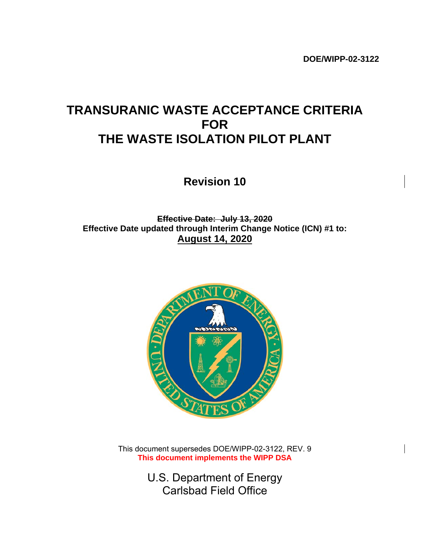# **TRANSURANIC WASTE ACCEPTANCE CRITERIA FOR THE WASTE ISOLATION PILOT PLANT**

**Revision 10**

**Effective Date: July 13, 2020 Effective Date updated through Interim Change Notice (ICN) #1 to: August 14, 2020** 



This document supersedes DOE/WIPP-02-3122, REV. 9 **This document implements the WIPP DSA** 

> U.S. Department of Energy Carlsbad Field Office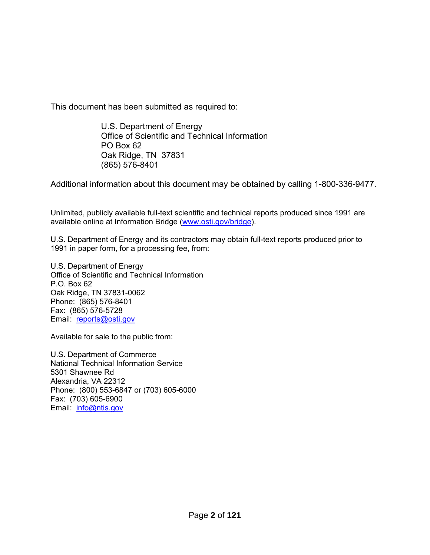This document has been submitted as required to:

U.S. Department of Energy Office of Scientific and Technical Information PO Box 62 Oak Ridge, TN 37831 (865) 576-8401

Additional information about this document may be obtained by calling 1-800-336-9477.

Unlimited, publicly available full-text scientific and technical reports produced since 1991 are available online at Information Bridge (www.osti.gov/bridge).

U.S. Department of Energy and its contractors may obtain full-text reports produced prior to 1991 in paper form, for a processing fee, from:

U.S. Department of Energy Office of Scientific and Technical Information P.O. Box 62 Oak Ridge, TN 37831-0062 Phone: (865) 576-8401 Fax: (865) 576-5728 Email: reports@osti.gov

Available for sale to the public from:

U.S. Department of Commerce National Technical Information Service 5301 Shawnee Rd Alexandria, VA 22312 Phone: (800) 553-6847 or (703) 605-6000 Fax: (703) 605-6900 Email: info@ntis.gov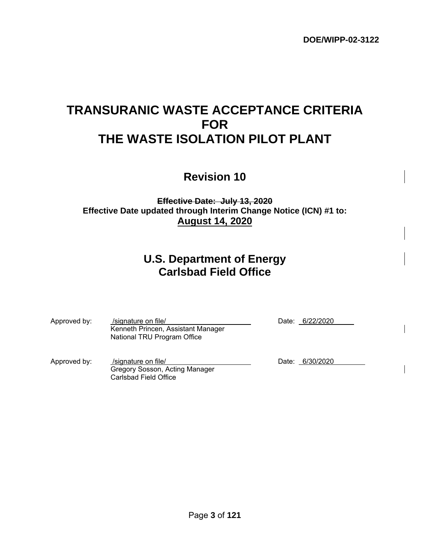# **TRANSURANIC WASTE ACCEPTANCE CRITERIA FOR THE WASTE ISOLATION PILOT PLANT**

**Revision 10**

**Effective Date: July 13, 2020 Effective Date updated through Interim Change Notice (ICN) #1 to: August 14, 2020** 

## **U.S. Department of Energy Carlsbad Field Office**

| Approved by: | /signature on file/<br>Kenneth Princen, Assistant Manager<br>National TRU Program Office | Date: 6/22/2020 |
|--------------|------------------------------------------------------------------------------------------|-----------------|
| Approved by: | /signature on file/<br>Gregory Sosson, Acting Manager<br>Carlsbad Field Office           | Date: 6/30/2020 |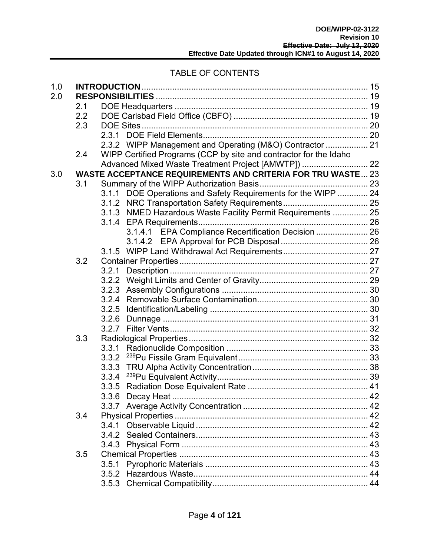#### TABLE OF CONTENTS

| 1.0 |     |       |                                                                    |  |
|-----|-----|-------|--------------------------------------------------------------------|--|
| 2.0 |     |       |                                                                    |  |
|     | 2.1 |       |                                                                    |  |
|     | 2.2 |       |                                                                    |  |
|     | 2.3 |       |                                                                    |  |
|     |     |       |                                                                    |  |
|     |     |       | 2.3.2 WIPP Management and Operating (M&O) Contractor  21           |  |
|     | 2.4 |       | WIPP Certified Programs (CCP by site and contractor for the Idaho  |  |
|     |     |       | Advanced Mixed Waste Treatment Project [AMWTP])  22                |  |
| 3.0 |     |       | <b>WASTE ACCEPTANCE REQUIREMENTS AND CRITERIA FOR TRU WASTE 23</b> |  |
|     | 3.1 |       |                                                                    |  |
|     |     |       | 3.1.1 DOE Operations and Safety Requirements for the WIPP  24      |  |
|     |     |       |                                                                    |  |
|     |     |       | 3.1.3 NMED Hazardous Waste Facility Permit Requirements  25        |  |
|     |     |       |                                                                    |  |
|     |     |       | 3.1.4.1 EPA Compliance Recertification Decision  26                |  |
|     |     |       |                                                                    |  |
|     |     |       |                                                                    |  |
|     | 3.2 |       |                                                                    |  |
|     |     | 3.2.1 |                                                                    |  |
|     |     |       |                                                                    |  |
|     |     |       |                                                                    |  |
|     |     |       |                                                                    |  |
|     |     |       |                                                                    |  |
|     |     |       |                                                                    |  |
|     |     |       |                                                                    |  |
|     | 3.3 |       |                                                                    |  |
|     |     |       |                                                                    |  |
|     |     |       |                                                                    |  |
|     |     |       |                                                                    |  |
|     |     | 3.3.4 |                                                                    |  |
|     |     |       |                                                                    |  |
|     |     |       |                                                                    |  |
|     |     |       |                                                                    |  |
|     | 3.4 |       |                                                                    |  |
|     |     |       |                                                                    |  |
|     |     | 3.4.1 |                                                                    |  |
|     |     |       |                                                                    |  |
|     |     |       |                                                                    |  |
|     | 3.5 |       |                                                                    |  |
|     |     | 3.5.1 |                                                                    |  |
|     |     |       |                                                                    |  |
|     |     |       |                                                                    |  |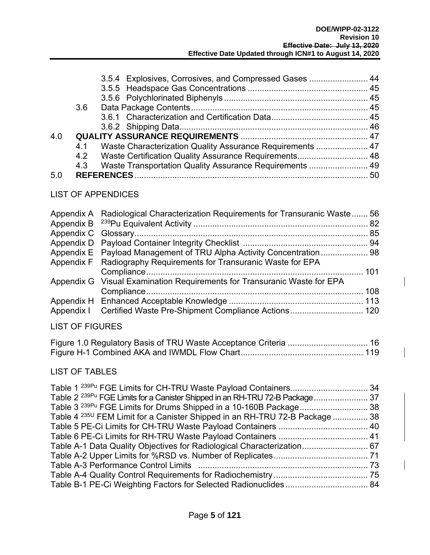|     |     | 3.5.4 Explosives, Corrosives, and Compressed Gases  44        |  |
|-----|-----|---------------------------------------------------------------|--|
|     |     |                                                               |  |
|     |     |                                                               |  |
|     | 3.6 |                                                               |  |
|     |     |                                                               |  |
|     |     |                                                               |  |
| 4.0 |     |                                                               |  |
|     |     | 4.1 Waste Characterization Quality Assurance Requirements  47 |  |
|     |     | 4.2 Waste Certification Quality Assurance Requirements 48     |  |
|     | 4.3 | Waste Transportation Quality Assurance Requirements  49       |  |
| 5.0 |     |                                                               |  |

#### LIST OF APPENDICES

| Appendix A Radiological Characterization Requirements for Transuranic Waste 56 |  |
|--------------------------------------------------------------------------------|--|
|                                                                                |  |
|                                                                                |  |
| Appendix E Payload Management of TRU Alpha Activity Concentration  98          |  |
| Appendix F Radiography Requirements for Transuranic Waste for EPA              |  |
|                                                                                |  |
| Appendix G Visual Examination Requirements for Transuranic Waste for EPA       |  |
|                                                                                |  |
|                                                                                |  |
|                                                                                |  |

#### LIST OF FIGURES

#### LIST OF TABLES

| Table 2 <sup>239Pu</sup> FGE Limits for a Canister Shipped in an RH-TRU 72-B Package  37 |
|------------------------------------------------------------------------------------------|
|                                                                                          |
| Table 4 <sup>235U</sup> FEM Limit for a Canister Shipped in an RH-TRU 72-B Package  38   |
|                                                                                          |
|                                                                                          |
| Table A-1 Data Quality Objectives for Radiological Characterization 67                   |
|                                                                                          |
|                                                                                          |
|                                                                                          |
|                                                                                          |
|                                                                                          |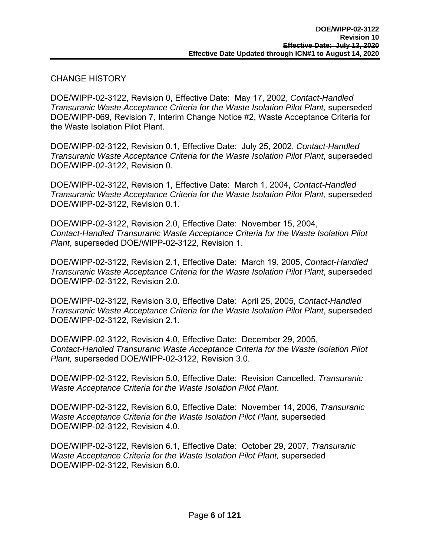#### CHANGE HISTORY

DOE/WIPP-02-3122, Revision 0, Effective Date: May 17, 2002, *Contact-Handled Transuranic Waste Acceptance Criteria for the Waste Isolation Pilot Plant,* superseded DOE/WIPP-069, Revision 7, Interim Change Notice #2, Waste Acceptance Criteria for the Waste Isolation Pilot Plant.

DOE/WIPP-02-3122, Revision 0.1, Effective Date: July 25, 2002, *Contact-Handled Transuranic Waste Acceptance Criteria for the Waste Isolation Pilot Plant*, superseded DOE/WIPP-02-3122, Revision 0.

DOE/WIPP-02-3122, Revision 1, Effective Date: March 1, 2004, *Contact-Handled Transuranic Waste Acceptance Criteria for the Waste Isolation Pilot Plant*, superseded DOE/WIPP-02-3122, Revision 0.1.

DOE/WIPP-02-3122, Revision 2.0, Effective Date: November 15, 2004, *Contact-Handled Transuranic Waste Acceptance Criteria for the Waste Isolation Pilot Plant*, superseded DOE/WIPP-02-3122, Revision 1.

DOE/WIPP-02-3122, Revision 2.1, Effective Date: March 19, 2005, *Contact-Handled Transuranic Waste Acceptance Criteria for the Waste Isolation Pilot Plant*, superseded DOE/WIPP-02-3122, Revision 2.0.

DOE/WIPP-02-3122, Revision 3.0, Effective Date: April 25, 2005, *Contact-Handled Transuranic Waste Acceptance Criteria for the Waste Isolation Pilot Plant*, superseded DOE/WIPP-02-3122, Revision 2.1.

DOE/WIPP-02-3122, Revision 4.0, Effective Date: December 29, 2005, *Contact-Handled Transuranic Waste Acceptance Criteria for the Waste Isolation Pilot Plant,* superseded DOE/WIPP-02-3122, Revision 3.0.

DOE/WIPP-02-3122, Revision 5.0, Effective Date: Revision Cancelled, *Transuranic Waste Acceptance Criteria for the Waste Isolation Pilot Plant*.

DOE/WIPP-02-3122, Revision 6.0, Effective Date: November 14, 2006, *Transuranic Waste Acceptance Criteria for the Waste Isolation Pilot Plant,* superseded DOE/WIPP-02-3122, Revision 4.0.

DOE/WIPP-02-3122, Revision 6.1, Effective Date: October 29, 2007, *Transuranic Waste Acceptance Criteria for the Waste Isolation Pilot Plant,* superseded DOE/WIPP-02-3122, Revision 6.0.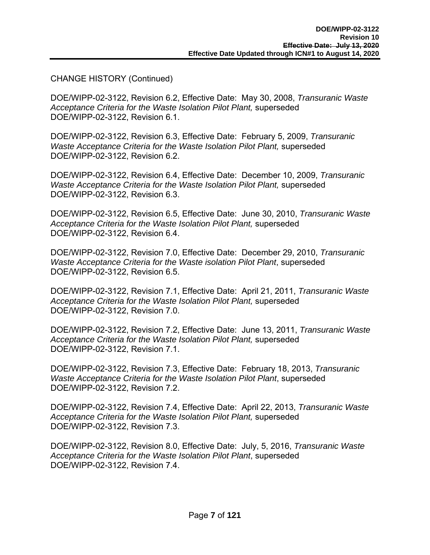#### CHANGE HISTORY (Continued)

DOE/WIPP-02-3122, Revision 6.2, Effective Date: May 30, 2008, *Transuranic Waste Acceptance Criteria for the Waste Isolation Pilot Plant,* superseded DOE/WIPP-02-3122, Revision 6.1.

DOE/WIPP-02-3122, Revision 6.3, Effective Date: February 5, 2009, *Transuranic Waste Acceptance Criteria for the Waste Isolation Pilot Plant,* superseded DOE/WIPP-02-3122, Revision 6.2.

DOE/WIPP-02-3122, Revision 6.4, Effective Date: December 10, 2009, *Transuranic Waste Acceptance Criteria for the Waste Isolation Pilot Plant,* superseded DOE/WIPP-02-3122, Revision 6.3.

DOE/WIPP-02-3122, Revision 6.5, Effective Date: June 30, 2010, *Transuranic Waste Acceptance Criteria for the Waste Isolation Pilot Plant,* superseded DOE/WIPP-02-3122, Revision 6.4.

DOE/WIPP-02-3122, Revision 7.0, Effective Date: December 29, 2010, *Transuranic Waste Acceptance Criteria for the Waste isolation Pilot Plant*, superseded DOE/WIPP-02-3122, Revision 6.5.

DOE/WIPP-02-3122, Revision 7.1, Effective Date: April 21, 2011, *Transuranic Waste Acceptance Criteria for the Waste Isolation Pilot Plant,* superseded DOE/WIPP-02-3122, Revision 7.0.

DOE/WIPP-02-3122, Revision 7.2, Effective Date: June 13, 2011, *Transuranic Waste Acceptance Criteria for the Waste Isolation Pilot Plant,* superseded DOE/WIPP-02-3122, Revision 7.1.

DOE/WIPP-02-3122, Revision 7.3, Effective Date: February 18, 2013, *Transuranic Waste Acceptance Criteria for the Waste Isolation Pilot Plant*, superseded DOE/WIPP-02-3122, Revision 7.2.

DOE/WIPP-02-3122, Revision 7.4, Effective Date: April 22, 2013, *Transuranic Waste Acceptance Criteria for the Waste Isolation Pilot Plant,* superseded DOE/WIPP-02-3122, Revision 7.3.

DOE/WIPP-02-3122, Revision 8.0, Effective Date: July, 5, 2016, *Transuranic Waste Acceptance Criteria for the Waste Isolation Pilot Plant*, superseded DOE/WIPP-02-3122, Revision 7.4.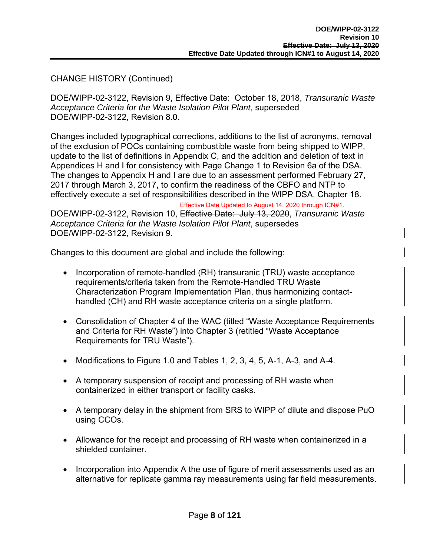#### CHANGE HISTORY (Continued)

DOE/WIPP-02-3122, Revision 9, Effective Date: October 18, 2018, *Transuranic Waste Acceptance Criteria for the Waste Isolation Pilot Plant*, superseded DOE/WIPP-02-3122, Revision 8.0.

Changes included typographical corrections, additions to the list of acronyms, removal of the exclusion of POCs containing combustible waste from being shipped to WIPP, update to the list of definitions in Appendix C, and the addition and deletion of text in Appendices H and I for consistency with Page Change 1 to Revision 6a of the DSA. The changes to Appendix H and I are due to an assessment performed February 27, 2017 through March 3, 2017, to confirm the readiness of the CBFO and NTP to effectively execute a set of responsibilities described in the WIPP DSA, Chapter 18.

Effective Date Updated to August 14, 2020 through ICN#1.

DOE/WIPP-02-3122, Revision 10, Effective Date: July 13, 2020, *Transuranic Waste Acceptance Criteria for the Waste Isolation Pilot Plant*, supersedes DOE/WIPP-02-3122, Revision 9.

Changes to this document are global and include the following:

- Incorporation of remote-handled (RH) transuranic (TRU) waste acceptance requirements/criteria taken from the Remote-Handled TRU Waste Characterization Program Implementation Plan, thus harmonizing contacthandled (CH) and RH waste acceptance criteria on a single platform.
- Consolidation of Chapter 4 of the WAC (titled "Waste Acceptance Requirements and Criteria for RH Waste") into Chapter 3 (retitled "Waste Acceptance Requirements for TRU Waste").
- Modifications to Figure 1.0 and Tables 1, 2, 3, 4, 5, A-1, A-3, and A-4.
- A temporary suspension of receipt and processing of RH waste when containerized in either transport or facility casks.
- A temporary delay in the shipment from SRS to WIPP of dilute and dispose PuO using CCOs.
- Allowance for the receipt and processing of RH waste when containerized in a shielded container.
- Incorporation into Appendix A the use of figure of merit assessments used as an alternative for replicate gamma ray measurements using far field measurements.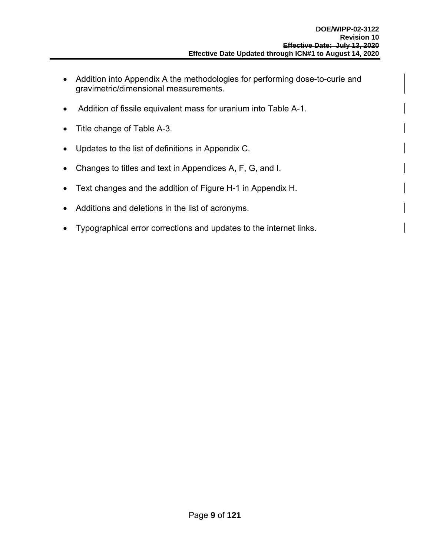- Addition into Appendix A the methodologies for performing dose-to-curie and gravimetric/dimensional measurements.
- Addition of fissile equivalent mass for uranium into Table A-1.
- Title change of Table A-3.
- Updates to the list of definitions in Appendix C.
- Changes to titles and text in Appendices A, F, G, and I.
- Text changes and the addition of Figure H-1 in Appendix H.
- Additions and deletions in the list of acronyms.
- Typographical error corrections and updates to the internet links.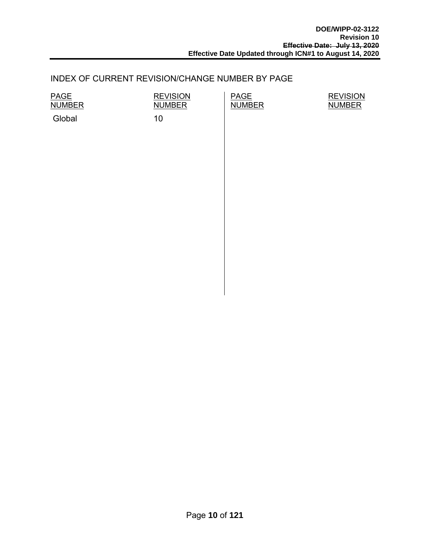#### INDEX OF CURRENT REVISION/CHANGE NUMBER BY PAGE

PAGE NUMBER

Global 10

**REVISION NUMBER** 

PAGE **NUMBER** 

**REVISION** NUMBER

Page **10** of **121**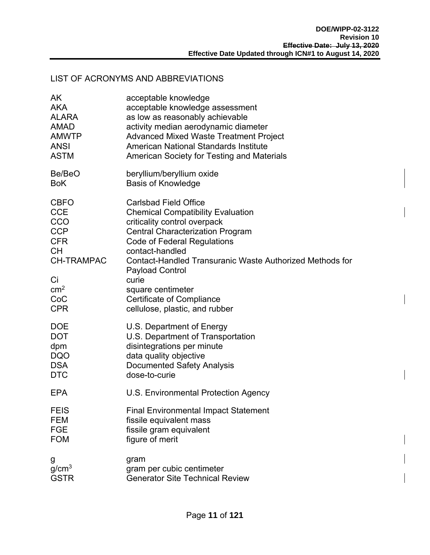#### LIST OF ACRONYMS AND ABBREVIATIONS

| AK                                                                                                                                           | acceptable knowledge                                                                                                                                                                                                                                                                                                                                                                                          |
|----------------------------------------------------------------------------------------------------------------------------------------------|---------------------------------------------------------------------------------------------------------------------------------------------------------------------------------------------------------------------------------------------------------------------------------------------------------------------------------------------------------------------------------------------------------------|
| <b>AKA</b>                                                                                                                                   | acceptable knowledge assessment                                                                                                                                                                                                                                                                                                                                                                               |
| <b>ALARA</b>                                                                                                                                 | as low as reasonably achievable                                                                                                                                                                                                                                                                                                                                                                               |
| <b>AMAD</b>                                                                                                                                  | activity median aerodynamic diameter                                                                                                                                                                                                                                                                                                                                                                          |
| <b>AMWTP</b>                                                                                                                                 | <b>Advanced Mixed Waste Treatment Project</b>                                                                                                                                                                                                                                                                                                                                                                 |
| <b>ANSI</b>                                                                                                                                  | American National Standards Institute                                                                                                                                                                                                                                                                                                                                                                         |
| <b>ASTM</b>                                                                                                                                  | American Society for Testing and Materials                                                                                                                                                                                                                                                                                                                                                                    |
| Be/BeO                                                                                                                                       | beryllium/beryllium oxide                                                                                                                                                                                                                                                                                                                                                                                     |
| <b>BoK</b>                                                                                                                                   | <b>Basis of Knowledge</b>                                                                                                                                                                                                                                                                                                                                                                                     |
| <b>CBFO</b><br><b>CCE</b><br>CCO<br><b>CCP</b><br><b>CFR</b><br><b>CH</b><br><b>CH-TRAMPAC</b><br>Ci<br>cm <sup>2</sup><br>CoC<br><b>CPR</b> | <b>Carlsbad Field Office</b><br><b>Chemical Compatibility Evaluation</b><br>criticality control overpack<br><b>Central Characterization Program</b><br><b>Code of Federal Regulations</b><br>contact-handled<br><b>Contact-Handled Transuranic Waste Authorized Methods for</b><br><b>Payload Control</b><br>curie<br>square centimeter<br><b>Certificate of Compliance</b><br>cellulose, plastic, and rubber |
| <b>DOE</b>                                                                                                                                   | U.S. Department of Energy                                                                                                                                                                                                                                                                                                                                                                                     |
| <b>DOT</b>                                                                                                                                   | U.S. Department of Transportation                                                                                                                                                                                                                                                                                                                                                                             |
| dpm                                                                                                                                          | disintegrations per minute                                                                                                                                                                                                                                                                                                                                                                                    |
| <b>DQO</b>                                                                                                                                   | data quality objective                                                                                                                                                                                                                                                                                                                                                                                        |
| <b>DSA</b>                                                                                                                                   | <b>Documented Safety Analysis</b>                                                                                                                                                                                                                                                                                                                                                                             |
| <b>DTC</b>                                                                                                                                   | dose-to-curie                                                                                                                                                                                                                                                                                                                                                                                                 |
| <b>EPA</b>                                                                                                                                   | U.S. Environmental Protection Agency                                                                                                                                                                                                                                                                                                                                                                          |
| <b>FEIS</b>                                                                                                                                  | <b>Final Environmental Impact Statement</b>                                                                                                                                                                                                                                                                                                                                                                   |
| <b>FEM</b>                                                                                                                                   | fissile equivalent mass                                                                                                                                                                                                                                                                                                                                                                                       |
| <b>FGE</b>                                                                                                                                   | fissile gram equivalent                                                                                                                                                                                                                                                                                                                                                                                       |
| <b>FOM</b>                                                                                                                                   | figure of merit                                                                                                                                                                                                                                                                                                                                                                                               |
| g                                                                                                                                            | gram                                                                                                                                                                                                                                                                                                                                                                                                          |
| g/cm <sup>3</sup>                                                                                                                            | gram per cubic centimeter                                                                                                                                                                                                                                                                                                                                                                                     |
| <b>GSTR</b>                                                                                                                                  | <b>Generator Site Technical Review</b>                                                                                                                                                                                                                                                                                                                                                                        |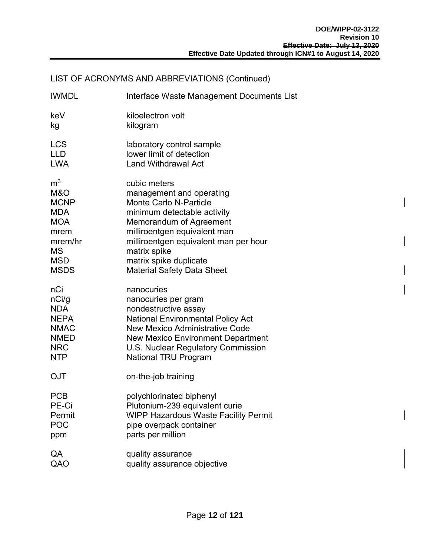#### LIST OF ACRONYMS AND ABBREVIATIONS (Continued)

| <b>IWMDL</b>   | Interface Waste Management Documents List |
|----------------|-------------------------------------------|
| keV            | kiloelectron volt                         |
| kg             | kilogram                                  |
| <b>LCS</b>     | laboratory control sample                 |
| <b>LLD</b>     | lower limit of detection                  |
| <b>LWA</b>     | <b>Land Withdrawal Act</b>                |
| m <sup>3</sup> | cubic meters                              |
| M&O            | management and operating                  |
| <b>MCNP</b>    | <b>Monte Carlo N-Particle</b>             |
| <b>MDA</b>     | minimum detectable activity               |
| <b>MOA</b>     | Memorandum of Agreement                   |
| mrem           | milliroentgen equivalent man              |
| mrem/hr        | milliroentgen equivalent man per hour     |
| <b>MS</b>      | matrix spike                              |
| <b>MSD</b>     | matrix spike duplicate                    |
| <b>MSDS</b>    | <b>Material Safety Data Sheet</b>         |
| nCi            | nanocuries                                |
| nCi/g          | nanocuries per gram                       |
| <b>NDA</b>     | nondestructive assay                      |
| <b>NEPA</b>    | <b>National Environmental Policy Act</b>  |
| <b>NMAC</b>    | <b>New Mexico Administrative Code</b>     |
| <b>NMED</b>    | New Mexico Environment Department         |
| <b>NRC</b>     | U.S. Nuclear Regulatory Commission        |
| <b>NTP</b>     | <b>National TRU Program</b>               |
| <b>OJT</b>     | on-the-job training                       |
| <b>PCB</b>     | polychlorinated biphenyl                  |
| PE-Ci          | Plutonium-239 equivalent curie            |
| Permit         | WIPP Hazardous Waste Facility Permit      |
| <b>POC</b>     | pipe overpack container                   |
| ppm            | parts per million                         |
| QA             | quality assurance                         |
| QAO            | quality assurance objective               |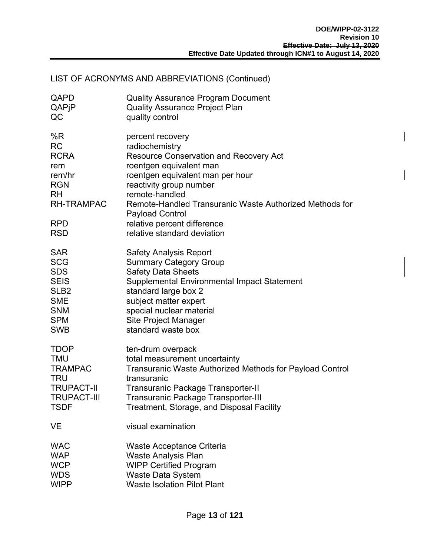### LIST OF ACRONYMS AND ABBREVIATIONS (Continued)

| QAPD                                                                                                                        | <b>Quality Assurance Program Document</b>                                                                                                                                                                                                                                                                                                   |
|-----------------------------------------------------------------------------------------------------------------------------|---------------------------------------------------------------------------------------------------------------------------------------------------------------------------------------------------------------------------------------------------------------------------------------------------------------------------------------------|
| QAPjP                                                                                                                       | <b>Quality Assurance Project Plan</b>                                                                                                                                                                                                                                                                                                       |
| QC                                                                                                                          | quality control                                                                                                                                                                                                                                                                                                                             |
| %R<br><b>RC</b><br><b>RCRA</b><br>rem<br>rem/hr<br><b>RGN</b><br><b>RH</b><br><b>RH-TRAMPAC</b><br><b>RPD</b><br><b>RSD</b> | percent recovery<br>radiochemistry<br>Resource Conservation and Recovery Act<br>roentgen equivalent man<br>roentgen equivalent man per hour<br>reactivity group number<br>remote-handled<br>Remote-Handled Transuranic Waste Authorized Methods for<br><b>Payload Control</b><br>relative percent difference<br>relative standard deviation |
| <b>SAR</b>                                                                                                                  | <b>Safety Analysis Report</b>                                                                                                                                                                                                                                                                                                               |
| <b>SCG</b>                                                                                                                  | <b>Summary Category Group</b>                                                                                                                                                                                                                                                                                                               |
| <b>SDS</b>                                                                                                                  | <b>Safety Data Sheets</b>                                                                                                                                                                                                                                                                                                                   |
| <b>SEIS</b>                                                                                                                 | Supplemental Environmental Impact Statement                                                                                                                                                                                                                                                                                                 |
| SLB <sub>2</sub>                                                                                                            | standard large box 2                                                                                                                                                                                                                                                                                                                        |
| <b>SME</b>                                                                                                                  | subject matter expert                                                                                                                                                                                                                                                                                                                       |
| <b>SNM</b>                                                                                                                  | special nuclear material                                                                                                                                                                                                                                                                                                                    |
| <b>SPM</b>                                                                                                                  | Site Project Manager                                                                                                                                                                                                                                                                                                                        |
| <b>SWB</b>                                                                                                                  | standard waste box                                                                                                                                                                                                                                                                                                                          |
| <b>TDOP</b>                                                                                                                 | ten-drum overpack                                                                                                                                                                                                                                                                                                                           |
| <b>TMU</b>                                                                                                                  | total measurement uncertainty                                                                                                                                                                                                                                                                                                               |
| <b>TRAMPAC</b>                                                                                                              | Transuranic Waste Authorized Methods for Payload Control                                                                                                                                                                                                                                                                                    |
| <b>TRU</b>                                                                                                                  | transuranic                                                                                                                                                                                                                                                                                                                                 |
| <b>TRUPACT-II</b>                                                                                                           | Transuranic Package Transporter-II                                                                                                                                                                                                                                                                                                          |
| <b>TRUPACT-III</b>                                                                                                          | <b>Transuranic Package Transporter-III</b>                                                                                                                                                                                                                                                                                                  |
| <b>TSDF</b>                                                                                                                 | Treatment, Storage, and Disposal Facility                                                                                                                                                                                                                                                                                                   |
| <b>VE</b>                                                                                                                   | visual examination                                                                                                                                                                                                                                                                                                                          |
| <b>WAC</b>                                                                                                                  | Waste Acceptance Criteria                                                                                                                                                                                                                                                                                                                   |
| <b>WAP</b>                                                                                                                  | <b>Waste Analysis Plan</b>                                                                                                                                                                                                                                                                                                                  |
| <b>WCP</b>                                                                                                                  | <b>WIPP Certified Program</b>                                                                                                                                                                                                                                                                                                               |
| <b>WDS</b>                                                                                                                  | <b>Waste Data System</b>                                                                                                                                                                                                                                                                                                                    |
| <b>WIPP</b>                                                                                                                 | <b>Waste Isolation Pilot Plant</b>                                                                                                                                                                                                                                                                                                          |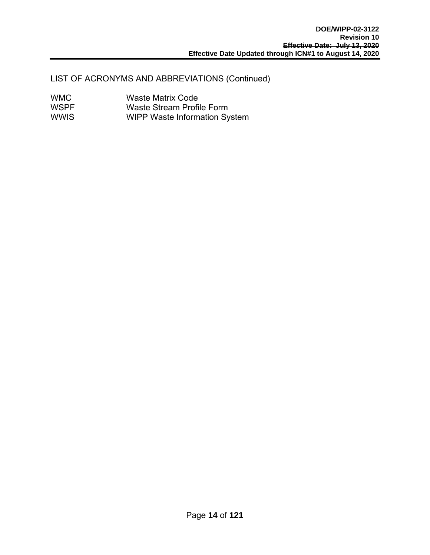#### LIST OF ACRONYMS AND ABBREVIATIONS (Continued)

| <b>WMC</b>  | <b>Waste Matrix Code</b>             |
|-------------|--------------------------------------|
| <b>WSPF</b> | Waste Stream Profile Form            |
| <b>WWIS</b> | <b>WIPP Waste Information System</b> |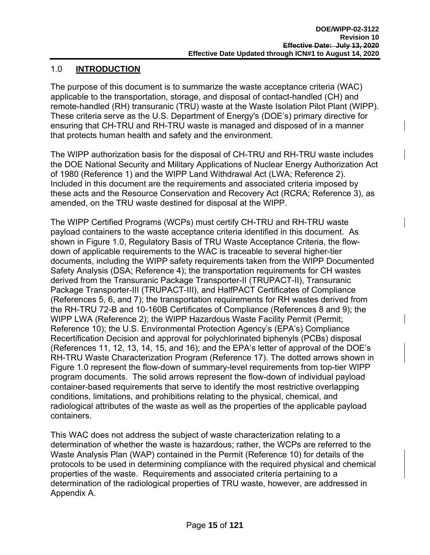#### 1.0 **INTRODUCTION**

The purpose of this document is to summarize the waste acceptance criteria (WAC) applicable to the transportation, storage, and disposal of contact-handled (CH) and remote-handled (RH) transuranic (TRU) waste at the Waste Isolation Pilot Plant (WIPP). These criteria serve as the U.S. Department of Energy's (DOE's) primary directive for ensuring that CH-TRU and RH-TRU waste is managed and disposed of in a manner that protects human health and safety and the environment.

The WIPP authorization basis for the disposal of CH-TRU and RH-TRU waste includes the DOE National Security and Military Applications of Nuclear Energy Authorization Act of 1980 (Reference 1) and the WIPP Land Withdrawal Act (LWA; Reference 2). Included in this document are the requirements and associated criteria imposed by these acts and the Resource Conservation and Recovery Act (RCRA; Reference 3), as amended, on the TRU waste destined for disposal at the WIPP.

The WIPP Certified Programs (WCPs) must certify CH-TRU and RH-TRU waste payload containers to the waste acceptance criteria identified in this document. As shown in Figure 1.0, Regulatory Basis of TRU Waste Acceptance Criteria, the flowdown of applicable requirements to the WAC is traceable to several higher-tier documents, including the WIPP safety requirements taken from the WIPP Documented Safety Analysis (DSA; Reference 4); the transportation requirements for CH wastes derived from the Transuranic Package Transporter-II (TRUPACT-II), Transuranic Package Transporter-III (TRUPACT-III), and HalfPACT Certificates of Compliance (References 5, 6, and 7); the transportation requirements for RH wastes derived from the RH-TRU 72-B and 10-160B Certificates of Compliance (References 8 and 9); the WIPP LWA (Reference 2); the WIPP Hazardous Waste Facility Permit (Permit; Reference 10); the U.S. Environmental Protection Agency's (EPA's) Compliance Recertification Decision and approval for polychlorinated biphenyls (PCBs) disposal (References 11, 12, 13, 14, 15, and 16); and the EPA's letter of approval of the DOE's RH-TRU Waste Characterization Program (Reference 17). The dotted arrows shown in Figure 1.0 represent the flow-down of summary-level requirements from top-tier WIPP program documents. The solid arrows represent the flow-down of individual payload container-based requirements that serve to identify the most restrictive overlapping conditions, limitations, and prohibitions relating to the physical, chemical, and radiological attributes of the waste as well as the properties of the applicable payload containers.

This WAC does not address the subject of waste characterization relating to a determination of whether the waste is hazardous; rather, the WCPs are referred to the Waste Analysis Plan (WAP) contained in the Permit (Reference 10) for details of the protocols to be used in determining compliance with the required physical and chemical properties of the waste. Requirements and associated criteria pertaining to a determination of the radiological properties of TRU waste, however, are addressed in Appendix A.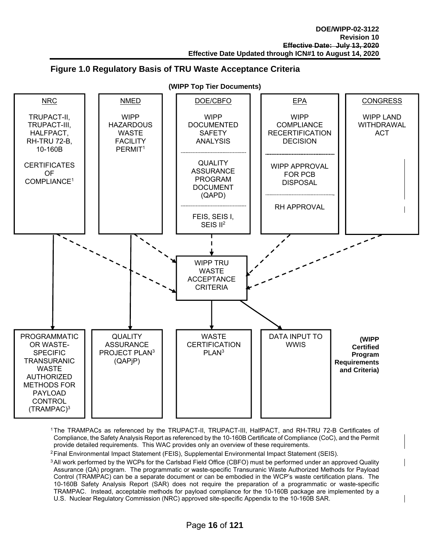#### **Figure 1.0 Regulatory Basis of TRU Waste Acceptance Criteria**



1 The TRAMPACs as referenced by the TRUPACT-II, TRUPACT-III, HalfPACT, and RH-TRU 72-B Certificates of Compliance, the Safety Analysis Report as referenced by the 10-160B Certificate of Compliance (CoC), and the Permit provide detailed requirements. This WAC provides only an overview of these requirements.

2 Final Environmental Impact Statement (FEIS), Supplemental Environmental Impact Statement (SEIS).

<sup>3</sup> All work performed by the WCPs for the Carlsbad Field Office (CBFO) must be performed under an approved Quality Assurance (QA) program. The programmatic or waste-specific Transuranic Waste Authorized Methods for Payload Control (TRAMPAC) can be a separate document or can be embodied in the WCP's waste certification plans. The 10-160B Safety Analysis Report (SAR) does not require the preparation of a programmatic or waste-specific TRAMPAC. Instead, acceptable methods for payload compliance for the 10-160B package are implemented by a U.S. Nuclear Regulatory Commission (NRC) approved site-specific Appendix to the 10-160B SAR.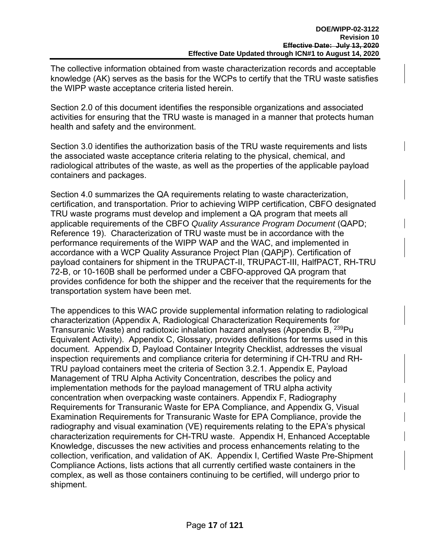The collective information obtained from waste characterization records and acceptable knowledge (AK) serves as the basis for the WCPs to certify that the TRU waste satisfies the WIPP waste acceptance criteria listed herein.

Section 2.0 of this document identifies the responsible organizations and associated activities for ensuring that the TRU waste is managed in a manner that protects human health and safety and the environment.

Section 3.0 identifies the authorization basis of the TRU waste requirements and lists the associated waste acceptance criteria relating to the physical, chemical, and radiological attributes of the waste, as well as the properties of the applicable payload containers and packages.

Section 4.0 summarizes the QA requirements relating to waste characterization, certification, and transportation. Prior to achieving WIPP certification, CBFO designated TRU waste programs must develop and implement a QA program that meets all applicable requirements of the CBFO *Quality Assurance Program Document* (QAPD; Reference 19). Characterization of TRU waste must be in accordance with the performance requirements of the WIPP WAP and the WAC, and implemented in accordance with a WCP Quality Assurance Project Plan (QAPjP). Certification of payload containers for shipment in the TRUPACT-II, TRUPACT-III, HalfPACT, RH-TRU 72-B, or 10-160B shall be performed under a CBFO-approved QA program that provides confidence for both the shipper and the receiver that the requirements for the transportation system have been met.

The appendices to this WAC provide supplemental information relating to radiological characterization (Appendix A, Radiological Characterization Requirements for Transuranic Waste) and radiotoxic inhalation hazard analyses (Appendix B, <sup>239</sup>Pu Equivalent Activity). Appendix C, Glossary, provides definitions for terms used in this document. Appendix D, Payload Container Integrity Checklist, addresses the visual inspection requirements and compliance criteria for determining if CH-TRU and RH-TRU payload containers meet the criteria of Section 3.2.1. Appendix E, Payload Management of TRU Alpha Activity Concentration, describes the policy and implementation methods for the payload management of TRU alpha activity concentration when overpacking waste containers. Appendix F, Radiography Requirements for Transuranic Waste for EPA Compliance, and Appendix G, Visual Examination Requirements for Transuranic Waste for EPA Compliance, provide the radiography and visual examination (VE) requirements relating to the EPA's physical characterization requirements for CH-TRU waste. Appendix H, Enhanced Acceptable Knowledge, discusses the new activities and process enhancements relating to the collection, verification, and validation of AK. Appendix I, Certified Waste Pre-Shipment Compliance Actions, lists actions that all currently certified waste containers in the complex, as well as those containers continuing to be certified, will undergo prior to shipment.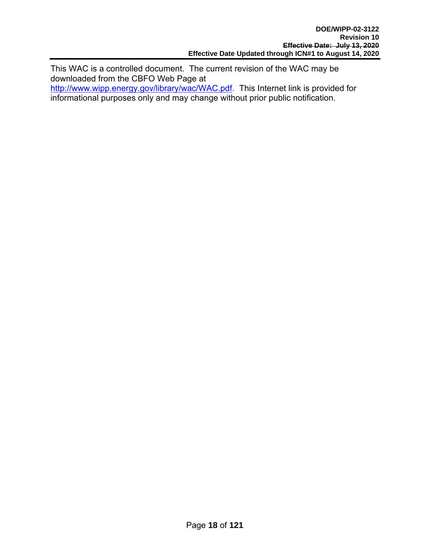This WAC is a controlled document. The current revision of the WAC may be downloaded from the CBFO Web Page at

http://www.wipp.energy.gov/library/wac/WAC.pdf. This Internet link is provided for informational purposes only and may change without prior public notification.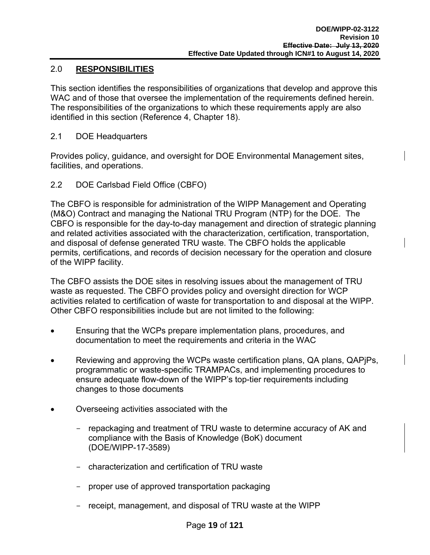#### 2.0 **RESPONSIBILITIES**

This section identifies the responsibilities of organizations that develop and approve this WAC and of those that oversee the implementation of the requirements defined herein. The responsibilities of the organizations to which these requirements apply are also identified in this section (Reference 4, Chapter 18).

2.1 DOE Headquarters

Provides policy, guidance, and oversight for DOE Environmental Management sites, facilities, and operations.

2.2 DOE Carlsbad Field Office (CBFO)

The CBFO is responsible for administration of the WIPP Management and Operating (M&O) Contract and managing the National TRU Program (NTP) for the DOE. The CBFO is responsible for the day-to-day management and direction of strategic planning and related activities associated with the characterization, certification, transportation, and disposal of defense generated TRU waste. The CBFO holds the applicable permits, certifications, and records of decision necessary for the operation and closure of the WIPP facility.

The CBFO assists the DOE sites in resolving issues about the management of TRU waste as requested. The CBFO provides policy and oversight direction for WCP activities related to certification of waste for transportation to and disposal at the WIPP. Other CBFO responsibilities include but are not limited to the following:

- Ensuring that the WCPs prepare implementation plans, procedures, and documentation to meet the requirements and criteria in the WAC
- Reviewing and approving the WCPs waste certification plans, QA plans, QAPjPs, programmatic or waste-specific TRAMPACs, and implementing procedures to ensure adequate flow-down of the WIPP's top-tier requirements including changes to those documents
- Overseeing activities associated with the
	- repackaging and treatment of TRU waste to determine accuracy of AK and compliance with the Basis of Knowledge (BoK) document (DOE/WIPP-17-3589)
	- characterization and certification of TRU waste
	- proper use of approved transportation packaging
	- receipt, management, and disposal of TRU waste at the WIPP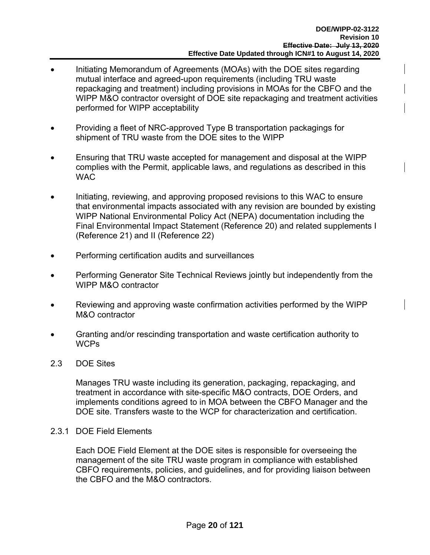- Initiating Memorandum of Agreements (MOAs) with the DOE sites regarding mutual interface and agreed-upon requirements (including TRU waste repackaging and treatment) including provisions in MOAs for the CBFO and the WIPP M&O contractor oversight of DOE site repackaging and treatment activities performed for WIPP acceptability
- Providing a fleet of NRC-approved Type B transportation packagings for shipment of TRU waste from the DOE sites to the WIPP
- Ensuring that TRU waste accepted for management and disposal at the WIPP complies with the Permit, applicable laws, and regulations as described in this WAC
- Initiating, reviewing, and approving proposed revisions to this WAC to ensure that environmental impacts associated with any revision are bounded by existing WIPP National Environmental Policy Act (NEPA) documentation including the Final Environmental Impact Statement (Reference 20) and related supplements I (Reference 21) and II (Reference 22)
- Performing certification audits and surveillances
- Performing Generator Site Technical Reviews jointly but independently from the WIPP M&O contractor
- Reviewing and approving waste confirmation activities performed by the WIPP M&O contractor
- Granting and/or rescinding transportation and waste certification authority to **WCPs**
- 2.3 DOE Sites

Manages TRU waste including its generation, packaging, repackaging, and treatment in accordance with site-specific M&O contracts, DOE Orders, and implements conditions agreed to in MOA between the CBFO Manager and the DOE site. Transfers waste to the WCP for characterization and certification.

2.3.1 DOE Field Elements

Each DOE Field Element at the DOE sites is responsible for overseeing the management of the site TRU waste program in compliance with established CBFO requirements, policies, and guidelines, and for providing liaison between the CBFO and the M&O contractors.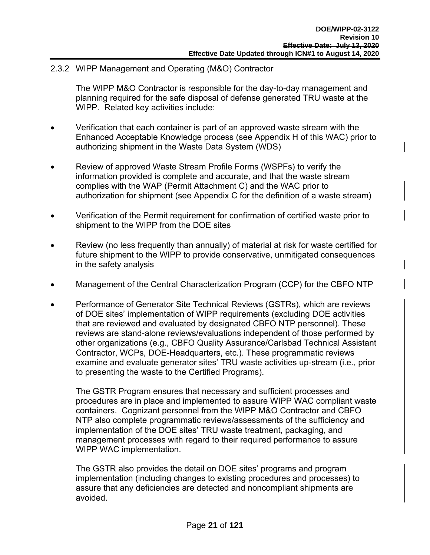2.3.2 WIPP Management and Operating (M&O) Contractor

The WIPP M&O Contractor is responsible for the day-to-day management and planning required for the safe disposal of defense generated TRU waste at the WIPP. Related key activities include:

- Verification that each container is part of an approved waste stream with the Enhanced Acceptable Knowledge process (see Appendix H of this WAC) prior to authorizing shipment in the Waste Data System (WDS)
- Review of approved Waste Stream Profile Forms (WSPFs) to verify the information provided is complete and accurate, and that the waste stream complies with the WAP (Permit Attachment C) and the WAC prior to authorization for shipment (see Appendix C for the definition of a waste stream)
- Verification of the Permit requirement for confirmation of certified waste prior to shipment to the WIPP from the DOE sites
- Review (no less frequently than annually) of material at risk for waste certified for future shipment to the WIPP to provide conservative, unmitigated consequences in the safety analysis
- Management of the Central Characterization Program (CCP) for the CBFO NTP
- Performance of Generator Site Technical Reviews (GSTRs), which are reviews of DOE sites' implementation of WIPP requirements (excluding DOE activities that are reviewed and evaluated by designated CBFO NTP personnel). These reviews are stand-alone reviews/evaluations independent of those performed by other organizations (e.g., CBFO Quality Assurance/Carlsbad Technical Assistant Contractor, WCPs, DOE-Headquarters, etc.). These programmatic reviews examine and evaluate generator sites' TRU waste activities up-stream (i.e., prior to presenting the waste to the Certified Programs).

The GSTR Program ensures that necessary and sufficient processes and procedures are in place and implemented to assure WIPP WAC compliant waste containers. Cognizant personnel from the WIPP M&O Contractor and CBFO NTP also complete programmatic reviews/assessments of the sufficiency and implementation of the DOE sites' TRU waste treatment, packaging, and management processes with regard to their required performance to assure WIPP WAC implementation.

The GSTR also provides the detail on DOE sites' programs and program implementation (including changes to existing procedures and processes) to assure that any deficiencies are detected and noncompliant shipments are avoided.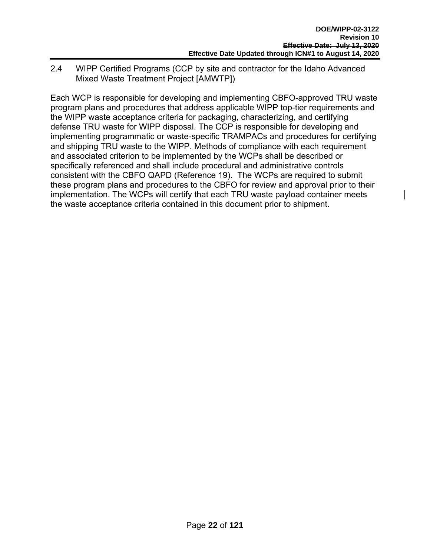2.4 WIPP Certified Programs (CCP by site and contractor for the Idaho Advanced Mixed Waste Treatment Project [AMWTP])

Each WCP is responsible for developing and implementing CBFO-approved TRU waste program plans and procedures that address applicable WIPP top-tier requirements and the WIPP waste acceptance criteria for packaging, characterizing, and certifying defense TRU waste for WIPP disposal. The CCP is responsible for developing and implementing programmatic or waste-specific TRAMPACs and procedures for certifying and shipping TRU waste to the WIPP. Methods of compliance with each requirement and associated criterion to be implemented by the WCPs shall be described or specifically referenced and shall include procedural and administrative controls consistent with the CBFO QAPD (Reference 19). The WCPs are required to submit these program plans and procedures to the CBFO for review and approval prior to their implementation. The WCPs will certify that each TRU waste payload container meets the waste acceptance criteria contained in this document prior to shipment.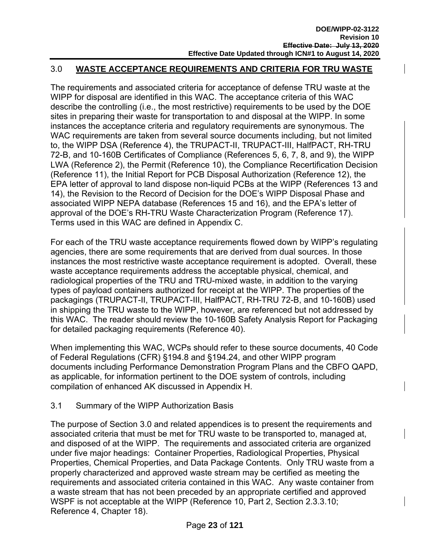#### 3.0 **WASTE ACCEPTANCE REQUIREMENTS AND CRITERIA FOR TRU WASTE**

The requirements and associated criteria for acceptance of defense TRU waste at the WIPP for disposal are identified in this WAC. The acceptance criteria of this WAC describe the controlling (i.e., the most restrictive) requirements to be used by the DOE sites in preparing their waste for transportation to and disposal at the WIPP. In some instances the acceptance criteria and regulatory requirements are synonymous. The WAC requirements are taken from several source documents including, but not limited to, the WIPP DSA (Reference 4), the TRUPACT-II, TRUPACT-III, HalfPACT, RH-TRU 72-B, and 10-160B Certificates of Compliance (References 5, 6, 7, 8, and 9), the WIPP LWA (Reference 2), the Permit (Reference 10), the Compliance Recertification Decision (Reference 11), the Initial Report for PCB Disposal Authorization (Reference 12), the EPA letter of approval to land dispose non-liquid PCBs at the WIPP (References 13 and 14), the Revision to the Record of Decision for the DOE's WIPP Disposal Phase and associated WIPP NEPA database (References 15 and 16), and the EPA's letter of approval of the DOE's RH-TRU Waste Characterization Program (Reference 17). Terms used in this WAC are defined in Appendix C.

For each of the TRU waste acceptance requirements flowed down by WIPP's regulating agencies, there are some requirements that are derived from dual sources. In those instances the most restrictive waste acceptance requirement is adopted. Overall, these waste acceptance requirements address the acceptable physical, chemical, and radiological properties of the TRU and TRU-mixed waste, in addition to the varying types of payload containers authorized for receipt at the WIPP. The properties of the packagings (TRUPACT-II, TRUPACT-III, HalfPACT, RH-TRU 72-B, and 10-160B) used in shipping the TRU waste to the WIPP, however, are referenced but not addressed by this WAC. The reader should review the 10-160B Safety Analysis Report for Packaging for detailed packaging requirements (Reference 40).

When implementing this WAC, WCPs should refer to these source documents, 40 Code of Federal Regulations (CFR) §194.8 and §194.24, and other WIPP program documents including Performance Demonstration Program Plans and the CBFO QAPD, as applicable, for information pertinent to the DOE system of controls, including compilation of enhanced AK discussed in Appendix H.

#### 3.1 Summary of the WIPP Authorization Basis

The purpose of Section 3.0 and related appendices is to present the requirements and associated criteria that must be met for TRU waste to be transported to, managed at, and disposed of at the WIPP. The requirements and associated criteria are organized under five major headings: Container Properties, Radiological Properties, Physical Properties, Chemical Properties, and Data Package Contents. Only TRU waste from a properly characterized and approved waste stream may be certified as meeting the requirements and associated criteria contained in this WAC. Any waste container from a waste stream that has not been preceded by an appropriate certified and approved WSPF is not acceptable at the WIPP (Reference 10, Part 2, Section 2.3.3.10; Reference 4, Chapter 18).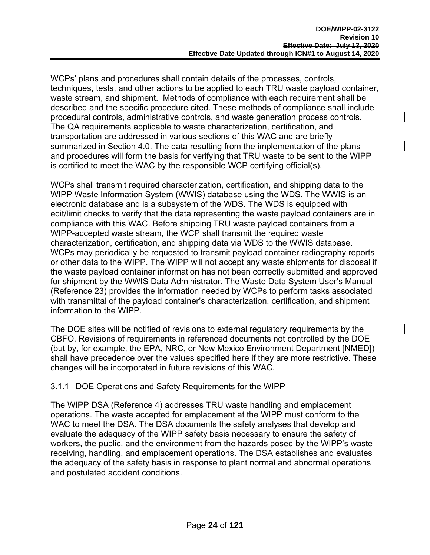WCPs' plans and procedures shall contain details of the processes, controls, techniques, tests, and other actions to be applied to each TRU waste payload container, waste stream, and shipment. Methods of compliance with each requirement shall be described and the specific procedure cited. These methods of compliance shall include procedural controls, administrative controls, and waste generation process controls. The QA requirements applicable to waste characterization, certification, and transportation are addressed in various sections of this WAC and are briefly summarized in Section 4.0. The data resulting from the implementation of the plans and procedures will form the basis for verifying that TRU waste to be sent to the WIPP is certified to meet the WAC by the responsible WCP certifying official(s).

WCPs shall transmit required characterization, certification, and shipping data to the WIPP Waste Information System (WWIS) database using the WDS. The WWIS is an electronic database and is a subsystem of the WDS. The WDS is equipped with edit/limit checks to verify that the data representing the waste payload containers are in compliance with this WAC. Before shipping TRU waste payload containers from a WIPP-accepted waste stream, the WCP shall transmit the required waste characterization, certification, and shipping data via WDS to the WWIS database. WCPs may periodically be requested to transmit payload container radiography reports or other data to the WIPP. The WIPP will not accept any waste shipments for disposal if the waste payload container information has not been correctly submitted and approved for shipment by the WWIS Data Administrator. The Waste Data System User's Manual (Reference 23) provides the information needed by WCPs to perform tasks associated with transmittal of the payload container's characterization, certification, and shipment information to the WIPP.

The DOE sites will be notified of revisions to external regulatory requirements by the CBFO. Revisions of requirements in referenced documents not controlled by the DOE (but by, for example, the EPA, NRC, or New Mexico Environment Department [NMED]) shall have precedence over the values specified here if they are more restrictive. These changes will be incorporated in future revisions of this WAC.

#### 3.1.1 DOE Operations and Safety Requirements for the WIPP

The WIPP DSA (Reference 4) addresses TRU waste handling and emplacement operations. The waste accepted for emplacement at the WIPP must conform to the WAC to meet the DSA. The DSA documents the safety analyses that develop and evaluate the adequacy of the WIPP safety basis necessary to ensure the safety of workers, the public, and the environment from the hazards posed by the WIPP's waste receiving, handling, and emplacement operations. The DSA establishes and evaluates the adequacy of the safety basis in response to plant normal and abnormal operations and postulated accident conditions.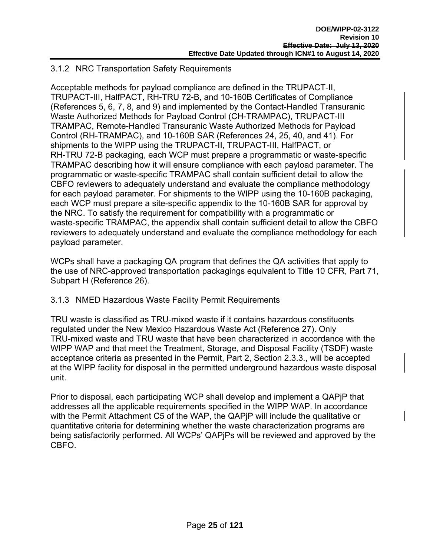#### 3.1.2 NRC Transportation Safety Requirements

Acceptable methods for payload compliance are defined in the TRUPACT-II, TRUPACT-III, HalfPACT, RH-TRU 72-B, and 10-160B Certificates of Compliance (References 5, 6, 7, 8, and 9) and implemented by the Contact-Handled Transuranic Waste Authorized Methods for Payload Control (CH-TRAMPAC), TRUPACT-III TRAMPAC, Remote-Handled Transuranic Waste Authorized Methods for Payload Control (RH-TRAMPAC), and 10-160B SAR (References 24, 25, 40, and 41). For shipments to the WIPP using the TRUPACT-II, TRUPACT-III, HalfPACT, or RH-TRU 72-B packaging, each WCP must prepare a programmatic or waste-specific TRAMPAC describing how it will ensure compliance with each payload parameter. The programmatic or waste-specific TRAMPAC shall contain sufficient detail to allow the CBFO reviewers to adequately understand and evaluate the compliance methodology for each payload parameter. For shipments to the WIPP using the 10-160B packaging, each WCP must prepare a site-specific appendix to the 10-160B SAR for approval by the NRC. To satisfy the requirement for compatibility with a programmatic or waste-specific TRAMPAC, the appendix shall contain sufficient detail to allow the CBFO reviewers to adequately understand and evaluate the compliance methodology for each payload parameter.

WCPs shall have a packaging QA program that defines the QA activities that apply to the use of NRC-approved transportation packagings equivalent to Title 10 CFR, Part 71, Subpart H (Reference 26).

#### 3.1.3 NMED Hazardous Waste Facility Permit Requirements

TRU waste is classified as TRU-mixed waste if it contains hazardous constituents regulated under the New Mexico Hazardous Waste Act (Reference 27). Only TRU-mixed waste and TRU waste that have been characterized in accordance with the WIPP WAP and that meet the Treatment, Storage, and Disposal Facility (TSDF) waste acceptance criteria as presented in the Permit, Part 2, Section 2.3.3., will be accepted at the WIPP facility for disposal in the permitted underground hazardous waste disposal unit.

Prior to disposal, each participating WCP shall develop and implement a QAPjP that addresses all the applicable requirements specified in the WIPP WAP. In accordance with the Permit Attachment C5 of the WAP, the QAPjP will include the qualitative or quantitative criteria for determining whether the waste characterization programs are being satisfactorily performed. All WCPs' QAPjPs will be reviewed and approved by the CBFO.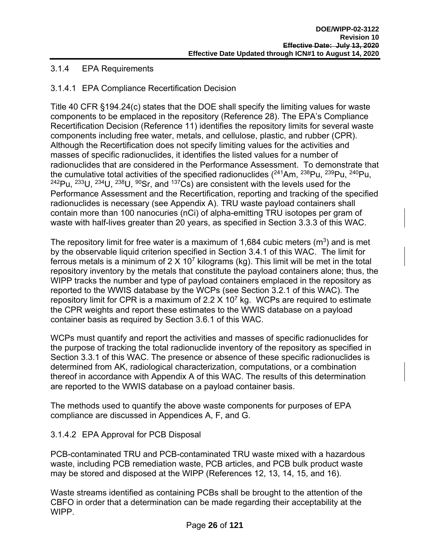#### 3.1.4 EPA Requirements

#### 3.1.4.1 EPA Compliance Recertification Decision

Title 40 CFR §194.24(c) states that the DOE shall specify the limiting values for waste components to be emplaced in the repository (Reference 28). The EPA's Compliance Recertification Decision (Reference 11) identifies the repository limits for several waste components including free water, metals, and cellulose, plastic, and rubber (CPR). Although the Recertification does not specify limiting values for the activities and masses of specific radionuclides, it identifies the listed values for a number of radionuclides that are considered in the Performance Assessment. To demonstrate that the cumulative total activities of the specified radionuclides  $(^{241}Am, ^{238}Pu, ^{239}Pu, ^{240}Pu,$  $242$ Pu,  $233$ U,  $234$ U,  $238$ U,  $90$ Sr, and  $137$ Cs) are consistent with the levels used for the Performance Assessment and the Recertification, reporting and tracking of the specified radionuclides is necessary (see Appendix A). TRU waste payload containers shall contain more than 100 nanocuries (nCi) of alpha-emitting TRU isotopes per gram of waste with half-lives greater than 20 years, as specified in Section 3.3.3 of this WAC.

The repository limit for free water is a maximum of 1,684 cubic meters  $(m^3)$  and is met by the observable liquid criterion specified in Section 3.4.1 of this WAC. The limit for ferrous metals is a minimum of 2 X 10<sup>7</sup> kilograms (kg). This limit will be met in the total repository inventory by the metals that constitute the payload containers alone; thus, the WIPP tracks the number and type of payload containers emplaced in the repository as reported to the WWIS database by the WCPs (see Section 3.2.1 of this WAC). The repository limit for CPR is a maximum of 2.2  $\times$  10<sup>7</sup> kg. WCPs are required to estimate the CPR weights and report these estimates to the WWIS database on a payload container basis as required by Section 3.6.1 of this WAC.

WCPs must quantify and report the activities and masses of specific radionuclides for the purpose of tracking the total radionuclide inventory of the repository as specified in Section 3.3.1 of this WAC. The presence or absence of these specific radionuclides is determined from AK, radiological characterization, computations, or a combination thereof in accordance with Appendix A of this WAC. The results of this determination are reported to the WWIS database on a payload container basis.

The methods used to quantify the above waste components for purposes of EPA compliance are discussed in Appendices A, F, and G.

#### 3.1.4.2 EPA Approval for PCB Disposal

PCB-contaminated TRU and PCB-contaminated TRU waste mixed with a hazardous waste, including PCB remediation waste, PCB articles, and PCB bulk product waste may be stored and disposed at the WIPP (References 12, 13, 14, 15, and 16).

Waste streams identified as containing PCBs shall be brought to the attention of the CBFO in order that a determination can be made regarding their acceptability at the WIPP.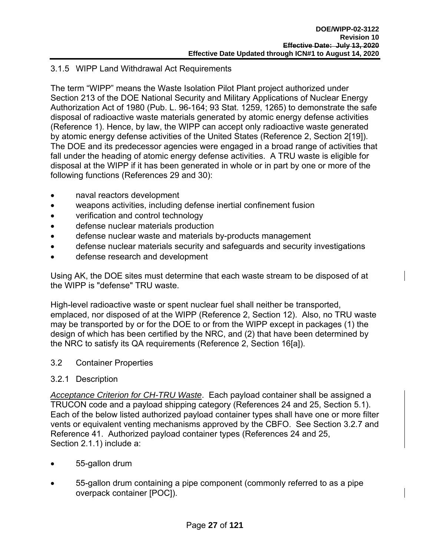#### 3.1.5 WIPP Land Withdrawal Act Requirements

The term "WIPP" means the Waste Isolation Pilot Plant project authorized under Section 213 of the DOE National Security and Military Applications of Nuclear Energy Authorization Act of 1980 (Pub. L. 96-164; 93 Stat. 1259, 1265) to demonstrate the safe disposal of radioactive waste materials generated by atomic energy defense activities (Reference 1). Hence, by law, the WIPP can accept only radioactive waste generated by atomic energy defense activities of the United States (Reference 2, Section 2[19]). The DOE and its predecessor agencies were engaged in a broad range of activities that fall under the heading of atomic energy defense activities. A TRU waste is eligible for disposal at the WIPP if it has been generated in whole or in part by one or more of the following functions (References 29 and 30):

- naval reactors development
- weapons activities, including defense inertial confinement fusion
- verification and control technology
- defense nuclear materials production
- defense nuclear waste and materials by-products management
- defense nuclear materials security and safeguards and security investigations
- defense research and development

Using AK, the DOE sites must determine that each waste stream to be disposed of at the WIPP is "defense" TRU waste.

High-level radioactive waste or spent nuclear fuel shall neither be transported, emplaced, nor disposed of at the WIPP (Reference 2, Section 12). Also, no TRU waste may be transported by or for the DOE to or from the WIPP except in packages (1) the design of which has been certified by the NRC, and (2) that have been determined by the NRC to satisfy its QA requirements (Reference 2, Section 16[a]).

#### 3.2 Container Properties

#### 3.2.1 Description

*Acceptance Criterion for CH-TRU Waste*. Each payload container shall be assigned a TRUCON code and a payload shipping category (References 24 and 25, Section 5.1). Each of the below listed authorized payload container types shall have one or more filter vents or equivalent venting mechanisms approved by the CBFO. See Section 3.2.7 and Reference 41. Authorized payload container types (References 24 and 25, Section 2.1.1) include a:

- 55-gallon drum
- 55-gallon drum containing a pipe component (commonly referred to as a pipe overpack container [POC]).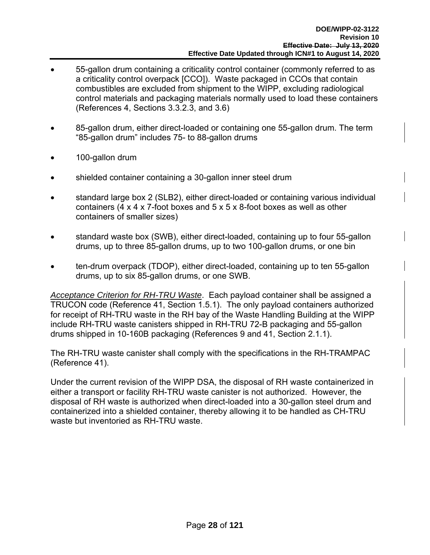- 55-gallon drum containing a criticality control container (commonly referred to as a criticality control overpack [CCO]). Waste packaged in CCOs that contain combustibles are excluded from shipment to the WIPP, excluding radiological control materials and packaging materials normally used to load these containers (References 4, Sections 3.3.2.3, and 3.6)
- 85-gallon drum, either direct-loaded or containing one 55-gallon drum. The term "85-gallon drum" includes 75- to 88-gallon drums
- 100-gallon drum
- shielded container containing a 30-gallon inner steel drum
- standard large box 2 (SLB2), either direct-loaded or containing various individual containers (4 x 4 x 7-foot boxes and 5 x 5 x 8-foot boxes as well as other containers of smaller sizes)
- standard waste box (SWB), either direct-loaded, containing up to four 55-gallon drums, up to three 85-gallon drums, up to two 100-gallon drums, or one bin
- ten-drum overpack (TDOP), either direct-loaded, containing up to ten 55-gallon drums, up to six 85-gallon drums, or one SWB.

*Acceptance Criterion for RH-TRU Waste*. Each payload container shall be assigned a TRUCON code (Reference 41, Section 1.5.1). The only payload containers authorized for receipt of RH-TRU waste in the RH bay of the Waste Handling Building at the WIPP include RH-TRU waste canisters shipped in RH-TRU 72-B packaging and 55-gallon drums shipped in 10-160B packaging (References 9 and 41, Section 2.1.1).

The RH-TRU waste canister shall comply with the specifications in the RH-TRAMPAC (Reference 41).

Under the current revision of the WIPP DSA, the disposal of RH waste containerized in either a transport or facility RH-TRU waste canister is not authorized. However, the disposal of RH waste is authorized when direct-loaded into a 30-gallon steel drum and containerized into a shielded container, thereby allowing it to be handled as CH-TRU waste but inventoried as RH-TRU waste.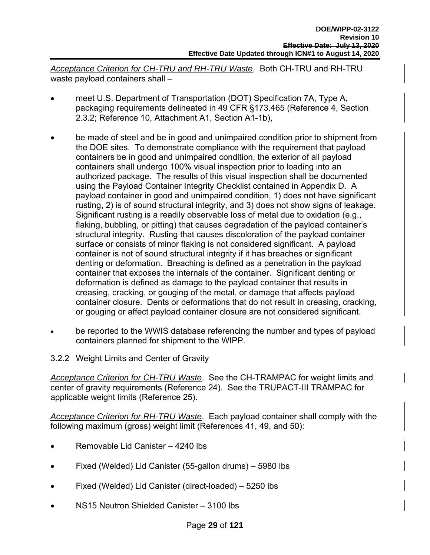*Acceptance Criterion for CH-TRU and RH-TRU Waste*. Both CH-TRU and RH-TRU waste payload containers shall –

- meet U.S. Department of Transportation (DOT) Specification 7A, Type A, packaging requirements delineated in 49 CFR §173.465 (Reference 4, Section 2.3.2; Reference 10, Attachment A1, Section A1-1b),
- be made of steel and be in good and unimpaired condition prior to shipment from the DOE sites. To demonstrate compliance with the requirement that payload containers be in good and unimpaired condition, the exterior of all payload containers shall undergo 100% visual inspection prior to loading into an authorized package. The results of this visual inspection shall be documented using the Payload Container Integrity Checklist contained in Appendix D. A payload container in good and unimpaired condition, 1) does not have significant rusting, 2) is of sound structural integrity, and 3) does not show signs of leakage. Significant rusting is a readily observable loss of metal due to oxidation (e.g., flaking, bubbling, or pitting) that causes degradation of the payload container's structural integrity. Rusting that causes discoloration of the payload container surface or consists of minor flaking is not considered significant. A payload container is not of sound structural integrity if it has breaches or significant denting or deformation. Breaching is defined as a penetration in the payload container that exposes the internals of the container. Significant denting or deformation is defined as damage to the payload container that results in creasing, cracking, or gouging of the metal, or damage that affects payload container closure. Dents or deformations that do not result in creasing, cracking, or gouging or affect payload container closure are not considered significant.
- be reported to the WWIS database referencing the number and types of payload containers planned for shipment to the WIPP.
- 3.2.2 Weight Limits and Center of Gravity

*Acceptance Criterion for CH-TRU Waste*. See the CH-TRAMPAC for weight limits and center of gravity requirements (Reference 24). See the TRUPACT-III TRAMPAC for applicable weight limits (Reference 25).

*Acceptance Criterion for RH-TRU Waste*. Each payload container shall comply with the following maximum (gross) weight limit (References 41, 49, and 50):

- Removable Lid Canister 4240 lbs
- Fixed (Welded) Lid Canister (55-gallon drums) 5980 lbs
- Fixed (Welded) Lid Canister (direct-loaded) 5250 lbs
- NS15 Neutron Shielded Canister 3100 lbs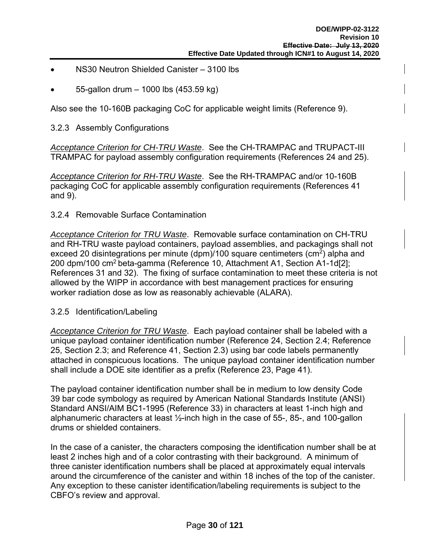- NS30 Neutron Shielded Canister 3100 lbs
- 55-gallon drum 1000 lbs (453.59 kg)

Also see the 10-160B packaging CoC for applicable weight limits (Reference 9).

#### 3.2.3 Assembly Configurations

*Acceptance Criterion for CH-TRU Waste*. See the CH-TRAMPAC and TRUPACT-III TRAMPAC for payload assembly configuration requirements (References 24 and 25).

*Acceptance Criterion for RH-TRU Waste*. See the RH-TRAMPAC and/or 10-160B packaging CoC for applicable assembly configuration requirements (References 41 and 9).

#### 3.2.4 Removable Surface Contamination

*Acceptance Criterion for TRU Waste*. Removable surface contamination on CH-TRU and RH-TRU waste payload containers, payload assemblies, and packagings shall not exceed 20 disintegrations per minute (dpm)/100 square centimeters (cm<sup>2</sup>) alpha and 200 dpm/100 cm2 beta-gamma (Reference 10, Attachment A1, Section A1-1d[2]; References 31 and 32). The fixing of surface contamination to meet these criteria is not allowed by the WIPP in accordance with best management practices for ensuring worker radiation dose as low as reasonably achievable (ALARA).

#### 3.2.5 Identification/Labeling

*Acceptance Criterion for TRU Waste*. Each payload container shall be labeled with a unique payload container identification number (Reference 24, Section 2.4; Reference 25, Section 2.3; and Reference 41, Section 2.3) using bar code labels permanently attached in conspicuous locations. The unique payload container identification number shall include a DOE site identifier as a prefix (Reference 23, Page 41).

The payload container identification number shall be in medium to low density Code 39 bar code symbology as required by American National Standards Institute (ANSI) Standard ANSI/AIM BC1-1995 (Reference 33) in characters at least 1-inch high and alphanumeric characters at least ½-inch high in the case of 55-, 85-, and 100-gallon drums or shielded containers.

In the case of a canister, the characters composing the identification number shall be at least 2 inches high and of a color contrasting with their background. A minimum of three canister identification numbers shall be placed at approximately equal intervals around the circumference of the canister and within 18 inches of the top of the canister. Any exception to these canister identification/labeling requirements is subject to the CBFO's review and approval.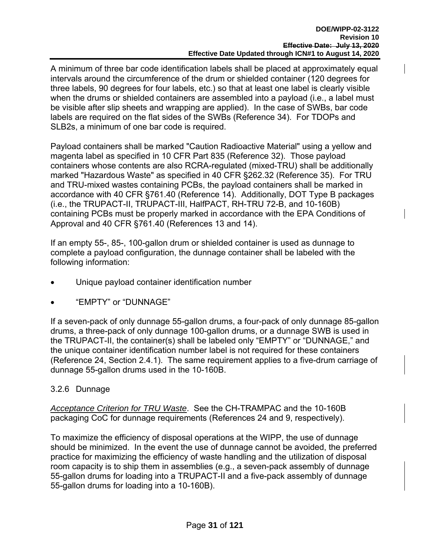A minimum of three bar code identification labels shall be placed at approximately equal intervals around the circumference of the drum or shielded container (120 degrees for three labels, 90 degrees for four labels, etc.) so that at least one label is clearly visible when the drums or shielded containers are assembled into a payload (i.e., a label must be visible after slip sheets and wrapping are applied). In the case of SWBs, bar code labels are required on the flat sides of the SWBs (Reference 34). For TDOPs and SLB2s, a minimum of one bar code is required.

Payload containers shall be marked "Caution Radioactive Material" using a yellow and magenta label as specified in 10 CFR Part 835 (Reference 32). Those payload containers whose contents are also RCRA-regulated (mixed-TRU) shall be additionally marked "Hazardous Waste" as specified in 40 CFR §262.32 (Reference 35). For TRU and TRU-mixed wastes containing PCBs, the payload containers shall be marked in accordance with 40 CFR §761.40 (Reference 14). Additionally, DOT Type B packages (i.e., the TRUPACT-II, TRUPACT-III, HalfPACT, RH-TRU 72-B, and 10-160B) containing PCBs must be properly marked in accordance with the EPA Conditions of Approval and 40 CFR §761.40 (References 13 and 14).

If an empty 55-, 85-, 100-gallon drum or shielded container is used as dunnage to complete a payload configuration, the dunnage container shall be labeled with the following information:

- Unique payload container identification number
- "EMPTY" or "DUNNAGE"

If a seven-pack of only dunnage 55-gallon drums, a four-pack of only dunnage 85-gallon drums, a three-pack of only dunnage 100-gallon drums, or a dunnage SWB is used in the TRUPACT-II, the container(s) shall be labeled only "EMPTY" or "DUNNAGE," and the unique container identification number label is not required for these containers (Reference 24, Section 2.4.1). The same requirement applies to a five-drum carriage of dunnage 55-gallon drums used in the 10-160B.

#### 3.2.6 Dunnage

*Acceptance Criterion for TRU Waste*. See the CH-TRAMPAC and the 10-160B packaging CoC for dunnage requirements (References 24 and 9, respectively).

To maximize the efficiency of disposal operations at the WIPP, the use of dunnage should be minimized. In the event the use of dunnage cannot be avoided, the preferred practice for maximizing the efficiency of waste handling and the utilization of disposal room capacity is to ship them in assemblies (e.g., a seven-pack assembly of dunnage 55-gallon drums for loading into a TRUPACT-II and a five-pack assembly of dunnage 55-gallon drums for loading into a 10-160B).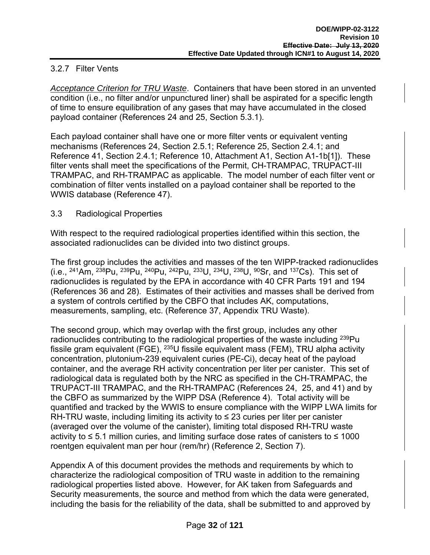#### 3.2.7 Filter Vents

*Acceptance Criterion for TRU Waste*. Containers that have been stored in an unvented condition (i.e., no filter and/or unpunctured liner) shall be aspirated for a specific length of time to ensure equilibration of any gases that may have accumulated in the closed payload container (References 24 and 25, Section 5.3.1).

Each payload container shall have one or more filter vents or equivalent venting mechanisms (References 24, Section 2.5.1; Reference 25, Section 2.4.1; and Reference 41, Section 2.4.1; Reference 10, Attachment A1, Section A1-1b[1]). These filter vents shall meet the specifications of the Permit, CH-TRAMPAC, TRUPACT-III TRAMPAC, and RH-TRAMPAC as applicable. The model number of each filter vent or combination of filter vents installed on a payload container shall be reported to the WWIS database (Reference 47).

#### 3.3 Radiological Properties

With respect to the required radiological properties identified within this section, the associated radionuclides can be divided into two distinct groups.

The first group includes the activities and masses of the ten WIPP-tracked radionuclides (i.e.,  $^{241}$ Am,  $^{238}$ Pu,  $^{239}$ Pu,  $^{240}$ Pu,  $^{242}$ Pu,  $^{233}$ U,  $^{234}$ U,  $^{238}$ U,  $^{90}$ Sr, and  $^{137}$ Cs). This set of radionuclides is regulated by the EPA in accordance with 40 CFR Parts 191 and 194 (References 36 and 28). Estimates of their activities and masses shall be derived from a system of controls certified by the CBFO that includes AK, computations, measurements, sampling, etc. (Reference 37, Appendix TRU Waste).

The second group, which may overlap with the first group, includes any other radionuclides contributing to the radiological properties of the waste including <sup>239</sup>Pu fissile gram equivalent (FGE), 235U fissile equivalent mass (FEM), TRU alpha activity concentration, plutonium-239 equivalent curies (PE-Ci), decay heat of the payload container, and the average RH activity concentration per liter per canister. This set of radiological data is regulated both by the NRC as specified in the CH-TRAMPAC, the TRUPACT-III TRAMPAC, and the RH-TRAMPAC (References 24, 25, and 41) and by the CBFO as summarized by the WIPP DSA (Reference 4). Total activity will be quantified and tracked by the WWIS to ensure compliance with the WIPP LWA limits for RH-TRU waste, including limiting its activity to  $\leq$  23 curies per liter per canister (averaged over the volume of the canister), limiting total disposed RH-TRU waste activity to  $\leq 5.1$  million curies, and limiting surface dose rates of canisters to  $\leq 1000$ roentgen equivalent man per hour (rem/hr) (Reference 2, Section 7).

Appendix A of this document provides the methods and requirements by which to characterize the radiological composition of TRU waste in addition to the remaining radiological properties listed above. However, for AK taken from Safeguards and Security measurements, the source and method from which the data were generated, including the basis for the reliability of the data, shall be submitted to and approved by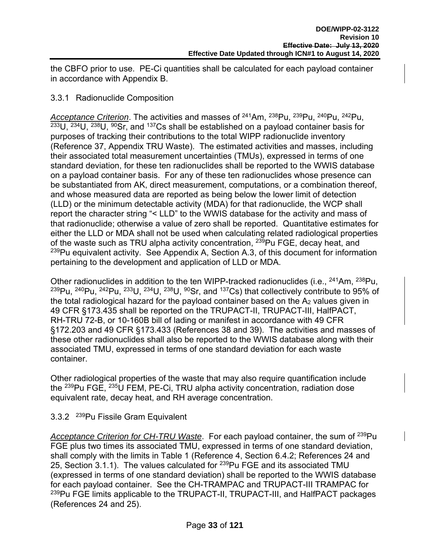the CBFO prior to use. PE-Ci quantities shall be calculated for each payload container in accordance with Appendix B.

#### 3.3.1 Radionuclide Composition

*Acceptance Criterion*. The activities and masses of 241Am, 238Pu, 239Pu, 240Pu, 242Pu,  $^{233}$ U,  $^{234}$ U,  $^{238}$ U,  $^{90}$ Sr, and  $^{137}$ Cs shall be established on a payload container basis for purposes of tracking their contributions to the total WIPP radionuclide inventory (Reference 37, Appendix TRU Waste). The estimated activities and masses, including their associated total measurement uncertainties (TMUs), expressed in terms of one standard deviation, for these ten radionuclides shall be reported to the WWIS database on a payload container basis. For any of these ten radionuclides whose presence can be substantiated from AK, direct measurement, computations, or a combination thereof, and whose measured data are reported as being below the lower limit of detection (LLD) or the minimum detectable activity (MDA) for that radionuclide, the WCP shall report the character string "< LLD" to the WWIS database for the activity and mass of that radionuclide; otherwise a value of zero shall be reported. Quantitative estimates for either the LLD or MDA shall not be used when calculating related radiological properties of the waste such as TRU alpha activity concentration, <sup>239</sup>Pu FGE, decay heat, and  $239$ Pu equivalent activity. See Appendix A, Section A.3, of this document for information pertaining to the development and application of LLD or MDA.

Other radionuclides in addition to the ten WIPP-tracked radionuclides (i.e., <sup>241</sup>Am, <sup>238</sup>Pu, 239Pu, 240Pu, 242Pu, 233U, 234U, 238U, 90Sr, and 137Cs) that collectively contribute to 95% of the total radiological hazard for the payload container based on the  $A<sub>2</sub>$  values given in 49 CFR §173.435 shall be reported on the TRUPACT-II, TRUPACT-III, HalfPACT, RH-TRU 72-B, or 10-160B bill of lading or manifest in accordance with 49 CFR §172.203 and 49 CFR §173.433 (References 38 and 39). The activities and masses of these other radionuclides shall also be reported to the WWIS database along with their associated TMU, expressed in terms of one standard deviation for each waste container.

Other radiological properties of the waste that may also require quantification include the 239Pu FGE, 235U FEM, PE-Ci, TRU alpha activity concentration, radiation dose equivalent rate, decay heat, and RH average concentration.

#### 3.3.2 239Pu Fissile Gram Equivalent

*Acceptance Criterion for CH-TRU Waste*. For each payload container, the sum of 239Pu FGE plus two times its associated TMU, expressed in terms of one standard deviation, shall comply with the limits in Table 1 (Reference 4, Section 6.4.2; References 24 and 25, Section 3.1.1). The values calculated for <sup>239</sup>Pu FGE and its associated TMU (expressed in terms of one standard deviation) shall be reported to the WWIS database for each payload container. See the CH-TRAMPAC and TRUPACT-III TRAMPAC for <sup>239</sup>Pu FGE limits applicable to the TRUPACT-II, TRUPACT-III, and HalfPACT packages (References 24 and 25).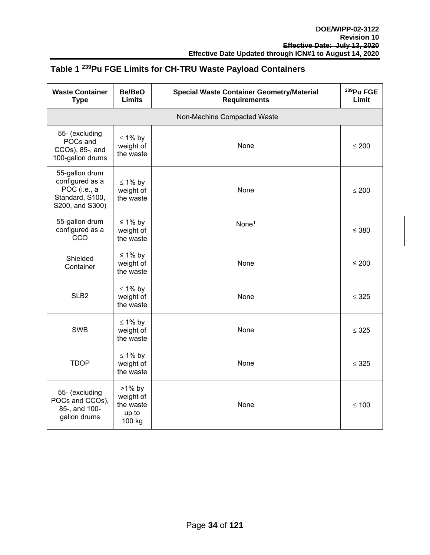### **Table 1 239Pu FGE Limits for CH-TRU Waste Payload Containers**

| <b>Waste Container</b><br><b>Type</b>                                                   | Be/BeO<br><b>Limits</b>                                | <b>Special Waste Container Geometry/Material</b><br><b>Requirements</b> | <sup>239</sup> Pu FGE<br>Limit |  |  |
|-----------------------------------------------------------------------------------------|--------------------------------------------------------|-------------------------------------------------------------------------|--------------------------------|--|--|
| Non-Machine Compacted Waste                                                             |                                                        |                                                                         |                                |  |  |
| 55- (excluding<br>POCs and<br>CCOs), 85-, and<br>100-gallon drums                       | $\leq 1\%$ by<br>weight of<br>the waste                | None                                                                    | $\leq 200$                     |  |  |
| 55-gallon drum<br>configured as a<br>POC (i.e., a<br>Standard, S100,<br>S200, and S300) | $\leq 1\%$ by<br>weight of<br>the waste                | None                                                                    | $\leq 200$                     |  |  |
| 55-gallon drum<br>configured as a<br><b>CCO</b>                                         | ≤ 1% by<br>weight of<br>the waste                      | None <sup>1</sup>                                                       | $\leq 380$                     |  |  |
| Shielded<br>Container                                                                   | ≤ 1% by<br>weight of<br>the waste                      | None                                                                    | ≤ 200                          |  |  |
| SLB <sub>2</sub>                                                                        | $\leq 1\%$ by<br>weight of<br>the waste                | None                                                                    | $\leq$ 325                     |  |  |
| <b>SWB</b>                                                                              | $\leq 1\%$ by<br>weight of<br>the waste                | None                                                                    | $\leq$ 325                     |  |  |
| <b>TDOP</b>                                                                             | $\leq 1\%$ by<br>weight of<br>the waste                | None                                                                    | $\leq$ 325                     |  |  |
| 55- (excluding<br>POCs and CCOs),<br>85-, and 100-<br>gallon drums                      | $>1\%$ by<br>weight of<br>the waste<br>up to<br>100 kg | None                                                                    | $\leq 100$                     |  |  |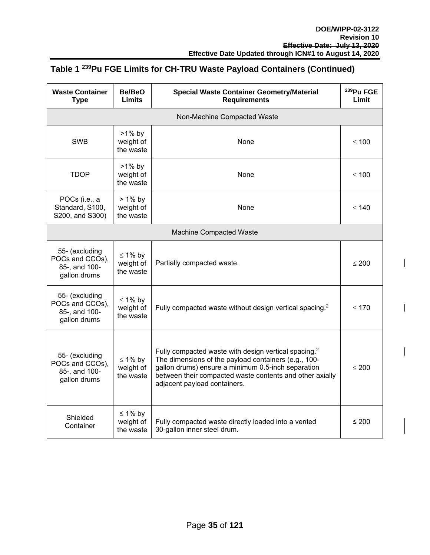### **Table 1 239Pu FGE Limits for CH-TRU Waste Payload Containers (Continued)**

| <b>Waste Container</b><br><b>Type</b>                              | Be/BeO<br><b>Limits</b>                 | <b>Special Waste Container Geometry/Material</b><br><b>Requirements</b>                                                                                                                                                                                                    | <sup>239</sup> Pu FGE<br>Limit |  |
|--------------------------------------------------------------------|-----------------------------------------|----------------------------------------------------------------------------------------------------------------------------------------------------------------------------------------------------------------------------------------------------------------------------|--------------------------------|--|
| Non-Machine Compacted Waste                                        |                                         |                                                                                                                                                                                                                                                                            |                                |  |
| <b>SWB</b>                                                         | $>1\%$ by<br>weight of<br>the waste     | None                                                                                                                                                                                                                                                                       | $\leq 100$                     |  |
| <b>TDOP</b>                                                        | $>1\%$ by<br>weight of<br>the waste     | None                                                                                                                                                                                                                                                                       | $\leq 100$                     |  |
| POCs (i.e., a<br>Standard, S100,<br>S200, and S300)                | $> 1\%$ by<br>weight of<br>the waste    | None                                                                                                                                                                                                                                                                       | $\leq 140$                     |  |
| <b>Machine Compacted Waste</b>                                     |                                         |                                                                                                                                                                                                                                                                            |                                |  |
| 55- (excluding<br>POCs and CCOs),<br>85-, and 100-<br>gallon drums | $\leq 1\%$ by<br>weight of<br>the waste | Partially compacted waste.                                                                                                                                                                                                                                                 | $\leq 200$                     |  |
| 55- (excluding<br>POCs and CCOs),<br>85-, and 100-<br>gallon drums | $\leq 1\%$ by<br>weight of<br>the waste | Fully compacted waste without design vertical spacing. <sup>2</sup>                                                                                                                                                                                                        | $\leq 170$                     |  |
| 55- (excluding<br>POCs and CCOs),<br>85-, and 100-<br>gallon drums | $\leq 1\%$ by<br>weight of<br>the waste | Fully compacted waste with design vertical spacing. <sup>2</sup><br>The dimensions of the payload containers (e.g., 100-<br>gallon drums) ensure a minimum 0.5-inch separation<br>between their compacted waste contents and other axially<br>adjacent payload containers. | $\leq 200$                     |  |
| Shielded<br>Container                                              | ≤ 1% by<br>weight of<br>the waste       | Fully compacted waste directly loaded into a vented<br>30-gallon inner steel drum.                                                                                                                                                                                         | $\leq 200$                     |  |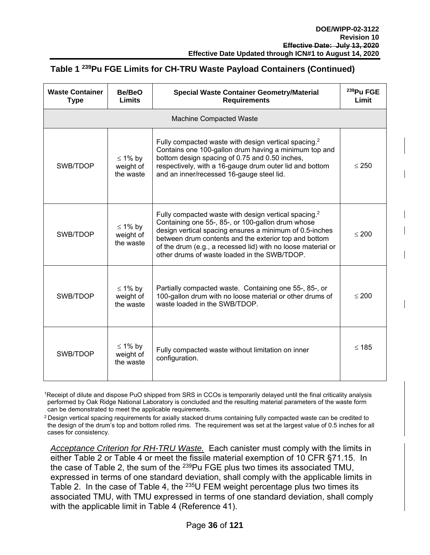## **Table 1 239Pu FGE Limits for CH-TRU Waste Payload Containers (Continued)**

| <b>Waste Container</b><br><b>Type</b> | Be/BeO<br><b>Limits</b>                 | <b>Special Waste Container Geometry/Material</b><br><b>Requirements</b>                                                                                                                                                                                                                                                                                   | <sup>239</sup> Pu FGE<br>Limit |  |  |  |  |  |  |
|---------------------------------------|-----------------------------------------|-----------------------------------------------------------------------------------------------------------------------------------------------------------------------------------------------------------------------------------------------------------------------------------------------------------------------------------------------------------|--------------------------------|--|--|--|--|--|--|
| <b>Machine Compacted Waste</b>        |                                         |                                                                                                                                                                                                                                                                                                                                                           |                                |  |  |  |  |  |  |
| SWB/TDOP                              | $\leq 1\%$ by<br>weight of<br>the waste | Fully compacted waste with design vertical spacing. <sup>2</sup><br>Contains one 100-gallon drum having a minimum top and<br>bottom design spacing of 0.75 and 0.50 inches,<br>respectively, with a 16-gauge drum outer lid and bottom<br>and an inner/recessed 16-gauge steel lid.                                                                       | $\leq 250$                     |  |  |  |  |  |  |
| SWB/TDOP                              | $\leq 1\%$ by<br>weight of<br>the waste | Fully compacted waste with design vertical spacing. <sup>2</sup><br>Containing one 55-, 85-, or 100-gallon drum whose<br>design vertical spacing ensures a minimum of 0.5-inches<br>between drum contents and the exterior top and bottom<br>of the drum (e.g., a recessed lid) with no loose material or<br>other drums of waste loaded in the SWB/TDOP. | $\leq 200$                     |  |  |  |  |  |  |
| SWB/TDOP                              | $\leq 1\%$ by<br>weight of<br>the waste | Partially compacted waste. Containing one 55-, 85-, or<br>100-gallon drum with no loose material or other drums of<br>waste loaded in the SWB/TDOP.                                                                                                                                                                                                       | < 200                          |  |  |  |  |  |  |
| SWB/TDOP                              | $\leq 1\%$ by<br>weight of<br>the waste | Fully compacted waste without limitation on inner<br>configuration.                                                                                                                                                                                                                                                                                       | $\leq 185$                     |  |  |  |  |  |  |

1Receipt of dilute and dispose PuO shipped from SRS in CCOs is temporarily delayed until the final criticality analysis performed by Oak Ridge National Laboratory is concluded and the resulting material parameters of the waste form can be demonstrated to meet the applicable requirements.

 $2$  Design vertical spacing requirements for axially stacked drums containing fully compacted waste can be credited to the design of the drum's top and bottom rolled rims. The requirement was set at the largest value of 0.5 inches for all cases for consistency.

*Acceptance Criterion for RH-TRU Waste.* Each canister must comply with the limits in either Table 2 or Table 4 or meet the fissile material exemption of 10 CFR §71.15. In the case of Table 2, the sum of the  $239$ Pu FGE plus two times its associated TMU, expressed in terms of one standard deviation, shall comply with the applicable limits in Table 2. In the case of Table 4, the  $235U$  FEM weight percentage plus two times its associated TMU, with TMU expressed in terms of one standard deviation, shall comply with the applicable limit in Table 4 (Reference 41).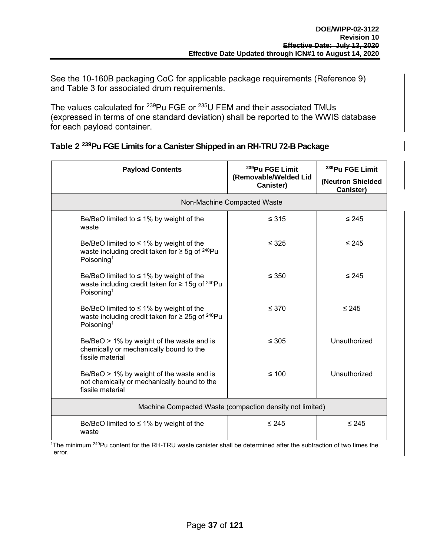See the 10-160B packaging CoC for applicable package requirements (Reference 9) and Table 3 for associated drum requirements.

The values calculated for <sup>239</sup>Pu FGE or <sup>235</sup>U FEM and their associated TMUs (expressed in terms of one standard deviation) shall be reported to the WWIS database for each payload container.

| <b>Payload Contents</b>                                                                                                                     | <sup>239</sup> Pu FGE Limit<br>(Removable/Welded Lid<br>Canister) | <sup>239</sup> Pu FGE Limit<br>(Neutron Shielded<br>Canister) |  |  |  |  |  |  |  |
|---------------------------------------------------------------------------------------------------------------------------------------------|-------------------------------------------------------------------|---------------------------------------------------------------|--|--|--|--|--|--|--|
| Non-Machine Compacted Waste                                                                                                                 |                                                                   |                                                               |  |  |  |  |  |  |  |
| Be/BeO limited to $\leq$ 1% by weight of the<br>waste                                                                                       | $\leq 315$                                                        | $\leq 245$                                                    |  |  |  |  |  |  |  |
| Be/BeO limited to $\leq$ 1% by weight of the<br>waste including credit taken for $\geq$ 5g of <sup>240</sup> Pu<br>Poisoning <sup>1</sup>   | $\leq$ 325                                                        | $\leq 245$                                                    |  |  |  |  |  |  |  |
| Be/BeO limited to $\leq$ 1% by weight of the<br>waste including credit taken for $\geq 15$ g of <sup>240</sup> Pu<br>Poisoning <sup>1</sup> | $\leq 350$                                                        | $\leq 245$                                                    |  |  |  |  |  |  |  |
| Be/BeO limited to $\leq$ 1% by weight of the<br>waste including credit taken for $\geq 25$ g of <sup>240</sup> Pu<br>Poisoning <sup>1</sup> | $\leq 370$                                                        | $\leq 245$                                                    |  |  |  |  |  |  |  |
| $Be/BeO$ > 1% by weight of the waste and is<br>chemically or mechanically bound to the<br>fissile material                                  | $\leq 305$                                                        | Unauthorized                                                  |  |  |  |  |  |  |  |
| $Be/BeO > 1\%$ by weight of the waste and is<br>not chemically or mechanically bound to the<br>fissile material                             | $≤ 100$                                                           | Unauthorized                                                  |  |  |  |  |  |  |  |
| Machine Compacted Waste (compaction density not limited)                                                                                    |                                                                   |                                                               |  |  |  |  |  |  |  |
| Be/BeO limited to $\leq$ 1% by weight of the<br>waste                                                                                       | $\leq 245$                                                        | $\leq 245$                                                    |  |  |  |  |  |  |  |

|  |  |  | Table 2 <sup>239</sup> Pu FGE Limits for a Canister Shipped in an RH-TRU 72-B Package |  |
|--|--|--|---------------------------------------------------------------------------------------|--|
|  |  |  |                                                                                       |  |

 $1$ The minimum  $240$ Pu content for the RH-TRU waste canister shall be determined after the subtraction of two times the error.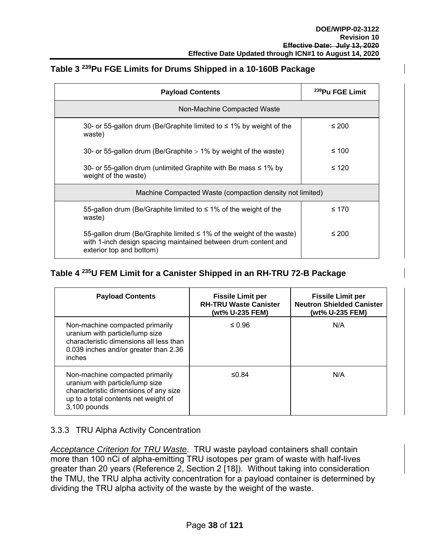## **Table 3 239Pu FGE Limits for Drums Shipped in a 10-160B Package**

| <b>Payload Contents</b>                                                                                                                                                 | <sup>239</sup> Pu FGE Limit |
|-------------------------------------------------------------------------------------------------------------------------------------------------------------------------|-----------------------------|
| Non-Machine Compacted Waste                                                                                                                                             |                             |
| 30- or 55-gallon drum (Be/Graphite limited to $\leq$ 1% by weight of the<br>waste)                                                                                      | ≤ 200                       |
| 30- or 55-gallon drum (Be/Graphite $> 1\%$ by weight of the waste)                                                                                                      | ≤ 100                       |
| 30- or 55-gallon drum (unlimited Graphite with Be mass $\leq 1\%$ by<br>weight of the waste)                                                                            | $\leq 120$                  |
| Machine Compacted Waste (compaction density not limited)                                                                                                                |                             |
| 55-gallon drum (Be/Graphite limited to $\leq$ 1% of the weight of the<br>waste)                                                                                         | ≤ 170                       |
| 55-gallon drum (Be/Graphite limited $\leq$ 1% of the weight of the waste)<br>with 1-inch design spacing maintained between drum content and<br>exterior top and bottom) | $\leq 200$                  |

## **Table 4 235U FEM Limit for a Canister Shipped in an RH-TRU 72-B Package**

| <b>Payload Contents</b>                                                                                                                                             | <b>Fissile Limit per</b><br><b>RH-TRU Waste Canister</b><br>(wt% U-235 FEM) | <b>Fissile Limit per</b><br><b>Neutron Shielded Canister</b><br>(wt% U-235 FEM) |
|---------------------------------------------------------------------------------------------------------------------------------------------------------------------|-----------------------------------------------------------------------------|---------------------------------------------------------------------------------|
| Non-machine compacted primarily<br>uranium with particle/lump size<br>characteristic dimensions all less than<br>0.039 inches and/or greater than 2.36<br>inches    | $\leq 0.96$                                                                 | N/A                                                                             |
| Non-machine compacted primarily<br>uranium with particle/lump size<br>characteristic dimensions of any size<br>up to a total contents net weight of<br>3,100 pounds | ≤0.84                                                                       | N/A                                                                             |

#### 3.3.3 TRU Alpha Activity Concentration

*Acceptance Criterion for TRU Waste*. TRU waste payload containers shall contain more than 100 nCi of alpha-emitting TRU isotopes per gram of waste with half-lives greater than 20 years (Reference 2, Section 2 [18]). Without taking into consideration the TMU, the TRU alpha activity concentration for a payload container is determined by dividing the TRU alpha activity of the waste by the weight of the waste.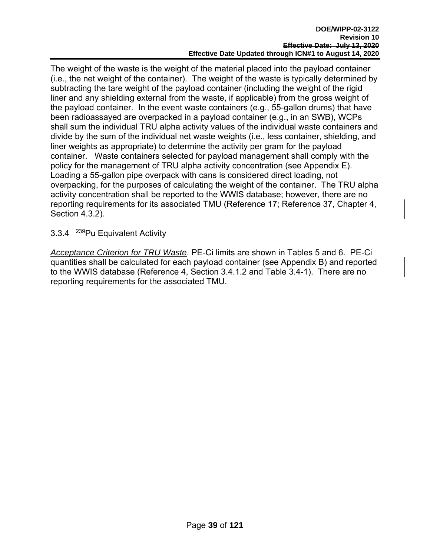The weight of the waste is the weight of the material placed into the payload container (i.e., the net weight of the container). The weight of the waste is typically determined by subtracting the tare weight of the payload container (including the weight of the rigid liner and any shielding external from the waste, if applicable) from the gross weight of the payload container. In the event waste containers (e.g., 55-gallon drums) that have been radioassayed are overpacked in a payload container (e.g., in an SWB), WCPs shall sum the individual TRU alpha activity values of the individual waste containers and divide by the sum of the individual net waste weights (i.e., less container, shielding, and liner weights as appropriate) to determine the activity per gram for the payload container. Waste containers selected for payload management shall comply with the policy for the management of TRU alpha activity concentration (see Appendix E). Loading a 55-gallon pipe overpack with cans is considered direct loading, not overpacking, for the purposes of calculating the weight of the container. The TRU alpha activity concentration shall be reported to the WWIS database; however, there are no reporting requirements for its associated TMU (Reference 17; Reference 37, Chapter 4, Section 4.3.2).

3.3.4 239Pu Equivalent Activity

*Acceptance Criterion for TRU Waste*. PE-Ci limits are shown in Tables 5 and 6. PE-Ci quantities shall be calculated for each payload container (see Appendix B) and reported to the WWIS database (Reference 4, Section 3.4.1.2 and Table 3.4-1). There are no reporting requirements for the associated TMU.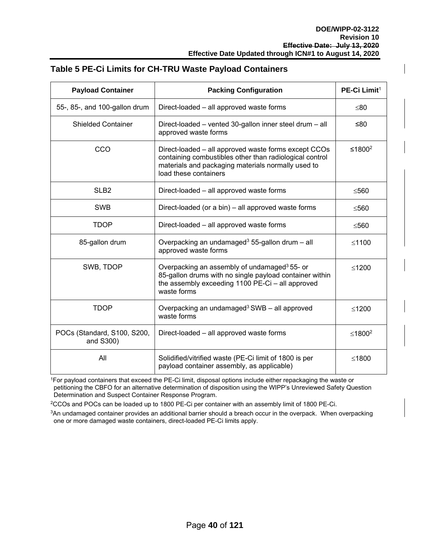| <b>Payload Container</b>                 | <b>Packing Configuration</b>                                                                                                                                                                   | PE-Ci Limit <sup>1</sup> |  |
|------------------------------------------|------------------------------------------------------------------------------------------------------------------------------------------------------------------------------------------------|--------------------------|--|
| 55-, 85-, and 100-gallon drum            | Direct-loaded - all approved waste forms                                                                                                                                                       | ≤80                      |  |
| <b>Shielded Container</b>                | Direct-loaded – vented 30-gallon inner steel drum – all<br>approved waste forms                                                                                                                | ≤80                      |  |
| CCO                                      | Direct-loaded - all approved waste forms except CCOs<br>containing combustibles other than radiological control<br>materials and packaging materials normally used to<br>load these containers | ≤1800 <sup>2</sup>       |  |
| SLB <sub>2</sub>                         | Direct-loaded - all approved waste forms                                                                                                                                                       | ≤560                     |  |
| <b>SWB</b>                               | Direct-loaded (or a bin) - all approved waste forms                                                                                                                                            | ≤560                     |  |
| <b>TDOP</b>                              | Direct-loaded – all approved waste forms                                                                                                                                                       | ≤560                     |  |
| 85-gallon drum                           | Overpacking an undamaged <sup>3</sup> 55-gallon drum - all<br>approved waste forms                                                                                                             | $≤1100$                  |  |
| SWB, TDOP                                | Overpacking an assembly of undamaged <sup>3</sup> 55- or<br>85-gallon drums with no single payload container within<br>the assembly exceeding 1100 PE-Ci - all approved<br>waste forms         | $≤1200$                  |  |
| <b>TDOP</b>                              | Overpacking an undamaged <sup>3</sup> SWB - all approved<br>waste forms                                                                                                                        | $≤1200$                  |  |
| POCs (Standard, S100, S200,<br>and S300) | Direct-loaded – all approved waste forms                                                                                                                                                       | ≤1800 <sup>2</sup>       |  |
| All                                      | Solidified/vitrified waste (PE-Ci limit of 1800 is per<br>payload container assembly, as applicable)                                                                                           | $≤1800$                  |  |

#### **Table 5 PE-Ci Limits for CH-TRU Waste Payload Containers**

1For payload containers that exceed the PE-Ci limit, disposal options include either repackaging the waste or petitioning the CBFO for an alternative determination of disposition using the WIPP's Unreviewed Safety Question Determination and Suspect Container Response Program.

2CCOs and POCs can be loaded up to 1800 PE-Ci per container with an assembly limit of 1800 PE-Ci.

<sup>3</sup>An undamaged container provides an additional barrier should a breach occur in the overpack. When overpacking one or more damaged waste containers, direct-loaded PE-Ci limits apply.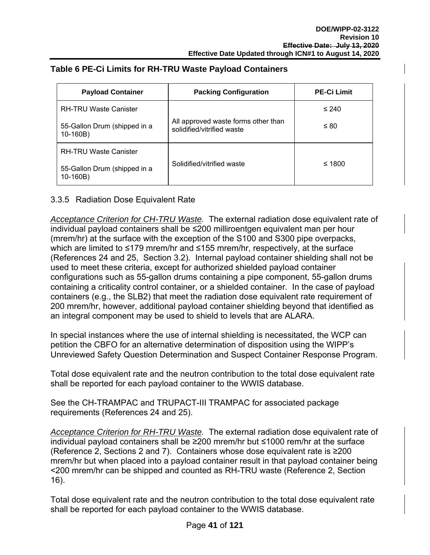| <b>Payload Container</b>                   | <b>Packing Configuration</b>                                      | <b>PE-Ci Limit</b> |  |  |
|--------------------------------------------|-------------------------------------------------------------------|--------------------|--|--|
| <b>RH-TRU Waste Canister</b>               |                                                                   | $\leq 240$         |  |  |
| 55-Gallon Drum (shipped in a<br>$10-160B)$ | All approved waste forms other than<br>solidified/vitrified waste | $\leq 80$          |  |  |
| <b>RH-TRU Waste Canister</b>               |                                                                   |                    |  |  |
| 55-Gallon Drum (shipped in a<br>$10-160B)$ | Solidified/vitrified waste                                        | ≤ 1800             |  |  |

## **Table 6 PE-Ci Limits for RH-TRU Waste Payload Containers**

## 3.3.5 Radiation Dose Equivalent Rate

*Acceptance Criterion for CH-TRU Waste.* The external radiation dose equivalent rate of individual payload containers shall be ≤200 milliroentgen equivalent man per hour (mrem/hr) at the surface with the exception of the S100 and S300 pipe overpacks, which are limited to ≤179 mrem/hr and ≤155 mrem/hr, respectively, at the surface (References 24 and 25, Section 3.2). Internal payload container shielding shall not be used to meet these criteria, except for authorized shielded payload container configurations such as 55-gallon drums containing a pipe component, 55-gallon drums containing a criticality control container, or a shielded container. In the case of payload containers (e.g., the SLB2) that meet the radiation dose equivalent rate requirement of 200 mrem/hr, however, additional payload container shielding beyond that identified as an integral component may be used to shield to levels that are ALARA.

In special instances where the use of internal shielding is necessitated, the WCP can petition the CBFO for an alternative determination of disposition using the WIPP's Unreviewed Safety Question Determination and Suspect Container Response Program.

Total dose equivalent rate and the neutron contribution to the total dose equivalent rate shall be reported for each payload container to the WWIS database.

See the CH-TRAMPAC and TRUPACT-III TRAMPAC for associated package requirements (References 24 and 25).

*Acceptance Criterion for RH-TRU Waste.* The external radiation dose equivalent rate of individual payload containers shall be ≥200 mrem/hr but ≤1000 rem/hr at the surface (Reference 2, Sections 2 and 7). Containers whose dose equivalent rate is ≥200 mrem/hr but when placed into a payload container result in that payload container being <200 mrem/hr can be shipped and counted as RH-TRU waste (Reference 2, Section 16).

Total dose equivalent rate and the neutron contribution to the total dose equivalent rate shall be reported for each payload container to the WWIS database.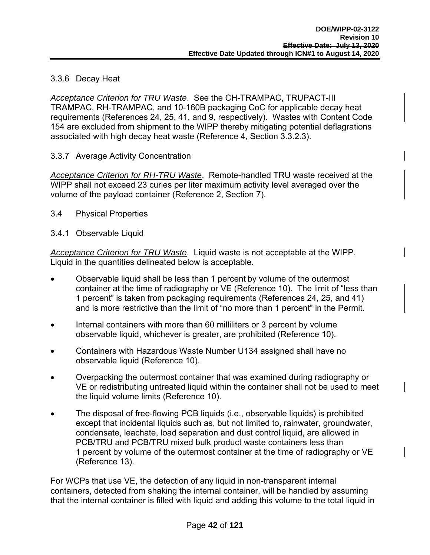## 3.3.6 Decay Heat

*Acceptance Criterion for TRU Waste*. See the CH-TRAMPAC, TRUPACT-III TRAMPAC, RH-TRAMPAC, and 10-160B packaging CoC for applicable decay heat requirements (References 24, 25, 41, and 9, respectively). Wastes with Content Code 154 are excluded from shipment to the WIPP thereby mitigating potential deflagrations associated with high decay heat waste (Reference 4, Section 3.3.2.3).

3.3.7 Average Activity Concentration

*Acceptance Criterion for RH-TRU Waste*. Remote-handled TRU waste received at the WIPP shall not exceed 23 curies per liter maximum activity level averaged over the volume of the payload container (Reference 2, Section 7).

3.4 Physical Properties

## 3.4.1 Observable Liquid

*Acceptance Criterion for TRU Waste*. Liquid waste is not acceptable at the WIPP. Liquid in the quantities delineated below is acceptable.

- Observable liquid shall be less than 1 percent by volume of the outermost container at the time of radiography or VE (Reference 10). The limit of "less than 1 percent" is taken from packaging requirements (References 24, 25, and 41) and is more restrictive than the limit of "no more than 1 percent" in the Permit.
- Internal containers with more than 60 milliliters or 3 percent by volume observable liquid, whichever is greater, are prohibited (Reference 10).
- Containers with Hazardous Waste Number U134 assigned shall have no observable liquid (Reference 10).
- Overpacking the outermost container that was examined during radiography or VE or redistributing untreated liquid within the container shall not be used to meet the liquid volume limits (Reference 10).
- The disposal of free-flowing PCB liquids (i.e., observable liquids) is prohibited except that incidental liquids such as, but not limited to, rainwater, groundwater, condensate, leachate, load separation and dust control liquid, are allowed in PCB/TRU and PCB/TRU mixed bulk product waste containers less than 1 percent by volume of the outermost container at the time of radiography or VE (Reference 13).

For WCPs that use VE, the detection of any liquid in non-transparent internal containers, detected from shaking the internal container, will be handled by assuming that the internal container is filled with liquid and adding this volume to the total liquid in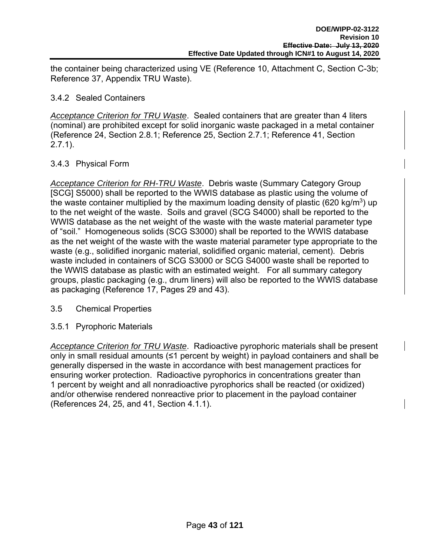the container being characterized using VE (Reference 10, Attachment C, Section C-3b; Reference 37, Appendix TRU Waste).

## 3.4.2 Sealed Containers

*Acceptance Criterion for TRU Waste*. Sealed containers that are greater than 4 liters (nominal) are prohibited except for solid inorganic waste packaged in a metal container (Reference 24, Section 2.8.1; Reference 25, Section 2.7.1; Reference 41, Section 2.7.1).

## 3.4.3 Physical Form

*Acceptance Criterion for RH-TRU Waste*. Debris waste (Summary Category Group [SCG] S5000) shall be reported to the WWIS database as plastic using the volume of the waste container multiplied by the maximum loading density of plastic (620 kg/m<sup>3</sup>) up to the net weight of the waste. Soils and gravel (SCG S4000) shall be reported to the WWIS database as the net weight of the waste with the waste material parameter type of "soil." Homogeneous solids (SCG S3000) shall be reported to the WWIS database as the net weight of the waste with the waste material parameter type appropriate to the waste (e.g., solidified inorganic material, solidified organic material, cement). Debris waste included in containers of SCG S3000 or SCG S4000 waste shall be reported to the WWIS database as plastic with an estimated weight. For all summary category groups, plastic packaging (e.g., drum liners) will also be reported to the WWIS database as packaging (Reference 17, Pages 29 and 43).

#### 3.5 Chemical Properties

## 3.5.1 Pyrophoric Materials

*Acceptance Criterion for TRU Waste*. Radioactive pyrophoric materials shall be present only in small residual amounts (≤1 percent by weight) in payload containers and shall be generally dispersed in the waste in accordance with best management practices for ensuring worker protection. Radioactive pyrophorics in concentrations greater than 1 percent by weight and all nonradioactive pyrophorics shall be reacted (or oxidized) and/or otherwise rendered nonreactive prior to placement in the payload container (References 24, 25, and 41, Section 4.1.1).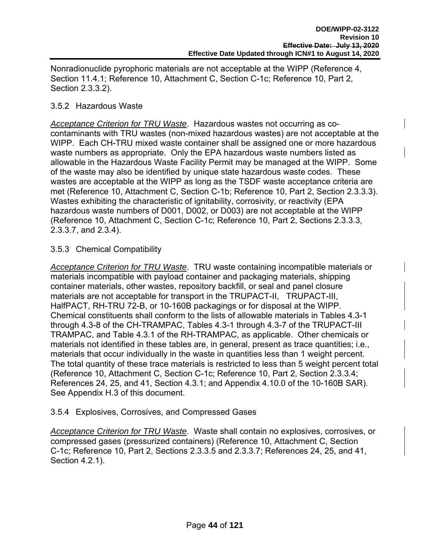Nonradionuclide pyrophoric materials are not acceptable at the WIPP (Reference 4, Section 11.4.1; Reference 10, Attachment C, Section C-1c; Reference 10, Part 2, Section 2.3.3.2).

## 3.5.2 Hazardous Waste

*Acceptance Criterion for TRU Waste*. Hazardous wastes not occurring as cocontaminants with TRU wastes (non-mixed hazardous wastes) are not acceptable at the WIPP. Each CH-TRU mixed waste container shall be assigned one or more hazardous waste numbers as appropriate. Only the EPA hazardous waste numbers listed as allowable in the Hazardous Waste Facility Permit may be managed at the WIPP. Some of the waste may also be identified by unique state hazardous waste codes. These wastes are acceptable at the WIPP as long as the TSDF waste acceptance criteria are met (Reference 10, Attachment C, Section C-1b; Reference 10, Part 2, Section 2.3.3.3). Wastes exhibiting the characteristic of ignitability, corrosivity, or reactivity (EPA) hazardous waste numbers of D001, D002, or D003) are not acceptable at the WIPP (Reference 10, Attachment C, Section C-1c; Reference 10, Part 2, Sections 2.3.3.3, 2.3.3.7, and 2.3.4).

## 3.5.3 Chemical Compatibility

*Acceptance Criterion for TRU Waste*. TRU waste containing incompatible materials or materials incompatible with payload container and packaging materials, shipping container materials, other wastes, repository backfill, or seal and panel closure materials are not acceptable for transport in the TRUPACT-II, TRUPACT-III, HalfPACT, RH-TRU 72-B, or 10-160B packagings or for disposal at the WIPP. Chemical constituents shall conform to the lists of allowable materials in Tables 4.3-1 through 4.3-8 of the CH-TRAMPAC, Tables 4.3-1 through 4.3-7 of the TRUPACT-III TRAMPAC, and Table 4.3.1 of the RH-TRAMPAC, as applicable. Other chemicals or materials not identified in these tables are, in general, present as trace quantities; i.e., materials that occur individually in the waste in quantities less than 1 weight percent. The total quantity of these trace materials is restricted to less than 5 weight percent total (Reference 10, Attachment C, Section C-1c; Reference 10, Part 2, Section 2.3.3.4; References 24, 25, and 41, Section 4.3.1; and Appendix 4.10.0 of the 10-160B SAR). See Appendix H.3 of this document.

#### 3.5.4 Explosives, Corrosives, and Compressed Gases

*Acceptance Criterion for TRU Waste*. Waste shall contain no explosives, corrosives, or compressed gases (pressurized containers) (Reference 10, Attachment C, Section C-1c; Reference 10, Part 2, Sections 2.3.3.5 and 2.3.3.7; References 24, 25, and 41, Section 4.2.1).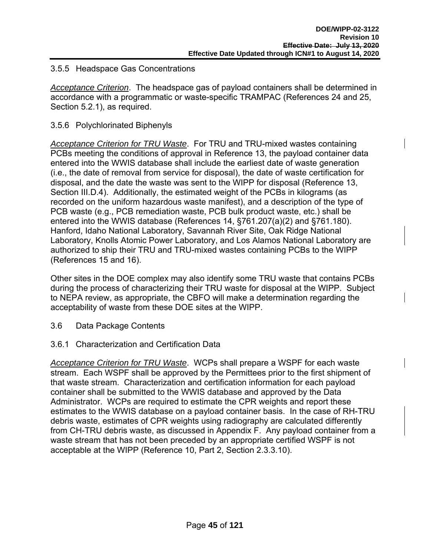#### 3.5.5 Headspace Gas Concentrations

*Acceptance Criterion*. The headspace gas of payload containers shall be determined in accordance with a programmatic or waste-specific TRAMPAC (References 24 and 25, Section 5.2.1), as required.

## 3.5.6 Polychlorinated Biphenyls

*Acceptance Criterion for TRU Waste*. For TRU and TRU-mixed wastes containing PCBs meeting the conditions of approval in Reference 13, the payload container data entered into the WWIS database shall include the earliest date of waste generation (i.e., the date of removal from service for disposal), the date of waste certification for disposal, and the date the waste was sent to the WIPP for disposal (Reference 13, Section III.D.4). Additionally, the estimated weight of the PCBs in kilograms (as recorded on the uniform hazardous waste manifest), and a description of the type of PCB waste (e.g., PCB remediation waste, PCB bulk product waste, etc.) shall be entered into the WWIS database (References 14, §761.207(a)(2) and §761.180). Hanford, Idaho National Laboratory, Savannah River Site, Oak Ridge National Laboratory, Knolls Atomic Power Laboratory, and Los Alamos National Laboratory are authorized to ship their TRU and TRU-mixed wastes containing PCBs to the WIPP (References 15 and 16).

Other sites in the DOE complex may also identify some TRU waste that contains PCBs during the process of characterizing their TRU waste for disposal at the WIPP. Subject to NEPA review, as appropriate, the CBFO will make a determination regarding the acceptability of waste from these DOE sites at the WIPP.

- 3.6 Data Package Contents
- 3.6.1 Characterization and Certification Data

*Acceptance Criterion for TRU Waste*. WCPs shall prepare a WSPF for each waste stream. Each WSPF shall be approved by the Permittees prior to the first shipment of that waste stream. Characterization and certification information for each payload container shall be submitted to the WWIS database and approved by the Data Administrator. WCPs are required to estimate the CPR weights and report these estimates to the WWIS database on a payload container basis. In the case of RH-TRU debris waste, estimates of CPR weights using radiography are calculated differently from CH-TRU debris waste, as discussed in Appendix F. Any payload container from a waste stream that has not been preceded by an appropriate certified WSPF is not acceptable at the WIPP (Reference 10, Part 2, Section 2.3.3.10).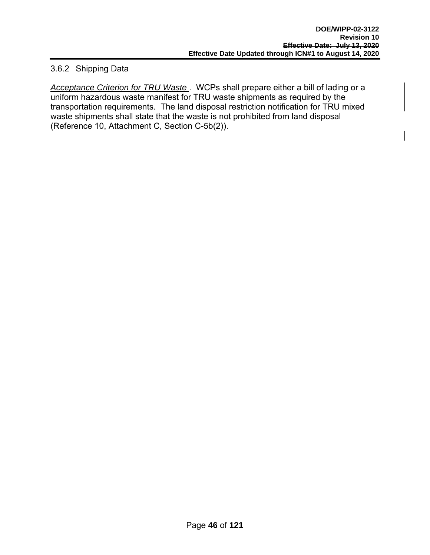## 3.6.2 Shipping Data

*Acceptance Criterion for TRU Waste* . WCPs shall prepare either a bill of lading or a uniform hazardous waste manifest for TRU waste shipments as required by the transportation requirements. The land disposal restriction notification for TRU mixed waste shipments shall state that the waste is not prohibited from land disposal (Reference 10, Attachment C, Section C-5b(2)).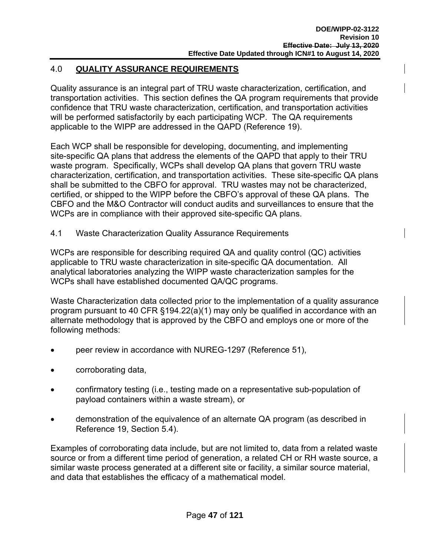## 4.0 **QUALITY ASSURANCE REQUIREMENTS**

Quality assurance is an integral part of TRU waste characterization, certification, and transportation activities. This section defines the QA program requirements that provide confidence that TRU waste characterization, certification, and transportation activities will be performed satisfactorily by each participating WCP. The QA requirements applicable to the WIPP are addressed in the QAPD (Reference 19).

Each WCP shall be responsible for developing, documenting, and implementing site-specific QA plans that address the elements of the QAPD that apply to their TRU waste program. Specifically, WCPs shall develop QA plans that govern TRU waste characterization, certification, and transportation activities. These site-specific QA plans shall be submitted to the CBFO for approval. TRU wastes may not be characterized, certified, or shipped to the WIPP before the CBFO's approval of these QA plans. The CBFO and the M&O Contractor will conduct audits and surveillances to ensure that the WCPs are in compliance with their approved site-specific QA plans.

4.1 Waste Characterization Quality Assurance Requirements

WCPs are responsible for describing required QA and quality control (QC) activities applicable to TRU waste characterization in site-specific QA documentation. All analytical laboratories analyzing the WIPP waste characterization samples for the WCPs shall have established documented QA/QC programs.

Waste Characterization data collected prior to the implementation of a quality assurance program pursuant to 40 CFR §194.22(a)(1) may only be qualified in accordance with an alternate methodology that is approved by the CBFO and employs one or more of the following methods:

- peer review in accordance with NUREG-1297 (Reference 51),
- corroborating data,
- confirmatory testing (i.e., testing made on a representative sub-population of payload containers within a waste stream), or
- demonstration of the equivalence of an alternate QA program (as described in Reference 19, Section 5.4).

Examples of corroborating data include, but are not limited to, data from a related waste source or from a different time period of generation, a related CH or RH waste source, a similar waste process generated at a different site or facility, a similar source material, and data that establishes the efficacy of a mathematical model.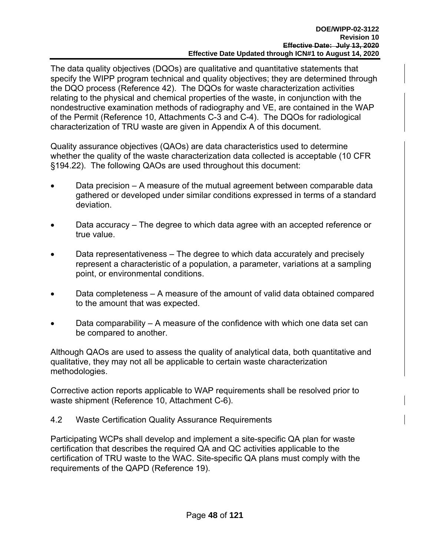The data quality objectives (DQOs) are qualitative and quantitative statements that specify the WIPP program technical and quality objectives; they are determined through the DQO process (Reference 42). The DQOs for waste characterization activities relating to the physical and chemical properties of the waste, in conjunction with the nondestructive examination methods of radiography and VE, are contained in the WAP of the Permit (Reference 10, Attachments C-3 and C-4). The DQOs for radiological characterization of TRU waste are given in Appendix A of this document.

Quality assurance objectives (QAOs) are data characteristics used to determine whether the quality of the waste characterization data collected is acceptable (10 CFR §194.22). The following QAOs are used throughout this document:

- Data precision A measure of the mutual agreement between comparable data gathered or developed under similar conditions expressed in terms of a standard deviation.
- Data accuracy The degree to which data agree with an accepted reference or true value.
- Data representativeness The degree to which data accurately and precisely represent a characteristic of a population, a parameter, variations at a sampling point, or environmental conditions.
- Data completeness A measure of the amount of valid data obtained compared to the amount that was expected.
- Data comparability A measure of the confidence with which one data set can be compared to another.

Although QAOs are used to assess the quality of analytical data, both quantitative and qualitative, they may not all be applicable to certain waste characterization methodologies.

Corrective action reports applicable to WAP requirements shall be resolved prior to waste shipment (Reference 10, Attachment C-6).

4.2 Waste Certification Quality Assurance Requirements

Participating WCPs shall develop and implement a site-specific QA plan for waste certification that describes the required QA and QC activities applicable to the certification of TRU waste to the WAC. Site-specific QA plans must comply with the requirements of the QAPD (Reference 19).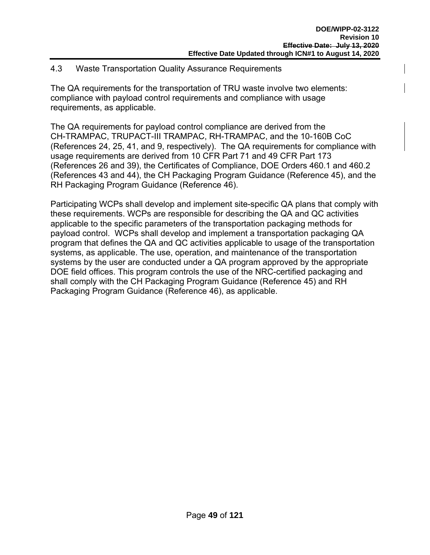## 4.3 Waste Transportation Quality Assurance Requirements

The QA requirements for the transportation of TRU waste involve two elements: compliance with payload control requirements and compliance with usage requirements, as applicable.

The QA requirements for payload control compliance are derived from the CH-TRAMPAC, TRUPACT-III TRAMPAC, RH-TRAMPAC, and the 10-160B CoC (References 24, 25, 41, and 9, respectively). The QA requirements for compliance with usage requirements are derived from 10 CFR Part 71 and 49 CFR Part 173 (References 26 and 39), the Certificates of Compliance, DOE Orders 460.1 and 460.2 (References 43 and 44), the CH Packaging Program Guidance (Reference 45), and the RH Packaging Program Guidance (Reference 46).

Participating WCPs shall develop and implement site-specific QA plans that comply with these requirements. WCPs are responsible for describing the QA and QC activities applicable to the specific parameters of the transportation packaging methods for payload control. WCPs shall develop and implement a transportation packaging QA program that defines the QA and QC activities applicable to usage of the transportation systems, as applicable. The use, operation, and maintenance of the transportation systems by the user are conducted under a QA program approved by the appropriate DOE field offices. This program controls the use of the NRC-certified packaging and shall comply with the CH Packaging Program Guidance (Reference 45) and RH Packaging Program Guidance (Reference 46), as applicable.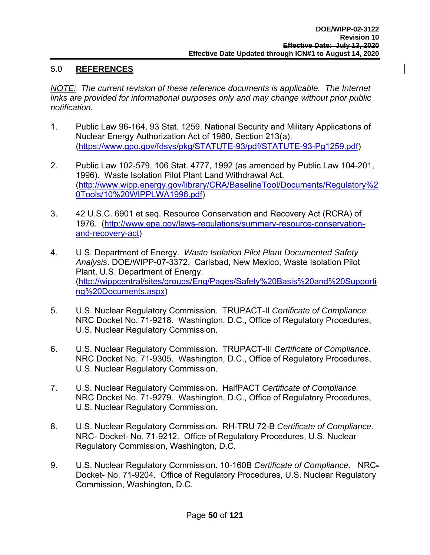## 5.0 **REFERENCES**

*NOTE:* The current revision of these reference documents is applicable. The Internet *links are provided for informational purposes only and may change without prior public notification.*

- 1. Public Law 96-164, 93 Stat. 1259. National Security and Military Applications of Nuclear Energy Authorization Act of 1980, Section 213(a). (https://www.gpo.gov/fdsys/pkg/STATUTE-93/pdf/STATUTE-93-Pg1259.pdf)
- 2. Public Law 102-579, 106 Stat. 4777, 1992 (as amended by Public Law 104-201, 1996). Waste Isolation Pilot Plant Land Withdrawal Act. (http://www.wipp.energy.gov/library/CRA/BaselineTool/Documents/Regulatory%2 0Tools/10%20WIPPLWA1996.pdf)
- 3. 42 U.S.C. 6901 et seq. Resource Conservation and Recovery Act (RCRA) of 1976. (http://www.epa.gov/laws-regulations/summary-resource-conservationand-recovery-act)
- 4. U.S. Department of Energy. *Waste Isolation Pilot Plant Documented Safety Analysis*. DOE/WIPP-07-3372. Carlsbad, New Mexico, Waste Isolation Pilot Plant, U.S. Department of Energy. (http://wippcentral/sites/groups/Eng/Pages/Safety%20Basis%20and%20Supporti ng%20Documents.aspx)
- 5. U.S. Nuclear Regulatory Commission. TRUPACT-II *Certificate of Compliance.*  NRC Docket No. 71-9218. Washington, D.C., Office of Regulatory Procedures, U.S. Nuclear Regulatory Commission.
- 6. U.S. Nuclear Regulatory Commission. TRUPACT-III *Certificate of Compliance.*  NRC Docket No. 71-9305. Washington, D.C., Office of Regulatory Procedures, U.S. Nuclear Regulatory Commission.
- 7. U.S. Nuclear Regulatory Commission. HalfPACT *Certificate of Compliance.*  NRC Docket No. 71-9279. Washington, D.C., Office of Regulatory Procedures, U.S. Nuclear Regulatory Commission.
- 8. U.S. Nuclear Regulatory Commission. RH-TRU 72-B *Certificate of Compliance*. NRC- Docket- No. 71-9212. Office of Regulatory Procedures, U.S. Nuclear Regulatory Commission, Washington, D.C.
- 9. U.S. Nuclear Regulatory Commission. 10-160B *Certificate of Compliance*. NRC-Docket- No. 71-9204. Office of Regulatory Procedures, U.S. Nuclear Regulatory Commission, Washington, D.C.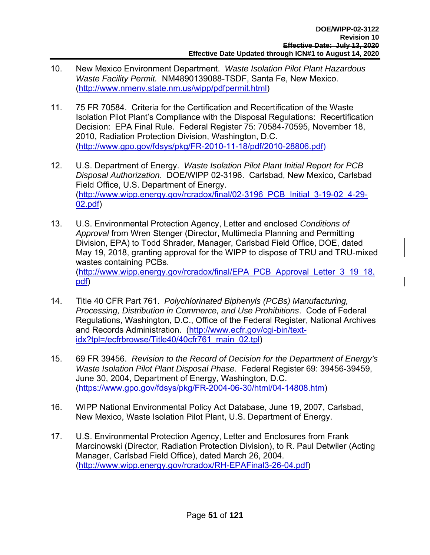- 10. New Mexico Environment Department. *Waste Isolation Pilot Plant Hazardous Waste Facility Permit.* NM4890139088-TSDF, Santa Fe, New Mexico. (http://www.nmenv.state.nm.us/wipp/pdfpermit.html)
- 11. 75 FR 70584. Criteria for the Certification and Recertification of the Waste Isolation Pilot Plant's Compliance with the Disposal Regulations: Recertification Decision: EPA Final Rule. Federal Register 75: 70584-70595, November 18, 2010, Radiation Protection Division, Washington, D.C. (http://www.gpo.gov/fdsys/pkg/FR-2010-11-18/pdf/2010-28806.pdf)
- 12. U.S. Department of Energy. *Waste Isolation Pilot Plant Initial Report for PCB Disposal Authorization*. DOE/WIPP 02-3196. Carlsbad, New Mexico, Carlsbad Field Office, U.S. Department of Energy. (http://www.wipp.energy.gov/rcradox/final/02-3196\_PCB\_Initial\_3-19-02\_4-29- 02.pdf)
- 13. U.S. Environmental Protection Agency, Letter and enclosed *Conditions of Approval* from Wren Stenger (Director, Multimedia Planning and Permitting Division, EPA) to Todd Shrader, Manager, Carlsbad Field Office, DOE, dated May 19, 2018, granting approval for the WIPP to dispose of TRU and TRU-mixed wastes containing PCBs. (http://www.wipp.energy.gov/rcradox/final/EPA\_PCB\_Approval\_Letter\_3\_19\_18. pdf)
- 14. Title 40 CFR Part 761. *Polychlorinated Biphenyls (PCBs) Manufacturing, Processing, Distribution in Commerce, and Use Prohibitions*. Code of Federal Regulations, Washington, D.C., Office of the Federal Register, National Archives and Records Administration. (http://www.ecfr.gov/cgi-bin/textidx?tpl=/ecfrbrowse/Title40/40cfr761\_main\_02.tpl)
- 15. 69 FR 39456. *Revision to the Record of Decision for the Department of Energy's Waste Isolation Pilot Plant Disposal Phase*. Federal Register 69: 39456-39459, June 30, 2004, Department of Energy, Washington, D.C. (https://www.gpo.gov/fdsys/pkg/FR-2004-06-30/html/04-14808.htm)
- 16. WIPP National Environmental Policy Act Database, June 19, 2007, Carlsbad, New Mexico, Waste Isolation Pilot Plant, U.S. Department of Energy.
- 17. U.S. Environmental Protection Agency, Letter and Enclosures from Frank Marcinowski (Director, Radiation Protection Division), to R. Paul Detwiler (Acting Manager, Carlsbad Field Office), dated March 26, 2004. (http://www.wipp.energy.gov/rcradox/RH-EPAFinal3-26-04.pdf)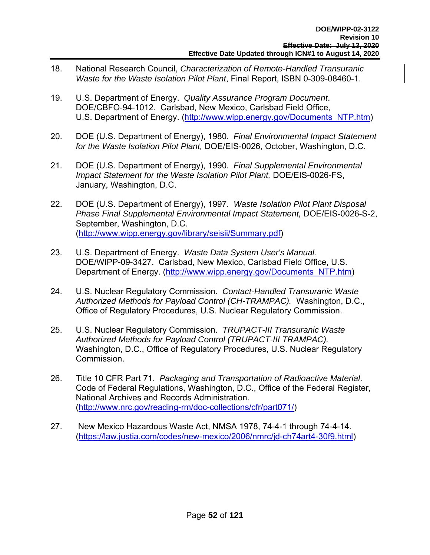- 18. National Research Council, *Characterization of Remote-Handled Transuranic Waste for the Waste Isolation Pilot Plant*, Final Report, ISBN 0-309-08460-1.
- 19. U.S. Department of Energy. *Quality Assurance Program Document*. DOE/CBFO-94-1012. Carlsbad, New Mexico, Carlsbad Field Office, U.S. Department of Energy. (http://www.wipp.energy.gov/Documents\_NTP.htm)
- 20. DOE (U.S. Department of Energy), 1980*. Final Environmental Impact Statement for the Waste Isolation Pilot Plant,* DOE/EIS-0026, October, Washington, D.C.
- 21. DOE (U.S. Department of Energy), 1990*. Final Supplemental Environmental Impact Statement for the Waste Isolation Pilot Plant,* DOE/EIS-0026-FS, January, Washington, D.C.
- 22. DOE (U.S. Department of Energy), 1997*. Waste Isolation Pilot Plant Disposal Phase Final Supplemental Environmental Impact Statement,* DOE/EIS-0026-S-2, September, Washington, D.C. (http://www.wipp.energy.gov/library/seisii/Summary.pdf)
- 23. U.S. Department of Energy. *Waste Data System User's Manual.* DOE/WIPP-09-3427. Carlsbad, New Mexico, Carlsbad Field Office, U.S. Department of Energy. (http://www.wipp.energy.gov/Documents\_NTP.htm)
- 24. U.S. Nuclear Regulatory Commission. *Contact-Handled Transuranic Waste Authorized Methods for Payload Control (CH-TRAMPAC).* Washington, D.C., Office of Regulatory Procedures, U.S. Nuclear Regulatory Commission.
- 25. U.S. Nuclear Regulatory Commission. *TRUPACT-III Transuranic Waste Authorized Methods for Payload Control (TRUPACT-III TRAMPAC).* Washington, D.C., Office of Regulatory Procedures, U.S. Nuclear Regulatory Commission.
- 26. Title 10 CFR Part 71. *Packaging and Transportation of Radioactive Material*. Code of Federal Regulations, Washington, D.C., Office of the Federal Register, National Archives and Records Administration. (http://www.nrc.gov/reading-rm/doc-collections/cfr/part071/)
- 27. New Mexico Hazardous Waste Act, NMSA 1978, 74-4-1 through 74-4-14. (https://law.justia.com/codes/new-mexico/2006/nmrc/jd-ch74art4-30f9.html)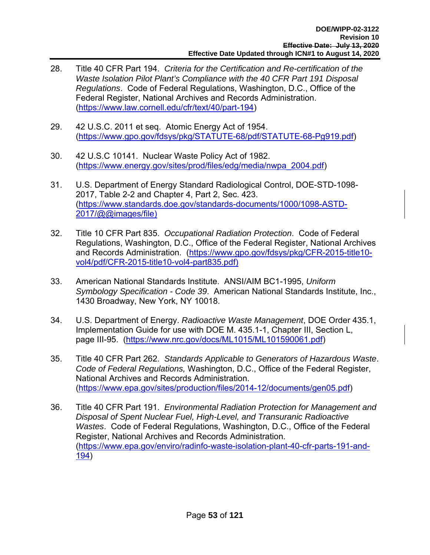- 28. Title 40 CFR Part 194. *Criteria for the Certification and Re-certification of the Waste Isolation Pilot Plant's Compliance with the 40 CFR Part 191 Disposal Regulations*. Code of Federal Regulations, Washington, D.C., Office of the Federal Register, National Archives and Records Administration. (https://www.law.cornell.edu/cfr/text/40/part-194)
- 29. 42 U.S.C. 2011 et seq. Atomic Energy Act of 1954. (https://www.gpo.gov/fdsys/pkg/STATUTE-68/pdf/STATUTE-68-Pg919.pdf)
- 30. 42 U.S.C 10141. Nuclear Waste Policy Act of 1982. (https://www.energy.gov/sites/prod/files/edg/media/nwpa\_2004.pdf)
- 31. U.S. Department of Energy Standard Radiological Control, DOE-STD-1098- 2017, Table 2-2 and Chapter 4, Part 2, Sec. 423. (https://www.standards.doe.gov/standards-documents/1000/1098-ASTD-2017/@@images/file)
- 32. Title 10 CFR Part 835. *Occupational Radiation Protection*. Code of Federal Regulations, Washington, D.C., Office of the Federal Register, National Archives and Records Administration. (https://www.gpo.gov/fdsys/pkg/CFR-2015-title10 vol4/pdf/CFR-2015-title10-vol4-part835.pdf)
- 33. American National Standards Institute. ANSI/AIM BC1-1995, *Uniform Symbology Specification - Code 39*. American National Standards Institute, Inc., 1430 Broadway, New York, NY 10018.
- 34. U.S. Department of Energy. *Radioactive Waste Management*, DOE Order 435.1, Implementation Guide for use with DOE M. 435.1-1, Chapter III, Section L, page III-95. (https://www.nrc.gov/docs/ML1015/ML101590061.pdf)
- 35. Title 40 CFR Part 262. *Standards Applicable to Generators of Hazardous Waste*. *Code of Federal Regulations,* Washington, D.C., Office of the Federal Register, National Archives and Records Administration. (https://www.epa.gov/sites/production/files/2014-12/documents/gen05.pdf)
- 36. Title 40 CFR Part 191. *Environmental Radiation Protection for Management and Disposal of Spent Nuclear Fuel, High-Level, and Transuranic Radioactive Wastes*. Code of Federal Regulations, Washington, D.C., Office of the Federal Register, National Archives and Records Administration. (https://www.epa.gov/enviro/radinfo-waste-isolation-plant-40-cfr-parts-191-and-194)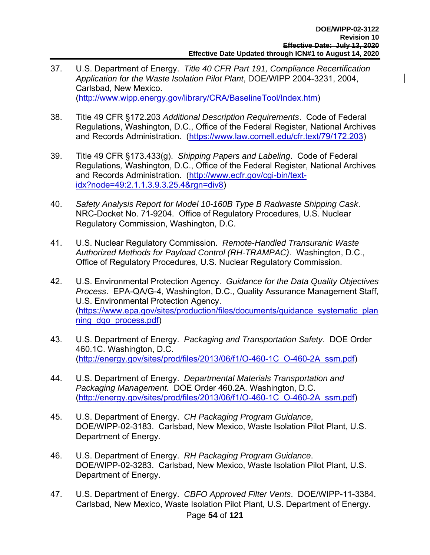- 37. U.S. Department of Energy. *Title 40 CFR Part 191, Compliance Recertification Application for the Waste Isolation Pilot Plant*, DOE/WIPP 2004-3231, 2004, Carlsbad, New Mexico. (http://www.wipp.energy.gov/library/CRA/BaselineTool/Index.htm)
- 38. Title 49 CFR §172.203 *Additional Description Requirements*. Code of Federal Regulations, Washington, D.C., Office of the Federal Register, National Archives and Records Administration. (https://www.law.cornell.edu/cfr.text/79/172.203)
- 39. Title 49 CFR §173.433(g). *Shipping Papers and Labeling*. Code of Federal Regulations*,* Washington, D.C., Office of the Federal Register, National Archives and Records Administration. (http://www.ecfr.gov/cgi-bin/textidx?node=49:2.1.1.3.9.3.25.4&rgn=div8)
- 40. *Safety Analysis Report for Model 10-160B Type B Radwaste Shipping Cask*. NRC-Docket No. 71-9204. Office of Regulatory Procedures, U.S. Nuclear Regulatory Commission, Washington, D.C.
- 41. U.S. Nuclear Regulatory Commission. *Remote-Handled Transuranic Waste Authorized Methods for Payload Control (RH-TRAMPAC)*. Washington, D.C., Office of Regulatory Procedures, U.S. Nuclear Regulatory Commission.
- 42. U.S. Environmental Protection Agency. *Guidance for the Data Quality Objectives Process*. EPA-QA/G-4, Washington, D.C., Quality Assurance Management Staff, U.S. Environmental Protection Agency. (https://www.epa.gov/sites/production/files/documents/guidance\_systematic\_plan ning\_dqo\_process.pdf)
- 43. U.S. Department of Energy. *Packaging and Transportation Safety.* DOE Order 460.1C. Washington, D.C. (http://energy.gov/sites/prod/files/2013/06/f1/O-460-1C\_O-460-2A\_ssm.pdf)
- 44. U.S. Department of Energy. *Departmental Materials Transportation and Packaging Management.* DOE Order 460.2A. Washington, D.C. (http://energy.gov/sites/prod/files/2013/06/f1/O-460-1C\_O-460-2A\_ssm.pdf)
- 45. U.S. Department of Energy. *CH Packaging Program Guidance*, DOE/WIPP-02-3183. Carlsbad, New Mexico, Waste Isolation Pilot Plant, U.S. Department of Energy.
- 46. U.S. Department of Energy. *RH Packaging Program Guidance*. DOE/WIPP-02-3283. Carlsbad, New Mexico, Waste Isolation Pilot Plant, U.S. Department of Energy.
- Page **54** of **121** 47. U.S. Department of Energy. *CBFO Approved Filter Vents*. DOE/WIPP-11-3384. Carlsbad, New Mexico, Waste Isolation Pilot Plant, U.S. Department of Energy.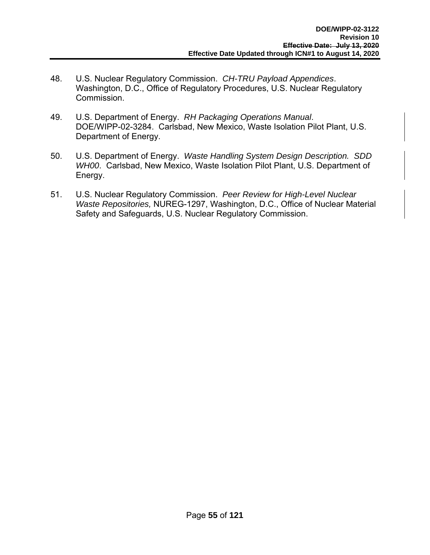- 48. U.S. Nuclear Regulatory Commission. *CH-TRU Payload Appendices*. Washington, D.C., Office of Regulatory Procedures, U.S. Nuclear Regulatory Commission.
- 49. U.S. Department of Energy. *RH Packaging Operations Manual*. DOE/WIPP-02-3284. Carlsbad, New Mexico, Waste Isolation Pilot Plant, U.S. Department of Energy.
- 50. U.S. Department of Energy. *Waste Handling System Design Description. SDD WH00*. Carlsbad, New Mexico, Waste Isolation Pilot Plant, U.S. Department of Energy.
- 51. U.S. Nuclear Regulatory Commission. *Peer Review for High-Level Nuclear Waste Repositories,* NUREG-1297, Washington, D.C., Office of Nuclear Material Safety and Safeguards, U.S. Nuclear Regulatory Commission.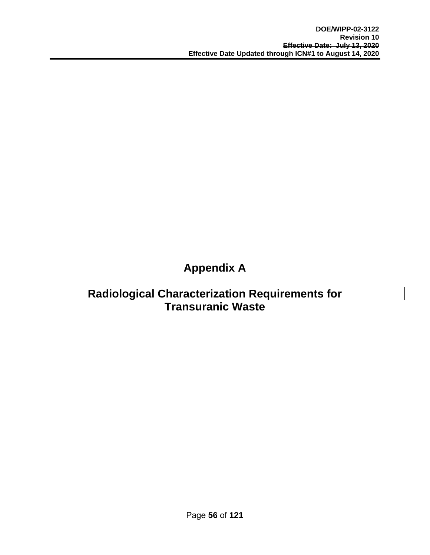# **Appendix A**

# **Radiological Characterization Requirements for Transuranic Waste**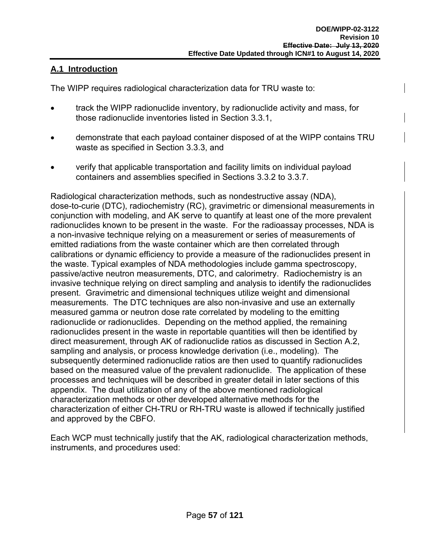# **A.1 Introduction**

The WIPP requires radiological characterization data for TRU waste to:

- track the WIPP radionuclide inventory, by radionuclide activity and mass, for those radionuclide inventories listed in Section 3.3.1,
- demonstrate that each payload container disposed of at the WIPP contains TRU waste as specified in Section 3.3.3, and
- verify that applicable transportation and facility limits on individual payload containers and assemblies specified in Sections 3.3.2 to 3.3.7.

Radiological characterization methods, such as nondestructive assay (NDA), dose-to-curie (DTC), radiochemistry (RC), gravimetric or dimensional measurements in conjunction with modeling, and AK serve to quantify at least one of the more prevalent radionuclides known to be present in the waste. For the radioassay processes, NDA is a non-invasive technique relying on a measurement or series of measurements of emitted radiations from the waste container which are then correlated through calibrations or dynamic efficiency to provide a measure of the radionuclides present in the waste. Typical examples of NDA methodologies include gamma spectroscopy, passive/active neutron measurements, DTC, and calorimetry. Radiochemistry is an invasive technique relying on direct sampling and analysis to identify the radionuclides present. Gravimetric and dimensional techniques utilize weight and dimensional measurements. The DTC techniques are also non-invasive and use an externally measured gamma or neutron dose rate correlated by modeling to the emitting radionuclide or radionuclides. Depending on the method applied, the remaining radionuclides present in the waste in reportable quantities will then be identified by direct measurement, through AK of radionuclide ratios as discussed in Section A.2, sampling and analysis, or process knowledge derivation (i.e., modeling). The subsequently determined radionuclide ratios are then used to quantify radionuclides based on the measured value of the prevalent radionuclide. The application of these processes and techniques will be described in greater detail in later sections of this appendix. The dual utilization of any of the above mentioned radiological characterization methods or other developed alternative methods for the characterization of either CH-TRU or RH-TRU waste is allowed if technically justified and approved by the CBFO.

Each WCP must technically justify that the AK, radiological characterization methods, instruments, and procedures used: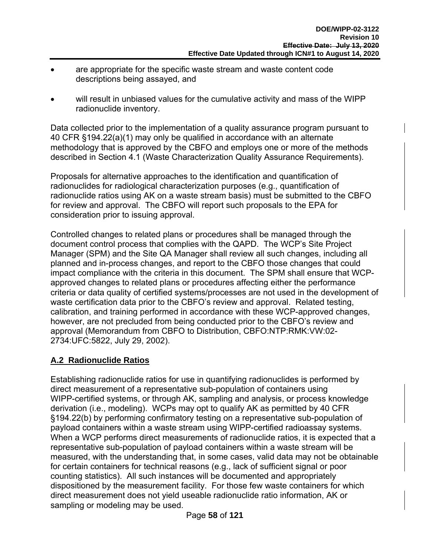- are appropriate for the specific waste stream and waste content code descriptions being assayed, and
- will result in unbiased values for the cumulative activity and mass of the WIPP radionuclide inventory.

Data collected prior to the implementation of a quality assurance program pursuant to 40 CFR §194.22(a)(1) may only be qualified in accordance with an alternate methodology that is approved by the CBFO and employs one or more of the methods described in Section 4.1 (Waste Characterization Quality Assurance Requirements).

Proposals for alternative approaches to the identification and quantification of radionuclides for radiological characterization purposes (e.g., quantification of radionuclide ratios using AK on a waste stream basis) must be submitted to the CBFO for review and approval. The CBFO will report such proposals to the EPA for consideration prior to issuing approval.

Controlled changes to related plans or procedures shall be managed through the document control process that complies with the QAPD. The WCP's Site Project Manager (SPM) and the Site QA Manager shall review all such changes, including all planned and in-process changes, and report to the CBFO those changes that could impact compliance with the criteria in this document. The SPM shall ensure that WCPapproved changes to related plans or procedures affecting either the performance criteria or data quality of certified systems/processes are not used in the development of waste certification data prior to the CBFO's review and approval. Related testing, calibration, and training performed in accordance with these WCP-approved changes, however, are not precluded from being conducted prior to the CBFO's review and approval (Memorandum from CBFO to Distribution, CBFO:NTP:RMK:VW:02- 2734:UFC:5822, July 29, 2002).

# **A.2 Radionuclide Ratios**

Establishing radionuclide ratios for use in quantifying radionuclides is performed by direct measurement of a representative sub-population of containers using WIPP-certified systems, or through AK, sampling and analysis, or process knowledge derivation (i.e., modeling). WCPs may opt to qualify AK as permitted by 40 CFR §194.22(b) by performing confirmatory testing on a representative sub-population of payload containers within a waste stream using WIPP-certified radioassay systems. When a WCP performs direct measurements of radionuclide ratios, it is expected that a representative sub-population of payload containers within a waste stream will be measured, with the understanding that, in some cases, valid data may not be obtainable for certain containers for technical reasons (e.g., lack of sufficient signal or poor counting statistics). All such instances will be documented and appropriately dispositioned by the measurement facility. For those few waste containers for which direct measurement does not yield useable radionuclide ratio information, AK or sampling or modeling may be used.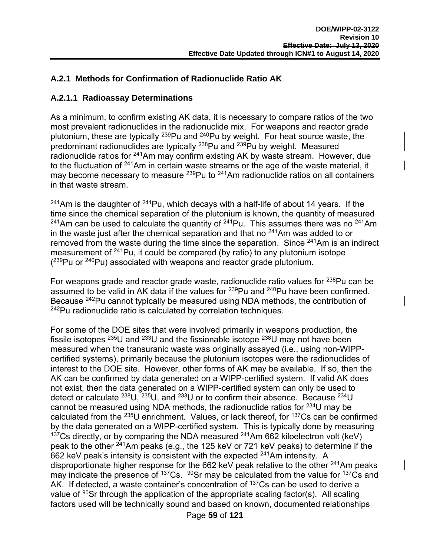# **A.2.1 Methods for Confirmation of Radionuclide Ratio AK**

## **A.2.1.1 Radioassay Determinations**

As a minimum, to confirm existing AK data, it is necessary to compare ratios of the two most prevalent radionuclides in the radionuclide mix. For weapons and reactor grade plutonium, these are typically 239Pu and 240Pu by weight. For heat source waste, the predominant radionuclides are typically 238Pu and 239Pu by weight. Measured radionuclide ratios for <sup>241</sup>Am may confirm existing AK by waste stream. However, due to the fluctuation of  $241$ Am in certain waste streams or the age of the waste material, it may become necessary to measure  $^{239}$ Pu to  $^{241}$ Am radionuclide ratios on all containers in that waste stream.

 $241$ Am is the daughter of  $241$ Pu, which decays with a half-life of about 14 years. If the time since the chemical separation of the plutonium is known, the quantity of measured <sup>241</sup>Am can be used to calculate the quantity of <sup>241</sup>Pu. This assumes there was no <sup>241</sup>Am in the waste just after the chemical separation and that no  $241$ Am was added to or removed from the waste during the time since the separation. Since <sup>241</sup>Am is an indirect measurement of 241Pu, it could be compared (by ratio) to any plutonium isotope  $(239$ Pu or  $240$ Pu) associated with weapons and reactor grade plutonium.

For weapons grade and reactor grade waste, radionuclide ratio values for <sup>238</sup>Pu can be assumed to be valid in AK data if the values for <sup>239</sup>Pu and <sup>240</sup>Pu have been confirmed. Because 242Pu cannot typically be measured using NDA methods, the contribution of  $242$ Pu radionuclide ratio is calculated by correlation techniques.

For some of the DOE sites that were involved primarily in weapons production, the fissile isotopes  $^{235}$ U and  $^{233}$ U and the fissionable isotope  $^{238}$ U may not have been measured when the transuranic waste was originally assayed (i.e., using non-WIPPcertified systems), primarily because the plutonium isotopes were the radionuclides of interest to the DOE site. However, other forms of AK may be available. If so, then the AK can be confirmed by data generated on a WIPP-certified system. If valid AK does not exist, then the data generated on a WIPP-certified system can only be used to detect or calculate  $^{238}$ U,  $^{235}$ U, and  $^{233}$ U or to confirm their absence. Because  $^{234}$ U cannot be measured using NDA methods, the radionuclide ratios for  $^{234}$ U may be calculated from the  $^{235}$ U enrichment. Values, or lack thereof, for  $^{137}$ Cs can be confirmed by the data generated on a WIPP-certified system. This is typically done by measuring  $137Cs$  directly, or by comparing the NDA measured  $241Am 662$  kiloelectron volt (keV) peak to the other 241Am peaks (e.g., the 125 keV or 721 keV peaks) to determine if the 662 keV peak's intensity is consistent with the expected  $^{241}$ Am intensity. A disproportionate higher response for the 662 keV peak relative to the other  $^{241}$ Am peaks may indicate the presence of  $137Cs$ .  $90Sr$  may be calculated from the value for  $137Cs$  and AK. If detected, a waste container's concentration of <sup>137</sup>Cs can be used to derive a value of  $90$ Sr through the application of the appropriate scaling factor(s). All scaling factors used will be technically sound and based on known, documented relationships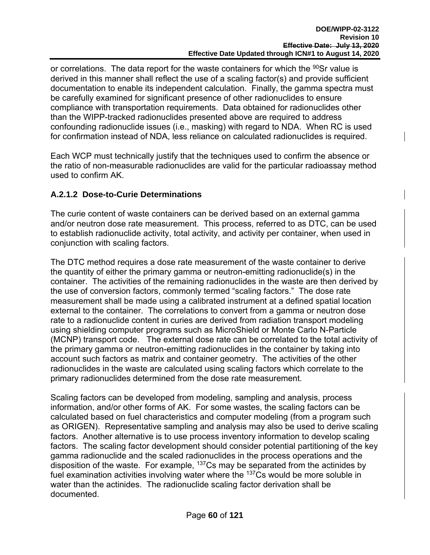or correlations. The data report for the waste containers for which the  $90$ Sr value is derived in this manner shall reflect the use of a scaling factor(s) and provide sufficient documentation to enable its independent calculation. Finally, the gamma spectra must be carefully examined for significant presence of other radionuclides to ensure compliance with transportation requirements. Data obtained for radionuclides other than the WIPP-tracked radionuclides presented above are required to address confounding radionuclide issues (i.e., masking) with regard to NDA. When RC is used for confirmation instead of NDA, less reliance on calculated radionuclides is required.

Each WCP must technically justify that the techniques used to confirm the absence or the ratio of non-measurable radionuclides are valid for the particular radioassay method used to confirm AK.

# **A.2.1.2 Dose-to-Curie Determinations**

The curie content of waste containers can be derived based on an external gamma and/or neutron dose rate measurement. This process, referred to as DTC, can be used to establish radionuclide activity, total activity, and activity per container, when used in conjunction with scaling factors.

The DTC method requires a dose rate measurement of the waste container to derive the quantity of either the primary gamma or neutron-emitting radionuclide(s) in the container. The activities of the remaining radionuclides in the waste are then derived by the use of conversion factors, commonly termed "scaling factors." The dose rate measurement shall be made using a calibrated instrument at a defined spatial location external to the container. The correlations to convert from a gamma or neutron dose rate to a radionuclide content in curies are derived from radiation transport modeling using shielding computer programs such as MicroShield or Monte Carlo N-Particle (MCNP) transport code. The external dose rate can be correlated to the total activity of the primary gamma or neutron-emitting radionuclides in the container by taking into account such factors as matrix and container geometry. The activities of the other radionuclides in the waste are calculated using scaling factors which correlate to the primary radionuclides determined from the dose rate measurement.

Scaling factors can be developed from modeling, sampling and analysis, process information, and/or other forms of AK. For some wastes, the scaling factors can be calculated based on fuel characteristics and computer modeling (from a program such as ORIGEN). Representative sampling and analysis may also be used to derive scaling factors. Another alternative is to use process inventory information to develop scaling factors. The scaling factor development should consider potential partitioning of the key gamma radionuclide and the scaled radionuclides in the process operations and the disposition of the waste. For example,  $137Cs$  may be separated from the actinides by fuel examination activities involving water where the  $137Cs$  would be more soluble in water than the actinides. The radionuclide scaling factor derivation shall be documented.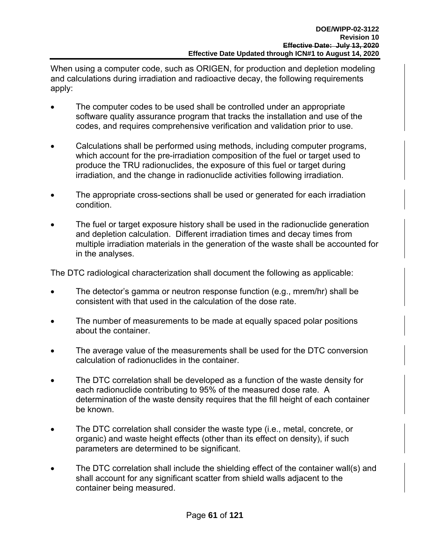When using a computer code, such as ORIGEN, for production and depletion modeling and calculations during irradiation and radioactive decay, the following requirements apply:

- The computer codes to be used shall be controlled under an appropriate software quality assurance program that tracks the installation and use of the codes, and requires comprehensive verification and validation prior to use.
- Calculations shall be performed using methods, including computer programs, which account for the pre-irradiation composition of the fuel or target used to produce the TRU radionuclides, the exposure of this fuel or target during irradiation, and the change in radionuclide activities following irradiation.
- The appropriate cross-sections shall be used or generated for each irradiation condition.
- The fuel or target exposure history shall be used in the radionuclide generation and depletion calculation. Different irradiation times and decay times from multiple irradiation materials in the generation of the waste shall be accounted for in the analyses.

The DTC radiological characterization shall document the following as applicable:

- The detector's gamma or neutron response function (e.g., mrem/hr) shall be consistent with that used in the calculation of the dose rate.
- The number of measurements to be made at equally spaced polar positions about the container.
- The average value of the measurements shall be used for the DTC conversion calculation of radionuclides in the container.
- The DTC correlation shall be developed as a function of the waste density for each radionuclide contributing to 95% of the measured dose rate. A determination of the waste density requires that the fill height of each container be known.
- The DTC correlation shall consider the waste type (i.e., metal, concrete, or organic) and waste height effects (other than its effect on density), if such parameters are determined to be significant.
- The DTC correlation shall include the shielding effect of the container wall(s) and shall account for any significant scatter from shield walls adjacent to the container being measured.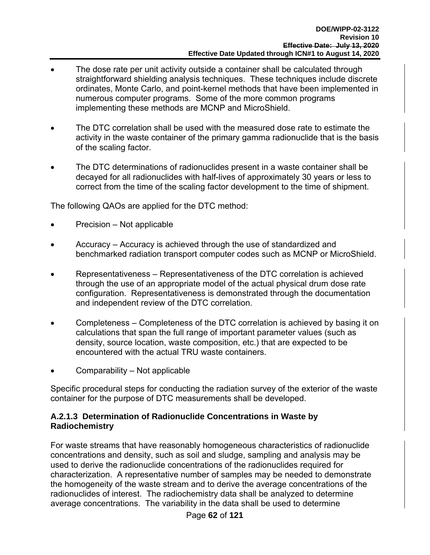- The dose rate per unit activity outside a container shall be calculated through straightforward shielding analysis techniques. These techniques include discrete ordinates, Monte Carlo, and point-kernel methods that have been implemented in numerous computer programs. Some of the more common programs implementing these methods are MCNP and MicroShield.
- The DTC correlation shall be used with the measured dose rate to estimate the activity in the waste container of the primary gamma radionuclide that is the basis of the scaling factor.
- The DTC determinations of radionuclides present in a waste container shall be decayed for all radionuclides with half-lives of approximately 30 years or less to correct from the time of the scaling factor development to the time of shipment.

The following QAOs are applied for the DTC method:

- Precision Not applicable
- Accuracy Accuracy is achieved through the use of standardized and benchmarked radiation transport computer codes such as MCNP or MicroShield.
- Representativeness Representativeness of the DTC correlation is achieved through the use of an appropriate model of the actual physical drum dose rate configuration. Representativeness is demonstrated through the documentation and independent review of the DTC correlation.
- Completeness Completeness of the DTC correlation is achieved by basing it on calculations that span the full range of important parameter values (such as density, source location, waste composition, etc.) that are expected to be encountered with the actual TRU waste containers.
- Comparability Not applicable

Specific procedural steps for conducting the radiation survey of the exterior of the waste container for the purpose of DTC measurements shall be developed.

## **A.2.1.3 Determination of Radionuclide Concentrations in Waste by Radiochemistry**

For waste streams that have reasonably homogeneous characteristics of radionuclide concentrations and density, such as soil and sludge, sampling and analysis may be used to derive the radionuclide concentrations of the radionuclides required for characterization. A representative number of samples may be needed to demonstrate the homogeneity of the waste stream and to derive the average concentrations of the radionuclides of interest. The radiochemistry data shall be analyzed to determine average concentrations. The variability in the data shall be used to determine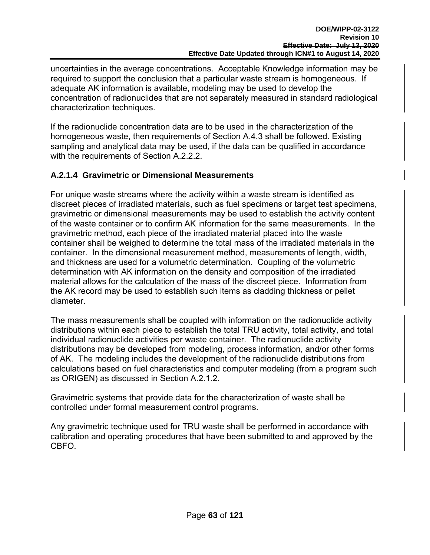uncertainties in the average concentrations. Acceptable Knowledge information may be required to support the conclusion that a particular waste stream is homogeneous. If adequate AK information is available, modeling may be used to develop the concentration of radionuclides that are not separately measured in standard radiological characterization techniques.

If the radionuclide concentration data are to be used in the characterization of the homogeneous waste, then requirements of Section A.4.3 shall be followed. Existing sampling and analytical data may be used, if the data can be qualified in accordance with the requirements of Section A.2.2.2.

# **A.2.1.4 Gravimetric or Dimensional Measurements**

For unique waste streams where the activity within a waste stream is identified as discreet pieces of irradiated materials, such as fuel specimens or target test specimens, gravimetric or dimensional measurements may be used to establish the activity content of the waste container or to confirm AK information for the same measurements. In the gravimetric method, each piece of the irradiated material placed into the waste container shall be weighed to determine the total mass of the irradiated materials in the container. In the dimensional measurement method, measurements of length, width, and thickness are used for a volumetric determination. Coupling of the volumetric determination with AK information on the density and composition of the irradiated material allows for the calculation of the mass of the discreet piece. Information from the AK record may be used to establish such items as cladding thickness or pellet diameter.

The mass measurements shall be coupled with information on the radionuclide activity distributions within each piece to establish the total TRU activity, total activity, and total individual radionuclide activities per waste container. The radionuclide activity distributions may be developed from modeling, process information, and/or other forms of AK. The modeling includes the development of the radionuclide distributions from calculations based on fuel characteristics and computer modeling (from a program such as ORIGEN) as discussed in Section A.2.1.2.

Gravimetric systems that provide data for the characterization of waste shall be controlled under formal measurement control programs.

Any gravimetric technique used for TRU waste shall be performed in accordance with calibration and operating procedures that have been submitted to and approved by the CBFO.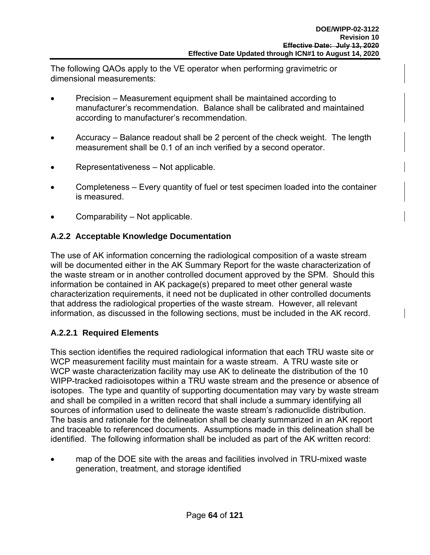The following QAOs apply to the VE operator when performing gravimetric or dimensional measurements:

- Precision Measurement equipment shall be maintained according to manufacturer's recommendation. Balance shall be calibrated and maintained according to manufacturer's recommendation.
- Accuracy Balance readout shall be 2 percent of the check weight. The length measurement shall be 0.1 of an inch verified by a second operator.
- Representativeness Not applicable.
- Completeness Every quantity of fuel or test specimen loaded into the container is measured.
- Comparability Not applicable.

## **A.2.2 Acceptable Knowledge Documentation**

The use of AK information concerning the radiological composition of a waste stream will be documented either in the AK Summary Report for the waste characterization of the waste stream or in another controlled document approved by the SPM. Should this information be contained in AK package(s) prepared to meet other general waste characterization requirements, it need not be duplicated in other controlled documents that address the radiological properties of the waste stream. However, all relevant information, as discussed in the following sections, must be included in the AK record.

# **A.2.2.1 Required Elements**

This section identifies the required radiological information that each TRU waste site or WCP measurement facility must maintain for a waste stream. A TRU waste site or WCP waste characterization facility may use AK to delineate the distribution of the 10 WIPP-tracked radioisotopes within a TRU waste stream and the presence or absence of isotopes. The type and quantity of supporting documentation may vary by waste stream and shall be compiled in a written record that shall include a summary identifying all sources of information used to delineate the waste stream's radionuclide distribution. The basis and rationale for the delineation shall be clearly summarized in an AK report and traceable to referenced documents. Assumptions made in this delineation shall be identified. The following information shall be included as part of the AK written record:

 map of the DOE site with the areas and facilities involved in TRU-mixed waste generation, treatment, and storage identified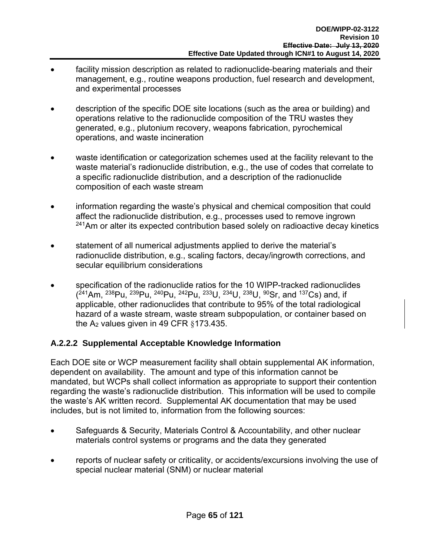- facility mission description as related to radionuclide-bearing materials and their management, e.g., routine weapons production, fuel research and development, and experimental processes
- description of the specific DOE site locations (such as the area or building) and operations relative to the radionuclide composition of the TRU wastes they generated, e.g., plutonium recovery, weapons fabrication, pyrochemical operations, and waste incineration
- waste identification or categorization schemes used at the facility relevant to the waste material's radionuclide distribution, e.g., the use of codes that correlate to a specific radionuclide distribution, and a description of the radionuclide composition of each waste stream
- information regarding the waste's physical and chemical composition that could affect the radionuclide distribution, e.g., processes used to remove ingrown  $241$ Am or alter its expected contribution based solely on radioactive decay kinetics
- statement of all numerical adjustments applied to derive the material's radionuclide distribution, e.g., scaling factors, decay/ingrowth corrections, and secular equilibrium considerations
- specification of the radionuclide ratios for the 10 WIPP-tracked radionuclides ( 241Am, 238Pu, 239Pu, 240Pu, 242Pu, 233U, 234U, 238U, 90Sr, and 137Cs) and, if applicable, other radionuclides that contribute to 95% of the total radiological hazard of a waste stream, waste stream subpopulation, or container based on the  $A_2$  values given in 49 CFR  $§173.435$ .

# **A.2.2.2 Supplemental Acceptable Knowledge Information**

Each DOE site or WCP measurement facility shall obtain supplemental AK information, dependent on availability. The amount and type of this information cannot be mandated, but WCPs shall collect information as appropriate to support their contention regarding the waste's radionuclide distribution. This information will be used to compile the waste's AK written record. Supplemental AK documentation that may be used includes, but is not limited to, information from the following sources:

- Safeguards & Security, Materials Control & Accountability, and other nuclear materials control systems or programs and the data they generated
- reports of nuclear safety or criticality, or accidents/excursions involving the use of special nuclear material (SNM) or nuclear material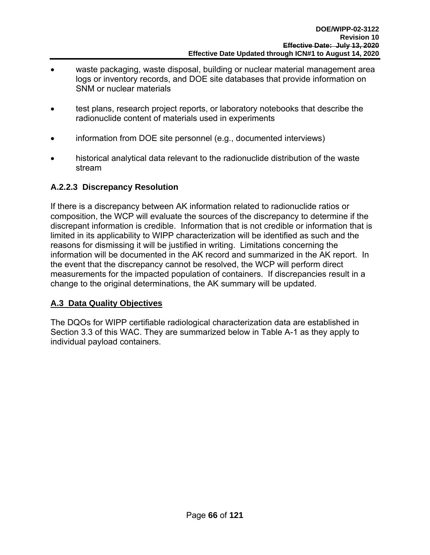- waste packaging, waste disposal, building or nuclear material management area logs or inventory records, and DOE site databases that provide information on SNM or nuclear materials
- test plans, research project reports, or laboratory notebooks that describe the radionuclide content of materials used in experiments
- information from DOE site personnel (e.g., documented interviews)
- historical analytical data relevant to the radionuclide distribution of the waste stream

# **A.2.2.3 Discrepancy Resolution**

If there is a discrepancy between AK information related to radionuclide ratios or composition, the WCP will evaluate the sources of the discrepancy to determine if the discrepant information is credible. Information that is not credible or information that is limited in its applicability to WIPP characterization will be identified as such and the reasons for dismissing it will be justified in writing. Limitations concerning the information will be documented in the AK record and summarized in the AK report. In the event that the discrepancy cannot be resolved, the WCP will perform direct measurements for the impacted population of containers. If discrepancies result in a change to the original determinations, the AK summary will be updated.

# **A.3 Data Quality Objectives**

The DQOs for WIPP certifiable radiological characterization data are established in Section 3.3 of this WAC. They are summarized below in Table A-1 as they apply to individual payload containers.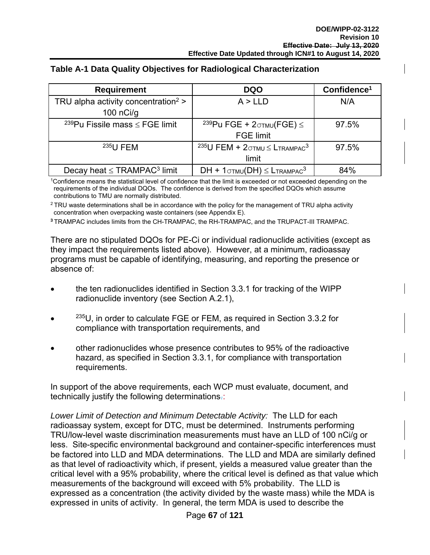| <b>Requirement</b>                              | <b>DQO</b>                                                        | Confidence <sup>1</sup> |
|-------------------------------------------------|-------------------------------------------------------------------|-------------------------|
| TRU alpha activity concentration <sup>2</sup> > | A > LLD                                                           | N/A                     |
| 100 $n$ Ci/g                                    |                                                                   |                         |
| <sup>239</sup> Pu Fissile mass $\leq$ FGE limit | <sup>239</sup> Pu FGE + $2\sigma$ <sub>TMU</sub> (FGE) $\leq$     | 97.5%                   |
|                                                 | <b>FGE limit</b>                                                  |                         |
| $235$ U FEM                                     | <sup>235</sup> U FEM + $2\sigma$ tmu $\leq$ Ltrampac <sup>3</sup> | 97.5%                   |
|                                                 | limit                                                             |                         |
| Decay heat $\leq$ TRAMPAC <sup>3</sup> limit    | $DH + 1$ <sub>OTMU</sub> $(DH) \leq L$ Trampac <sup>3</sup>       | 84%                     |

#### **Table A-1 Data Quality Objectives for Radiological Characterization**

<sup>1</sup>Confidence means the statistical level of confidence that the limit is exceeded or not exceeded depending on the requirements of the individual DQOs. The confidence is derived from the specified DQOs which assume contributions to TMU are normally distributed.

 $2$  TRU waste determinations shall be in accordance with the policy for the management of TRU alpha activity concentration when overpacking waste containers (see Appendix E).

**<sup>3</sup>**TRAMPAC includes limits from the CH-TRAMPAC, the RH-TRAMPAC, and the TRUPACT-III TRAMPAC.

There are no stipulated DQOs for PE-Ci or individual radionuclide activities (except as they impact the requirements listed above). However, at a minimum, radioassay programs must be capable of identifying, measuring, and reporting the presence or absence of:

- the ten radionuclides identified in Section 3.3.1 for tracking of the WIPP radionuclide inventory (see Section A.2.1),
- $^{235}$ U, in order to calculate FGE or FEM, as required in Section 3.3.2 for compliance with transportation requirements, and
- other radionuclides whose presence contributes to 95% of the radioactive hazard, as specified in Section 3.3.1, for compliance with transportation requirements.

In support of the above requirements, each WCP must evaluate, document, and technically justify the following determinations.:

*Lower Limit of Detection and Minimum Detectable Activity:* The LLD for each radioassay system, except for DTC, must be determined. Instruments performing TRU/low-level waste discrimination measurements must have an LLD of 100 nCi/g or less. Site-specific environmental background and container-specific interferences must be factored into LLD and MDA determinations. The LLD and MDA are similarly defined as that level of radioactivity which, if present, yields a measured value greater than the critical level with a 95% probability, where the critical level is defined as that value which measurements of the background will exceed with 5% probability. The LLD is expressed as a concentration (the activity divided by the waste mass) while the MDA is expressed in units of activity. In general, the term MDA is used to describe the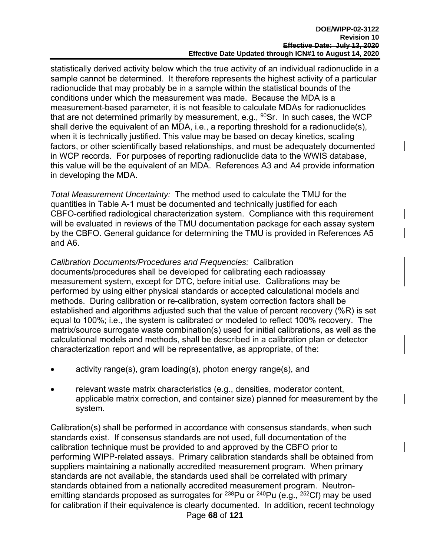statistically derived activity below which the true activity of an individual radionuclide in a sample cannot be determined. It therefore represents the highest activity of a particular radionuclide that may probably be in a sample within the statistical bounds of the conditions under which the measurement was made. Because the MDA is a measurement-based parameter, it is not feasible to calculate MDAs for radionuclides that are not determined primarily by measurement, e.g.,  $90$ Sr. In such cases, the WCP shall derive the equivalent of an MDA, i.e., a reporting threshold for a radionuclide(s), when it is technically justified. This value may be based on decay kinetics, scaling factors, or other scientifically based relationships, and must be adequately documented in WCP records. For purposes of reporting radionuclide data to the WWIS database, this value will be the equivalent of an MDA. References A3 and A4 provide information in developing the MDA.

*Total Measurement Uncertainty:* The method used to calculate the TMU for the quantities in Table A-1 must be documented and technically justified for each CBFO-certified radiological characterization system. Compliance with this requirement will be evaluated in reviews of the TMU documentation package for each assay system by the CBFO. General guidance for determining the TMU is provided in References A5 and A6.

*Calibration Documents/Procedures and Frequencies:* Calibration documents/procedures shall be developed for calibrating each radioassay measurement system, except for DTC, before initial use. Calibrations may be performed by using either physical standards or accepted calculational models and methods. During calibration or re-calibration, system correction factors shall be established and algorithms adjusted such that the value of percent recovery (%R) is set equal to 100%; i.e., the system is calibrated or modeled to reflect 100% recovery. The matrix/source surrogate waste combination(s) used for initial calibrations, as well as the calculational models and methods, shall be described in a calibration plan or detector characterization report and will be representative, as appropriate, of the:

- activity range(s), gram loading(s), photon energy range(s), and
- relevant waste matrix characteristics (e.g., densities, moderator content, applicable matrix correction, and container size) planned for measurement by the system.

Page **68** of **121** Calibration(s) shall be performed in accordance with consensus standards, when such standards exist. If consensus standards are not used, full documentation of the calibration technique must be provided to and approved by the CBFO prior to performing WIPP-related assays. Primary calibration standards shall be obtained from suppliers maintaining a nationally accredited measurement program. When primary standards are not available, the standards used shall be correlated with primary standards obtained from a nationally accredited measurement program. Neutronemitting standards proposed as surrogates for  $^{238}$ Pu or  $^{240}$ Pu (e.g.,  $^{252}$ Cf) may be used for calibration if their equivalence is clearly documented. In addition, recent technology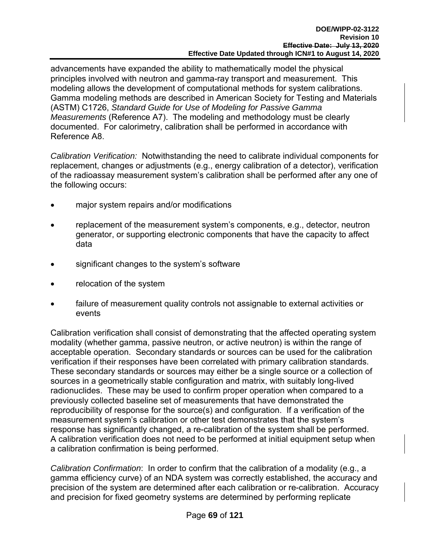advancements have expanded the ability to mathematically model the physical principles involved with neutron and gamma-ray transport and measurement. This modeling allows the development of computational methods for system calibrations. Gamma modeling methods are described in American Society for Testing and Materials (ASTM) C1726, *Standard Guide for Use of Modeling for Passive Gamma Measurements* (Reference A7). The modeling and methodology must be clearly documented. For calorimetry, calibration shall be performed in accordance with Reference A8.

*Calibration Verification:* Notwithstanding the need to calibrate individual components for replacement, changes or adjustments (e.g., energy calibration of a detector), verification of the radioassay measurement system's calibration shall be performed after any one of the following occurs:

- major system repairs and/or modifications
- replacement of the measurement system's components, e.g., detector, neutron generator, or supporting electronic components that have the capacity to affect data
- significant changes to the system's software
- relocation of the system
- failure of measurement quality controls not assignable to external activities or events

Calibration verification shall consist of demonstrating that the affected operating system modality (whether gamma, passive neutron, or active neutron) is within the range of acceptable operation. Secondary standards or sources can be used for the calibration verification if their responses have been correlated with primary calibration standards. These secondary standards or sources may either be a single source or a collection of sources in a geometrically stable configuration and matrix, with suitably long-lived radionuclides. These may be used to confirm proper operation when compared to a previously collected baseline set of measurements that have demonstrated the reproducibility of response for the source(s) and configuration. If a verification of the measurement system's calibration or other test demonstrates that the system's response has significantly changed, a re-calibration of the system shall be performed. A calibration verification does not need to be performed at initial equipment setup when a calibration confirmation is being performed.

*Calibration Confirmation*: In order to confirm that the calibration of a modality (e.g., a gamma efficiency curve) of an NDA system was correctly established, the accuracy and precision of the system are determined after each calibration or re-calibration. Accuracy and precision for fixed geometry systems are determined by performing replicate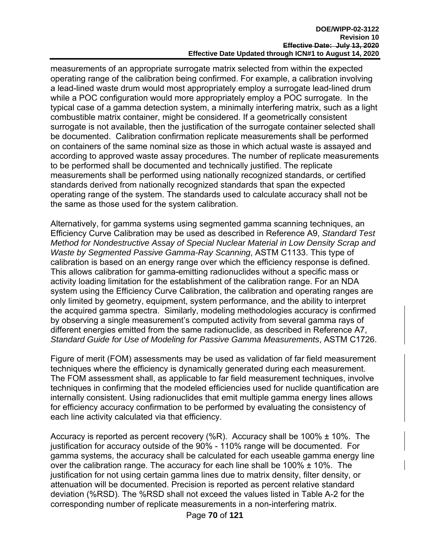measurements of an appropriate surrogate matrix selected from within the expected operating range of the calibration being confirmed. For example, a calibration involving a lead-lined waste drum would most appropriately employ a surrogate lead-lined drum while a POC configuration would more appropriately employ a POC surrogate. In the typical case of a gamma detection system, a minimally interfering matrix, such as a light combustible matrix container, might be considered. If a geometrically consistent surrogate is not available, then the justification of the surrogate container selected shall be documented. Calibration confirmation replicate measurements shall be performed on containers of the same nominal size as those in which actual waste is assayed and according to approved waste assay procedures. The number of replicate measurements to be performed shall be documented and technically justified. The replicate measurements shall be performed using nationally recognized standards, or certified standards derived from nationally recognized standards that span the expected operating range of the system. The standards used to calculate accuracy shall not be the same as those used for the system calibration.

Alternatively, for gamma systems using segmented gamma scanning techniques, an Efficiency Curve Calibration may be used as described in Reference A9, *Standard Test Method for Nondestructive Assay of Special Nuclear Material in Low Density Scrap and Waste by Segmented Passive Gamma-Ray Scanning*, ASTM C1133. This type of calibration is based on an energy range over which the efficiency response is defined. This allows calibration for gamma-emitting radionuclides without a specific mass or activity loading limitation for the establishment of the calibration range. For an NDA system using the Efficiency Curve Calibration, the calibration and operating ranges are only limited by geometry, equipment, system performance, and the ability to interpret the acquired gamma spectra. Similarly, modeling methodologies accuracy is confirmed by observing a single measurement's computed activity from several gamma rays of different energies emitted from the same radionuclide, as described in Reference A7, *Standard Guide for Use of Modeling for Passive Gamma Measurements*, ASTM C1726.

Figure of merit (FOM) assessments may be used as validation of far field measurement techniques where the efficiency is dynamically generated during each measurement. The FOM assessment shall, as applicable to far field measurement techniques, involve techniques in confirming that the modeled efficiencies used for nuclide quantification are internally consistent. Using radionuclides that emit multiple gamma energy lines allows for efficiency accuracy confirmation to be performed by evaluating the consistency of each line activity calculated via that efficiency.

Accuracy is reported as percent recovery (%R). Accuracy shall be 100% ± 10%. The justification for accuracy outside of the 90% - 110% range will be documented. For gamma systems, the accuracy shall be calculated for each useable gamma energy line over the calibration range. The accuracy for each line shall be  $100\% \pm 10\%$ . The justification for not using certain gamma lines due to matrix density, filter density, or attenuation will be documented. Precision is reported as percent relative standard deviation (%RSD). The %RSD shall not exceed the values listed in Table A-2 for the corresponding number of replicate measurements in a non-interfering matrix.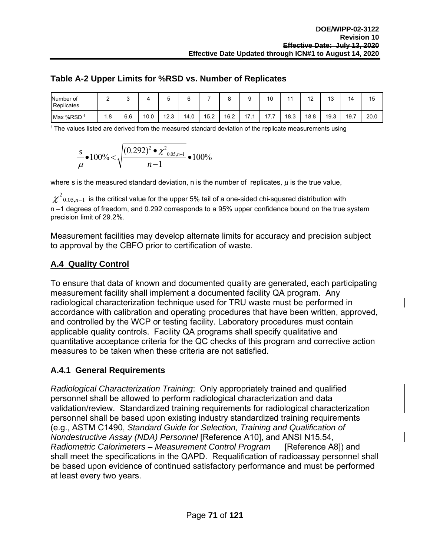|  |  | Table A-2 Upper Limits for %RSD vs. Number of Replicates |
|--|--|----------------------------------------------------------|
|--|--|----------------------------------------------------------|

| Number of<br>Replicates | ⌒<br>_ | ີ   |      | ັ    |      |      | о<br>╰ |                     | 10            | 4 A  | $\overline{1}$<br>. <u>.</u> | $\overline{ }$<br>ັບ | 14   | 15   |
|-------------------------|--------|-----|------|------|------|------|--------|---------------------|---------------|------|------------------------------|----------------------|------|------|
| Max %RSD                | . 8    | 6.6 | 10.0 | 12.3 | 14.0 | 15.2 | 16.2   | $\overline{ }$<br>. | . –<br>-<br>. | 18.3 | 18.8                         | 19.3                 | 19.7 | 20.0 |

<sup>1</sup> The values listed are derived from the measured standard deviation of the replicate measurements using

$$
\frac{s}{\mu} \bullet 100\% < \sqrt{\frac{(0.292)^2 \bullet \chi^2_{0.05, n-1}}{n-1}} \bullet 100\%
$$

where s is the measured standard deviation, n is the number of replicates,  $\mu$  is the true value,

 $\chi^2_{\phantom{2}0.05,n-1}\,$  is the critical value for the upper 5% tail of a one-sided chi-squared distribution with n –1 degrees of freedom, and 0.292 corresponds to a 95% upper confidence bound on the true system precision limit of 29.2%.

Measurement facilities may develop alternate limits for accuracy and precision subject to approval by the CBFO prior to certification of waste.

#### **A.4 Quality Control**

To ensure that data of known and documented quality are generated, each participating measurement facility shall implement a documented facility QA program. Any radiological characterization technique used for TRU waste must be performed in accordance with calibration and operating procedures that have been written, approved, and controlled by the WCP or testing facility. Laboratory procedures must contain applicable quality controls. Facility QA programs shall specify qualitative and quantitative acceptance criteria for the QC checks of this program and corrective action measures to be taken when these criteria are not satisfied.

#### **A.4.1 General Requirements**

*Radiological Characterization Training*: Only appropriately trained and qualified personnel shall be allowed to perform radiological characterization and data validation/review. Standardized training requirements for radiological characterization personnel shall be based upon existing industry standardized training requirements (e.g., ASTM C1490, *Standard Guide for Selection, Training and Qualification of Nondestructive Assay (NDA) Personnel* [Reference A10], and ANSI N15.54, *Radiometric Calorimeters – Measurement Control Program* [Reference A8]) and shall meet the specifications in the QAPD. Requalification of radioassay personnel shall be based upon evidence of continued satisfactory performance and must be performed at least every two years.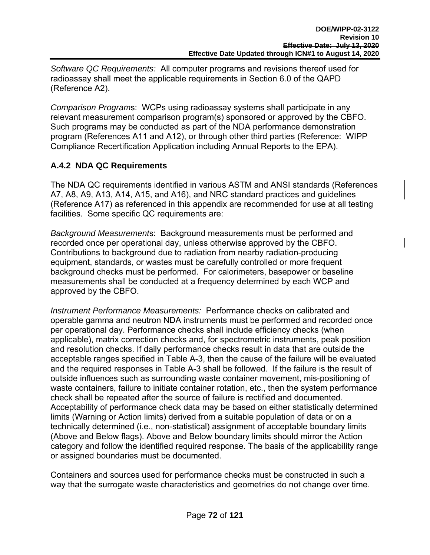*Software QC Requirements:* All computer programs and revisions thereof used for radioassay shall meet the applicable requirements in Section 6.0 of the QAPD (Reference A2).

*Comparison Program*s: WCPs using radioassay systems shall participate in any relevant measurement comparison program(s) sponsored or approved by the CBFO. Such programs may be conducted as part of the NDA performance demonstration program (References A11 and A12), or through other third parties (Reference: WIPP Compliance Recertification Application including Annual Reports to the EPA).

# **A.4.2 NDA QC Requirements**

The NDA QC requirements identified in various ASTM and ANSI standards (References A7, A8, A9, A13, A14, A15, and A16), and NRC standard practices and guidelines (Reference A17) as referenced in this appendix are recommended for use at all testing facilities. Some specific QC requirements are:

*Background Measurement*s: Background measurements must be performed and recorded once per operational day, unless otherwise approved by the CBFO. Contributions to background due to radiation from nearby radiation-producing equipment, standards, or wastes must be carefully controlled or more frequent background checks must be performed. For calorimeters, basepower or baseline measurements shall be conducted at a frequency determined by each WCP and approved by the CBFO.

*Instrument Performance Measurements:* Performance checks on calibrated and operable gamma and neutron NDA instruments must be performed and recorded once per operational day. Performance checks shall include efficiency checks (when applicable), matrix correction checks and, for spectrometric instruments, peak position and resolution checks. If daily performance checks result in data that are outside the acceptable ranges specified in Table A-3, then the cause of the failure will be evaluated and the required responses in Table A-3 shall be followed. If the failure is the result of outside influences such as surrounding waste container movement, mis-positioning of waste containers, failure to initiate container rotation, etc., then the system performance check shall be repeated after the source of failure is rectified and documented. Acceptability of performance check data may be based on either statistically determined limits (Warning or Action limits) derived from a suitable population of data or on a technically determined (i.e., non-statistical) assignment of acceptable boundary limits (Above and Below flags). Above and Below boundary limits should mirror the Action category and follow the identified required response. The basis of the applicability range or assigned boundaries must be documented.

Containers and sources used for performance checks must be constructed in such a way that the surrogate waste characteristics and geometries do not change over time.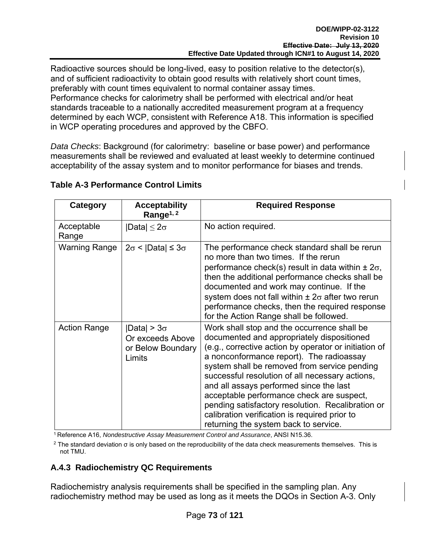Radioactive sources should be long-lived, easy to position relative to the detector(s), and of sufficient radioactivity to obtain good results with relatively short count times, preferably with count times equivalent to normal container assay times. Performance checks for calorimetry shall be performed with electrical and/or heat standards traceable to a nationally accredited measurement program at a frequency determined by each WCP, consistent with Reference A18. This information is specified in WCP operating procedures and approved by the CBFO.

*Data Checks*: Background (for calorimetry: baseline or base power) and performance measurements shall be reviewed and evaluated at least weekly to determine continued acceptability of the assay system and to monitor performance for biases and trends.

| Category            | <b>Acceptability</b><br>Range <sup>1, 2</sup>                         | <b>Required Response</b>                                                                                                                                                                                                                                                                                                                                                                                                                                                                                                                 |
|---------------------|-----------------------------------------------------------------------|------------------------------------------------------------------------------------------------------------------------------------------------------------------------------------------------------------------------------------------------------------------------------------------------------------------------------------------------------------------------------------------------------------------------------------------------------------------------------------------------------------------------------------------|
| Acceptable<br>Range | $ Data  \leq 2\sigma$                                                 | No action required.                                                                                                                                                                                                                                                                                                                                                                                                                                                                                                                      |
| Warning Range       | $2\sigma$ <  Data  $\leq 3\sigma$                                     | The performance check standard shall be rerun<br>no more than two times. If the rerun<br>performance check(s) result in data within $\pm 2\sigma$ ,<br>then the additional performance checks shall be<br>documented and work may continue. If the<br>system does not fall within $\pm 2\sigma$ after two rerun<br>performance checks, then the required response<br>for the Action Range shall be followed.                                                                                                                             |
| <b>Action Range</b> | $ Data  > 3\sigma$<br>Or exceeds Above<br>or Below Boundary<br>Limits | Work shall stop and the occurrence shall be<br>documented and appropriately dispositioned<br>(e.g., corrective action by operator or initiation of<br>a nonconformance report). The radioassay<br>system shall be removed from service pending<br>successful resolution of all necessary actions,<br>and all assays performed since the last<br>acceptable performance check are suspect,<br>pending satisfactory resolution. Recalibration or<br>calibration verification is required prior to<br>returning the system back to service. |

### **Table A-3 Performance Control Limits**

<sup>1</sup> Reference A16, *Nondestructive Assay Measurement Control and Assurance*, ANSI N15.36.

<sup>2</sup> The standard deviation σ is only based on the reproducibility of the data check measurements themselves. This is not TMU.

# **A.4.3 Radiochemistry QC Requirements**

Radiochemistry analysis requirements shall be specified in the sampling plan. Any radiochemistry method may be used as long as it meets the DQOs in Section A-3. Only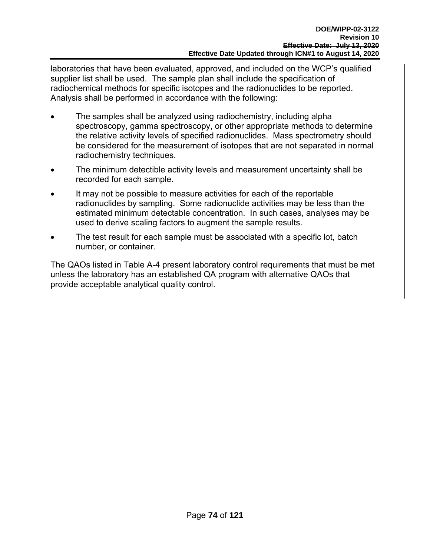laboratories that have been evaluated, approved, and included on the WCP's qualified supplier list shall be used. The sample plan shall include the specification of radiochemical methods for specific isotopes and the radionuclides to be reported. Analysis shall be performed in accordance with the following:

- The samples shall be analyzed using radiochemistry, including alpha spectroscopy, gamma spectroscopy, or other appropriate methods to determine the relative activity levels of specified radionuclides. Mass spectrometry should be considered for the measurement of isotopes that are not separated in normal radiochemistry techniques.
- The minimum detectible activity levels and measurement uncertainty shall be recorded for each sample.
- It may not be possible to measure activities for each of the reportable radionuclides by sampling. Some radionuclide activities may be less than the estimated minimum detectable concentration. In such cases, analyses may be used to derive scaling factors to augment the sample results.
- The test result for each sample must be associated with a specific lot, batch number, or container.

The QAOs listed in Table A-4 present laboratory control requirements that must be met unless the laboratory has an established QA program with alternative QAOs that provide acceptable analytical quality control.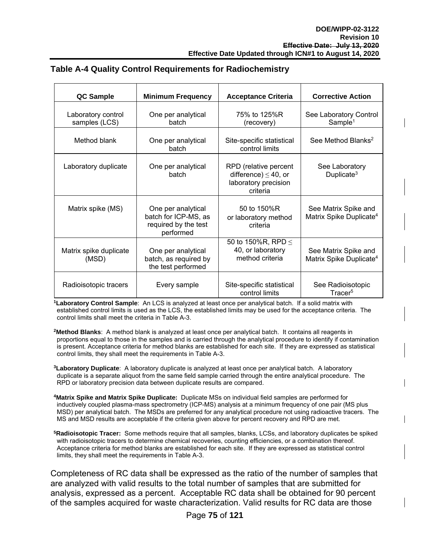| <b>QC Sample</b>                    | <b>Minimum Frequency</b>                                                        | <b>Acceptance Criteria</b>                                                             | <b>Corrective Action</b>                                    |
|-------------------------------------|---------------------------------------------------------------------------------|----------------------------------------------------------------------------------------|-------------------------------------------------------------|
| Laboratory control<br>samples (LCS) | One per analytical<br>batch                                                     | 75% to 125%R<br>(recovery)                                                             | See Laboratory Control<br>Sample <sup>1</sup>               |
| Method blank                        | One per analytical<br>batch                                                     | Site-specific statistical<br>control limits                                            | See Method Blanks <sup>2</sup>                              |
| Laboratory duplicate                | One per analytical<br>batch                                                     | RPD (relative percent<br>difference) $\leq$ 40, or<br>laboratory precision<br>criteria | See Laboratory<br>Duplicate <sup>3</sup>                    |
| Matrix spike (MS)                   | One per analytical<br>batch for ICP-MS, as<br>required by the test<br>performed | 50 to 150%R<br>or laboratory method<br>criteria                                        | See Matrix Spike and<br>Matrix Spike Duplicate <sup>4</sup> |
| Matrix spike duplicate<br>(MSD)     | One per analytical<br>batch, as required by<br>the test performed               | 50 to 150%R, RPD $\leq$<br>40, or laboratory<br>method criteria                        | See Matrix Spike and<br>Matrix Spike Duplicate <sup>4</sup> |
| Radioisotopic tracers               | Every sample                                                                    | Site-specific statistical<br>control limits                                            | See Radioisotopic<br>Tracer <sup>5</sup>                    |

#### **Table A-4 Quality Control Requirements for Radiochemistry**

**1Laboratory Control Sample**: An LCS is analyzed at least once per analytical batch. If a solid matrix with established control limits is used as the LCS, the established limits may be used for the acceptance criteria. The control limits shall meet the criteria in Table A-3.

**2Method Blanks**: A method blank is analyzed at least once per analytical batch. It contains all reagents in proportions equal to those in the samples and is carried through the analytical procedure to identify if contamination is present. Acceptance criteria for method blanks are established for each site. If they are expressed as statistical control limits, they shall meet the requirements in Table A-3.

**3Laboratory Duplicate**: A laboratory duplicate is analyzed at least once per analytical batch. A laboratory duplicate is a separate aliquot from the same field sample carried through the entire analytical procedure. The RPD or laboratory precision data between duplicate results are compared.

**4Matrix Spike and Matrix Spike Duplicate:** Duplicate MSs on individual field samples are performed for inductively coupled plasma-mass spectrometry (ICP-MS) analysis at a minimum frequency of one pair (MS plus MSD) per analytical batch. The MSDs are preferred for any analytical procedure not using radioactive tracers. The MS and MSD results are acceptable if the criteria given above for percent recovery and RPD are met.

**5Radioisotopic Tracer:** Some methods require that all samples, blanks, LCSs, and laboratory duplicates be spiked with radioisotopic tracers to determine chemical recoveries, counting efficiencies, or a combination thereof. Acceptance criteria for method blanks are established for each site. If they are expressed as statistical control limits, they shall meet the requirements in Table A-3.

Completeness of RC data shall be expressed as the ratio of the number of samples that are analyzed with valid results to the total number of samples that are submitted for analysis, expressed as a percent. Acceptable RC data shall be obtained for 90 percent of the samples acquired for waste characterization. Valid results for RC data are those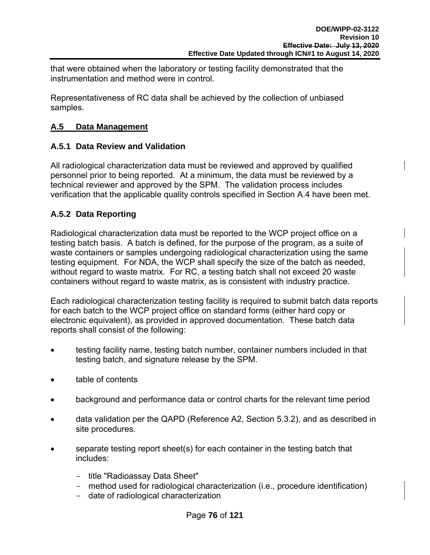that were obtained when the laboratory or testing facility demonstrated that the instrumentation and method were in control.

Representativeness of RC data shall be achieved by the collection of unbiased samples.

### **A.5 Data Management**

### **A.5.1 Data Review and Validation**

All radiological characterization data must be reviewed and approved by qualified personnel prior to being reported. At a minimum, the data must be reviewed by a technical reviewer and approved by the SPM. The validation process includes verification that the applicable quality controls specified in Section A.4 have been met.

### **A.5.2 Data Reporting**

Radiological characterization data must be reported to the WCP project office on a testing batch basis. A batch is defined, for the purpose of the program, as a suite of waste containers or samples undergoing radiological characterization using the same testing equipment. For NDA, the WCP shall specify the size of the batch as needed, without regard to waste matrix. For RC, a testing batch shall not exceed 20 waste containers without regard to waste matrix, as is consistent with industry practice.

Each radiological characterization testing facility is required to submit batch data reports for each batch to the WCP project office on standard forms (either hard copy or electronic equivalent), as provided in approved documentation. These batch data reports shall consist of the following:

- testing facility name, testing batch number, container numbers included in that testing batch, and signature release by the SPM.
- table of contents
- background and performance data or control charts for the relevant time period
- data validation per the QAPD (Reference A2, Section 5.3.2), and as described in site procedures.
- separate testing report sheet(s) for each container in the testing batch that includes:
	- title "Radioassay Data Sheet"
	- method used for radiological characterization (i.e., procedure identification)
	- date of radiological characterization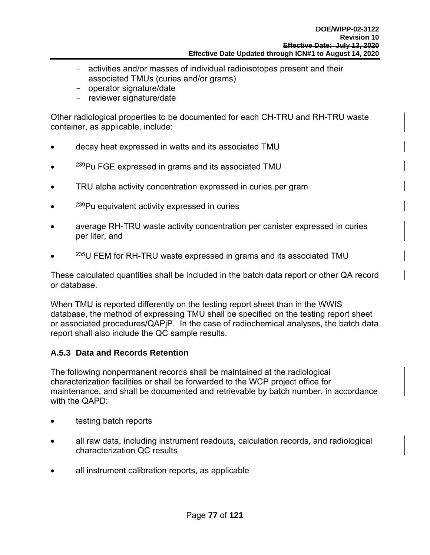- activities and/or masses of individual radioisotopes present and their associated TMUs (curies and/or grams)
- operator signature/date
- reviewer signature/date

Other radiological properties to be documented for each CH-TRU and RH-TRU waste container, as applicable, include:

- decay heat expressed in watts and its associated TMU
- <sup>239</sup>Pu FGE expressed in grams and its associated TMU
- TRU alpha activity concentration expressed in curies per gram
- <sup>239</sup>Pu equivalent activity expressed in curies
- average RH-TRU waste activity concentration per canister expressed in curies per liter, and
- $^{235}$ U FEM for RH-TRU waste expressed in grams and its associated TMU

These calculated quantities shall be included in the batch data report or other QA record or database.

When TMU is reported differently on the testing report sheet than in the WWIS database, the method of expressing TMU shall be specified on the testing report sheet or associated procedures/QAPjP. In the case of radiochemical analyses, the batch data report shall also include the QC sample results.

# **A.5.3 Data and Records Retention**

The following nonpermanent records shall be maintained at the radiological characterization facilities or shall be forwarded to the WCP project office for maintenance, and shall be documented and retrievable by batch number, in accordance with the QAPD:

- testing batch reports
- all raw data, including instrument readouts, calculation records, and radiological characterization QC results
- all instrument calibration reports, as applicable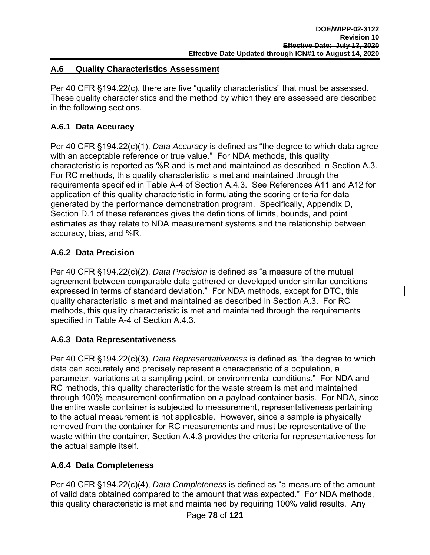### **A.6 Quality Characteristics Assessment**

Per 40 CFR §194.22(c), there are five "quality characteristics" that must be assessed. These quality characteristics and the method by which they are assessed are described in the following sections.

# **A.6.1 Data Accuracy**

Per 40 CFR §194.22(c)(1), *Data Accuracy* is defined as "the degree to which data agree with an acceptable reference or true value." For NDA methods, this quality characteristic is reported as %R and is met and maintained as described in Section A.3. For RC methods, this quality characteristic is met and maintained through the requirements specified in Table A-4 of Section A.4.3. See References A11 and A12 for application of this quality characteristic in formulating the scoring criteria for data generated by the performance demonstration program. Specifically, Appendix D, Section D.1 of these references gives the definitions of limits, bounds, and point estimates as they relate to NDA measurement systems and the relationship between accuracy, bias, and %R.

# **A.6.2 Data Precision**

Per 40 CFR §194.22(c)(2), *Data Precision* is defined as "a measure of the mutual agreement between comparable data gathered or developed under similar conditions expressed in terms of standard deviation." For NDA methods, except for DTC, this quality characteristic is met and maintained as described in Section A.3. For RC methods, this quality characteristic is met and maintained through the requirements specified in Table A-4 of Section A.4.3.

# **A.6.3 Data Representativeness**

Per 40 CFR §194.22(c)(3), *Data Representativeness* is defined as "the degree to which data can accurately and precisely represent a characteristic of a population, a parameter, variations at a sampling point, or environmental conditions." For NDA and RC methods, this quality characteristic for the waste stream is met and maintained through 100% measurement confirmation on a payload container basis. For NDA, since the entire waste container is subjected to measurement, representativeness pertaining to the actual measurement is not applicable. However, since a sample is physically removed from the container for RC measurements and must be representative of the waste within the container, Section A.4.3 provides the criteria for representativeness for the actual sample itself.

# **A.6.4 Data Completeness**

Per 40 CFR §194.22(c)(4), *Data Completeness* is defined as "a measure of the amount of valid data obtained compared to the amount that was expected." For NDA methods, this quality characteristic is met and maintained by requiring 100% valid results. Any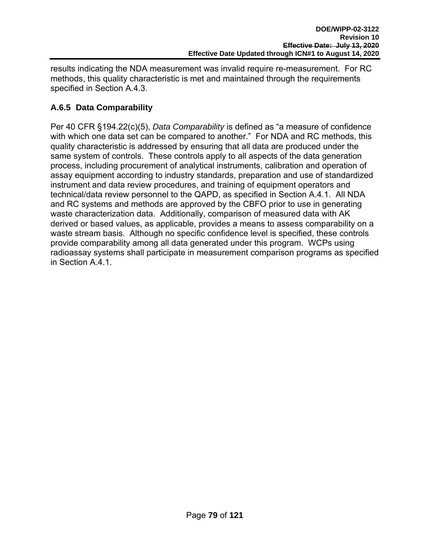results indicating the NDA measurement was invalid require re-measurement. For RC methods, this quality characteristic is met and maintained through the requirements specified in Section A.4.3.

# **A.6.5 Data Comparability**

Per 40 CFR §194.22(c)(5), *Data Comparability* is defined as "a measure of confidence with which one data set can be compared to another." For NDA and RC methods, this quality characteristic is addressed by ensuring that all data are produced under the same system of controls. These controls apply to all aspects of the data generation process, including procurement of analytical instruments, calibration and operation of assay equipment according to industry standards, preparation and use of standardized instrument and data review procedures, and training of equipment operators and technical/data review personnel to the QAPD, as specified in Section A.4.1. All NDA and RC systems and methods are approved by the CBFO prior to use in generating waste characterization data. Additionally, comparison of measured data with AK derived or based values, as applicable, provides a means to assess comparability on a waste stream basis. Although no specific confidence level is specified, these controls provide comparability among all data generated under this program. WCPs using radioassay systems shall participate in measurement comparison programs as specified in Section A.4.1.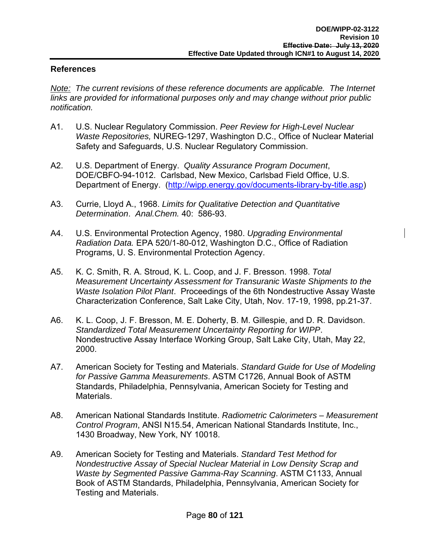#### **References**

*Note: The current revisions of these reference documents are applicable. The Internet links are provided for informational purposes only and may change without prior public notification.* 

- A1. U.S. Nuclear Regulatory Commission. *Peer Review for High-Level Nuclear Waste Repositories,* NUREG-1297, Washington D.C., Office of Nuclear Material Safety and Safeguards, U.S. Nuclear Regulatory Commission.
- A2. U.S. Department of Energy. *Quality Assurance Program Document*, DOE/CBFO-94-1012. Carlsbad, New Mexico, Carlsbad Field Office, U.S. Department of Energy. (http://wipp.energy.gov/documents-library-by-title.asp)
- A3. Currie, Lloyd A., 1968. *Limits for Qualitative Detection and Quantitative Determination*. *Anal.Chem.* 40: 586-93.
- A4. U.S. Environmental Protection Agency, 1980. *Upgrading Environmental Radiation Data.* EPA 520/1-80-012, Washington D.C., Office of Radiation Programs, U. S. Environmental Protection Agency.
- A5. K. C. Smith, R. A. Stroud, K. L. Coop, and J. F. Bresson. 1998. *Total Measurement Uncertainty Assessment for Transuranic Waste Shipments to the Waste Isolation Pilot Plant*. Proceedings of the 6th Nondestructive Assay Waste Characterization Conference, Salt Lake City, Utah, Nov. 17-19, 1998, pp.21-37.
- A6. K. L. Coop, J. F. Bresson, M. E. Doherty, B. M. Gillespie, and D. R. Davidson. *Standardized Total Measurement Uncertainty Reporting for WIPP*. Nondestructive Assay Interface Working Group, Salt Lake City, Utah, May 22, 2000.
- A7. American Society for Testing and Materials. *Standard Guide for Use of Modeling for Passive Gamma Measurements*. ASTM C1726, Annual Book of ASTM Standards, Philadelphia, Pennsylvania, American Society for Testing and Materials.
- A8. American National Standards Institute. *Radiometric Calorimeters Measurement Control Program*, ANSI N15.54, American National Standards Institute, Inc., 1430 Broadway, New York, NY 10018.
- A9. American Society for Testing and Materials. *Standard Test Method for Nondestructive Assay of Special Nuclear Material in Low Density Scrap and Waste by Segmented Passive Gamma-Ray Scanning*. ASTM C1133, Annual Book of ASTM Standards, Philadelphia, Pennsylvania, American Society for Testing and Materials.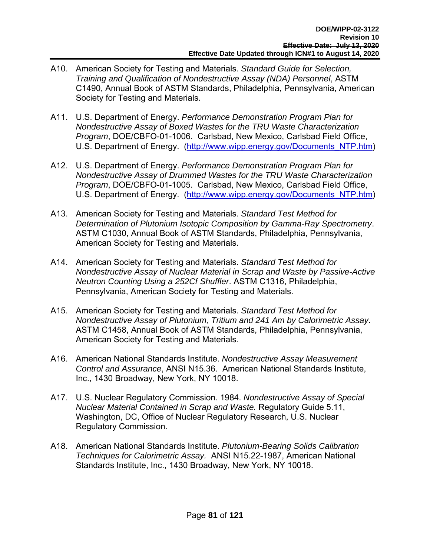- A10. American Society for Testing and Materials. *Standard Guide for Selection, Training and Qualification of Nondestructive Assay (NDA) Personnel*, ASTM C1490, Annual Book of ASTM Standards, Philadelphia, Pennsylvania, American Society for Testing and Materials.
- A11. U.S. Department of Energy. *Performance Demonstration Program Plan for Nondestructive Assay of Boxed Wastes for the TRU Waste Characterization Program*, DOE/CBFO-01-1006. Carlsbad, New Mexico, Carlsbad Field Office, U.S. Department of Energy. (http://www.wipp.energy.gov/Documents\_NTP.htm)
- A12. U.S. Department of Energy. *Performance Demonstration Program Plan for Nondestructive Assay of Drummed Wastes for the TRU Waste Characterization Program*, DOE/CBFO-01-1005. Carlsbad, New Mexico, Carlsbad Field Office, U.S. Department of Energy. (http://www.wipp.energy.gov/Documents\_NTP.htm)
- A13. American Society for Testing and Materials. *Standard Test Method for Determination of Plutonium Isotopic Composition by Gamma-Ray Spectrometry*. ASTM C1030, Annual Book of ASTM Standards, Philadelphia, Pennsylvania, American Society for Testing and Materials.
- A14. American Society for Testing and Materials. *Standard Test Method for Nondestructive Assay of Nuclear Material in Scrap and Waste by Passive-Active Neutron Counting Using a 252Cf Shuffler*. ASTM C1316, Philadelphia, Pennsylvania, American Society for Testing and Materials.
- A15. American Society for Testing and Materials. *Standard Test Method for Nondestructive Assay of Plutonium, Tritium and 241 Am by Calorimetric Assay*. ASTM C1458, Annual Book of ASTM Standards, Philadelphia, Pennsylvania, American Society for Testing and Materials.
- A16. American National Standards Institute. *Nondestructive Assay Measurement Control and Assurance*, ANSI N15.36. American National Standards Institute, Inc., 1430 Broadway, New York, NY 10018.
- A17. U.S. Nuclear Regulatory Commission. 1984. *Nondestructive Assay of Special Nuclear Material Contained in Scrap and Waste.* Regulatory Guide 5.11, Washington, DC, Office of Nuclear Regulatory Research, U.S. Nuclear Regulatory Commission.
- A18. American National Standards Institute. *Plutonium-Bearing Solids Calibration Techniques for Calorimetric Assay.* ANSI N15.22-1987, American National Standards Institute, Inc., 1430 Broadway, New York, NY 10018.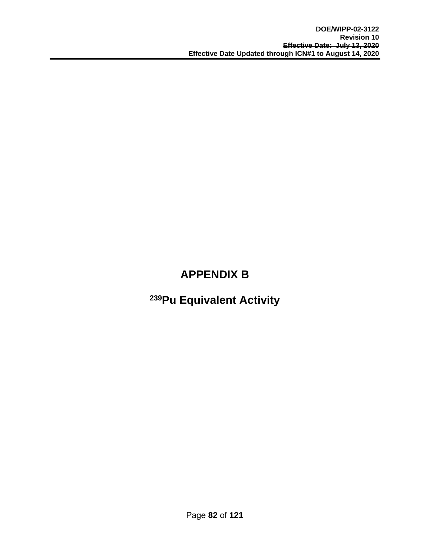# **APPENDIX B**

# **239Pu Equivalent Activity**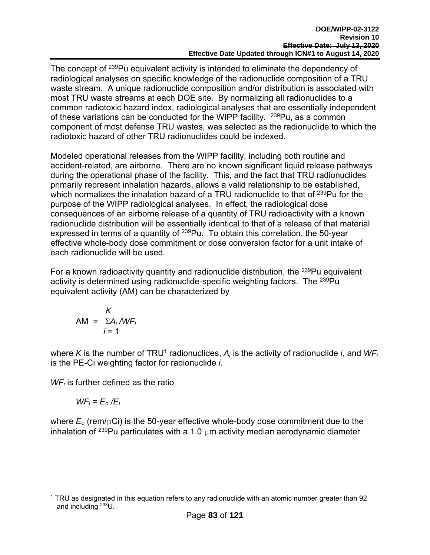The concept of <sup>239</sup>Pu equivalent activity is intended to eliminate the dependency of radiological analyses on specific knowledge of the radionuclide composition of a TRU waste stream. A unique radionuclide composition and/or distribution is associated with most TRU waste streams at each DOE site. By normalizing all radionuclides to a common radiotoxic hazard index, radiological analyses that are essentially independent of these variations can be conducted for the WIPP facility. <sup>239</sup>Pu, as a common component of most defense TRU wastes, was selected as the radionuclide to which the radiotoxic hazard of other TRU radionuclides could be indexed.

Modeled operational releases from the WIPP facility, including both routine and accident-related, are airborne. There are no known significant liquid release pathways during the operational phase of the facility. This, and the fact that TRU radionuclides primarily represent inhalation hazards, allows a valid relationship to be established, which normalizes the inhalation hazard of a TRU radionuclide to that of <sup>239</sup>Pu for the purpose of the WIPP radiological analyses. In effect, the radiological dose consequences of an airborne release of a quantity of TRU radioactivity with a known radionuclide distribution will be essentially identical to that of a release of that material expressed in terms of a quantity of <sup>239</sup>Pu. To obtain this correlation, the 50-year effective whole-body dose commitment or dose conversion factor for a unit intake of each radionuclide will be used.

For a known radioactivity quantity and radionuclide distribution, the  $^{239}$ Pu equivalent activity is determined using radionuclide-specific weighting factors. The <sup>239</sup>Pu equivalent activity (AM) can be characterized by

$$
AM = \frac{K}{\sum A_i / WF_i}
$$
  
 $i = 1$ 

where *K* is the number of TRU<sup>1</sup> radionuclides,  $A_i$  is the activity of radionuclide *i*, and  $WF_i$ is the PE-Ci weighting factor for radionuclide *i*.

*WFi* is further defined as the ratio

$$
WF_i = E_o/E_i
$$

1

where  $E_0$  (rem/ $\mu$ Ci) is the 50-year effective whole-body dose commitment due to the inhalation of <sup>239</sup>Pu particulates with a 1.0  $\mu$ m activity median aerodynamic diameter

<sup>1</sup> TRU as designated in this equation refers to any radionuclide with an atomic number greater than 92 and including 233U.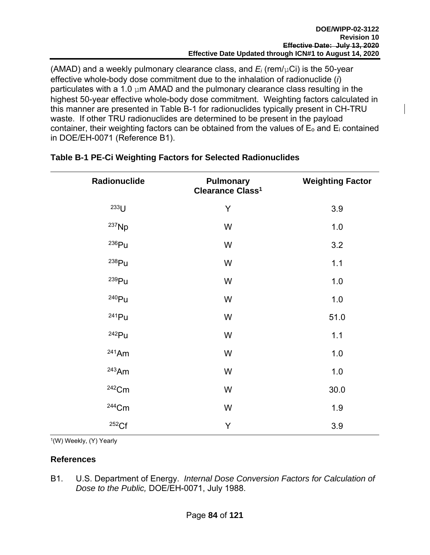(AMAD) and a weekly pulmonary clearance class, and *Ei* (rem/µCi) is the 50-year effective whole-body dose commitment due to the inhalation of radionuclide (*i*) particulates with a 1.0  $µm$  AMAD and the pulmonary clearance class resulting in the highest 50-year effective whole-body dose commitment. Weighting factors calculated in this manner are presented in Table B-1 for radionuclides typically present in CH-TRU waste. If other TRU radionuclides are determined to be present in the payload container, their weighting factors can be obtained from the values of  $E_0$  and  $E_i$  contained in DOE/EH-0071 (Reference B1).

| Radionuclide      | <b>Pulmonary</b><br>Clearance Class <sup>1</sup> | <b>Weighting Factor</b> |
|-------------------|--------------------------------------------------|-------------------------|
| $233$ U           | Y                                                | 3.9                     |
| $^{237}$ Np       | W                                                | 1.0                     |
| 236Pu             | W                                                | 3.2                     |
| 238Pu             | W                                                | 1.1                     |
| <sup>239</sup> Pu | W                                                | 1.0                     |
| 240 <sub>Pu</sub> | W                                                | 1.0                     |
| $241$ Pu          | W                                                | 51.0                    |
| $242$ Pu          | W                                                | 1.1                     |
| $241$ Am          | W                                                | 1.0                     |
| $243$ Am          | W                                                | 1.0                     |
| $242$ Cm          | W                                                | 30.0                    |
| $244$ Cm          | W                                                | 1.9                     |
| 252Cf             | Y                                                | 3.9                     |

### **Table B-1 PE-Ci Weighting Factors for Selected Radionuclides**

1(W) Weekly, (Y) Yearly

#### **References**

B1. U.S. Department of Energy. *Internal Dose Conversion Factors for Calculation of Dose to the Public,* DOE/EH-0071, July 1988.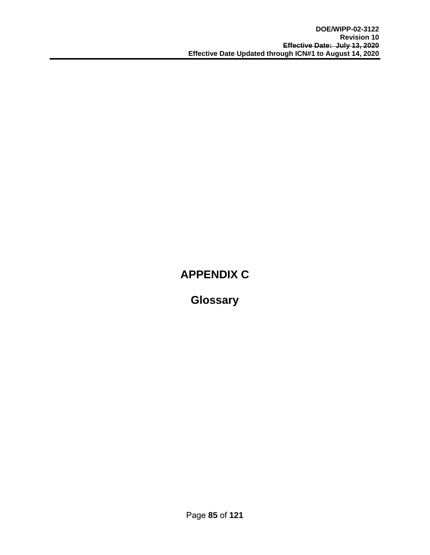# **APPENDIX C**

**Glossary**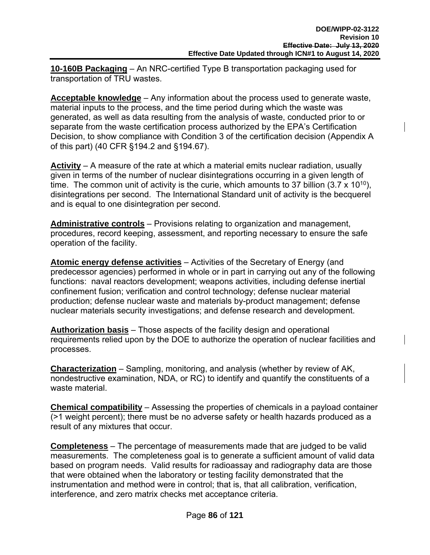**10-160B Packaging** – An NRC-certified Type B transportation packaging used for transportation of TRU wastes.

**Acceptable knowledge** – Any information about the process used to generate waste, material inputs to the process, and the time period during which the waste was generated, as well as data resulting from the analysis of waste, conducted prior to or separate from the waste certification process authorized by the EPA's Certification Decision, to show compliance with Condition 3 of the certification decision (Appendix A of this part) (40 CFR §194.2 and §194.67).

**Activity** – A measure of the rate at which a material emits nuclear radiation, usually given in terms of the number of nuclear disintegrations occurring in a given length of time. The common unit of activity is the curie, which amounts to 37 billion (3.7 x 10<sup>10</sup>), disintegrations per second. The International Standard unit of activity is the becquerel and is equal to one disintegration per second.

**Administrative controls** – Provisions relating to organization and management, procedures, record keeping, assessment, and reporting necessary to ensure the safe operation of the facility.

**Atomic energy defense activities** – Activities of the Secretary of Energy (and predecessor agencies) performed in whole or in part in carrying out any of the following functions: naval reactors development; weapons activities, including defense inertial confinement fusion; verification and control technology; defense nuclear material production; defense nuclear waste and materials by-product management; defense nuclear materials security investigations; and defense research and development.

**Authorization basis** – Those aspects of the facility design and operational requirements relied upon by the DOE to authorize the operation of nuclear facilities and processes.

**Characterization** – Sampling, monitoring, and analysis (whether by review of AK, nondestructive examination, NDA, or RC) to identify and quantify the constituents of a waste material.

**Chemical compatibility** – Assessing the properties of chemicals in a payload container (>1 weight percent); there must be no adverse safety or health hazards produced as a result of any mixtures that occur.

**Completeness** – The percentage of measurements made that are judged to be valid measurements. The completeness goal is to generate a sufficient amount of valid data based on program needs. Valid results for radioassay and radiography data are those that were obtained when the laboratory or testing facility demonstrated that the instrumentation and method were in control; that is, that all calibration, verification, interference, and zero matrix checks met acceptance criteria.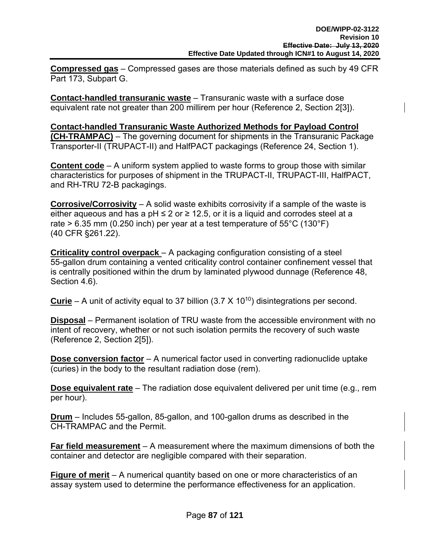**Compressed gas** – Compressed gases are those materials defined as such by 49 CFR Part 173, Subpart G.

**Contact-handled transuranic waste** – Transuranic waste with a surface dose equivalent rate not greater than 200 millirem per hour (Reference 2, Section 2[3]).

**Contact-handled Transuranic Waste Authorized Methods for Payload Control (CH-TRAMPAC)** – The governing document for shipments in the Transuranic Package Transporter-II (TRUPACT-II) and HalfPACT packagings (Reference 24, Section 1).

**Content code** – A uniform system applied to waste forms to group those with similar characteristics for purposes of shipment in the TRUPACT-II, TRUPACT-III, HalfPACT, and RH-TRU 72-B packagings.

**Corrosive/Corrosivity** – A solid waste exhibits corrosivity if a sample of the waste is either aqueous and has a pH  $\leq$  2 or  $\geq$  12.5, or it is a liquid and corrodes steel at a rate  $> 6.35$  mm (0.250 inch) per year at a test temperature of 55°C (130°F) (40 CFR §261.22).

**Criticality control overpack** – A packaging configuration consisting of a steel 55-gallon drum containing a vented criticality control container confinement vessel that is centrally positioned within the drum by laminated plywood dunnage (Reference 48, Section 4.6).

**Curie** – A unit of activity equal to 37 billion  $(3.7 \times 10^{10})$  disintegrations per second.

**Disposal** – Permanent isolation of TRU waste from the accessible environment with no intent of recovery, whether or not such isolation permits the recovery of such waste (Reference 2, Section 2[5]).

**Dose conversion factor** – A numerical factor used in converting radionuclide uptake (curies) in the body to the resultant radiation dose (rem).

**Dose equivalent rate** – The radiation dose equivalent delivered per unit time (e.g., rem per hour).

**Drum** – Includes 55-gallon, 85-gallon, and 100-gallon drums as described in the CH-TRAMPAC and the Permit.

**Far field measurement** – A measurement where the maximum dimensions of both the container and detector are negligible compared with their separation.

**Figure of merit** – A numerical quantity based on one or more characteristics of an assay system used to determine the performance effectiveness for an application.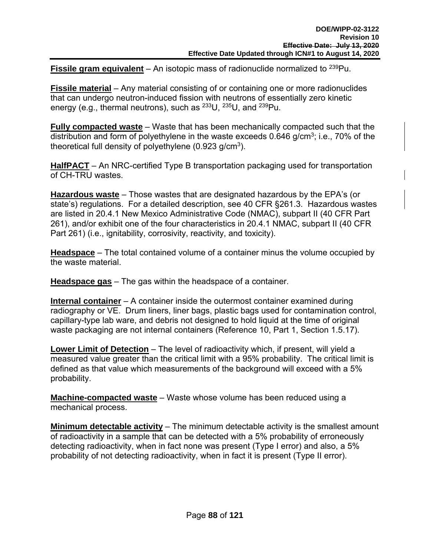**Fissile gram equivalent** – An isotopic mass of radionuclide normalized to <sup>239</sup>Pu.

**Fissile material** – Any material consisting of or containing one or more radionuclides that can undergo neutron-induced fission with neutrons of essentially zero kinetic energy (e.g., thermal neutrons), such as 233U, 235U, and 239Pu.

**Fully compacted waste** – Waste that has been mechanically compacted such that the distribution and form of polyethylene in the waste exceeds  $0.646$  g/cm<sup>3</sup>; i.e., 70% of the theoretical full density of polyethylene  $(0.923 \text{ g/cm}^3)$ .

**HalfPACT** – An NRC-certified Type B transportation packaging used for transportation of CH-TRU wastes.

**Hazardous waste** – Those wastes that are designated hazardous by the EPA's (or state's) regulations. For a detailed description, see 40 CFR §261.3. Hazardous wastes are listed in 20.4.1 New Mexico Administrative Code (NMAC), subpart II (40 CFR Part 261), and/or exhibit one of the four characteristics in 20.4.1 NMAC, subpart II (40 CFR Part 261) (i.e., ignitability, corrosivity, reactivity, and toxicity).

**Headspace** – The total contained volume of a container minus the volume occupied by the waste material.

**Headspace gas** – The gas within the headspace of a container.

**Internal container** – A container inside the outermost container examined during radiography or VE. Drum liners, liner bags, plastic bags used for contamination control, capillary-type lab ware, and debris not designed to hold liquid at the time of original waste packaging are not internal containers (Reference 10, Part 1, Section 1.5.17).

**Lower Limit of Detection** – The level of radioactivity which, if present, will yield a measured value greater than the critical limit with a 95% probability. The critical limit is defined as that value which measurements of the background will exceed with a 5% probability.

**Machine-compacted waste** – Waste whose volume has been reduced using a mechanical process.

**Minimum detectable activity** – The minimum detectable activity is the smallest amount of radioactivity in a sample that can be detected with a 5% probability of erroneously detecting radioactivity, when in fact none was present (Type I error) and also, a 5% probability of not detecting radioactivity, when in fact it is present (Type II error).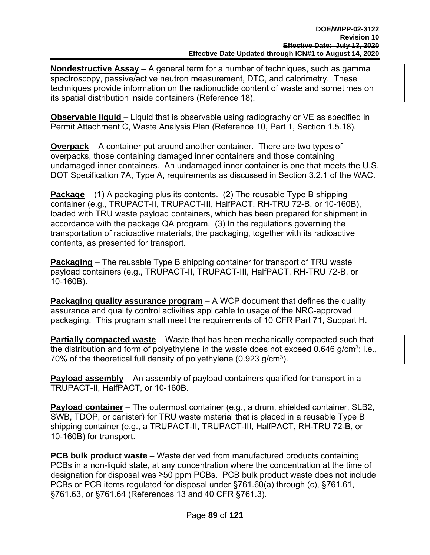**Nondestructive Assay** – A general term for a number of techniques, such as gamma spectroscopy, passive/active neutron measurement, DTC, and calorimetry. These techniques provide information on the radionuclide content of waste and sometimes on its spatial distribution inside containers (Reference 18).

**Observable liquid** – Liquid that is observable using radiography or VE as specified in Permit Attachment C, Waste Analysis Plan (Reference 10, Part 1, Section 1.5.18).

**Overpack** – A container put around another container. There are two types of overpacks, those containing damaged inner containers and those containing undamaged inner containers. An undamaged inner container is one that meets the U.S. DOT Specification 7A, Type A, requirements as discussed in Section 3.2.1 of the WAC.

**Package** – (1) A packaging plus its contents. (2) The reusable Type B shipping container (e.g., TRUPACT-II, TRUPACT-III, HalfPACT, RH-TRU 72-B, or 10-160B), loaded with TRU waste payload containers, which has been prepared for shipment in accordance with the package QA program. (3) In the regulations governing the transportation of radioactive materials, the packaging, together with its radioactive contents, as presented for transport.

**Packaging** – The reusable Type B shipping container for transport of TRU waste payload containers (e.g., TRUPACT-II, TRUPACT-III, HalfPACT, RH-TRU 72-B, or 10-160B).

**Packaging quality assurance program** – A WCP document that defines the quality assurance and quality control activities applicable to usage of the NRC-approved packaging. This program shall meet the requirements of 10 CFR Part 71, Subpart H.

**Partially compacted waste** – Waste that has been mechanically compacted such that the distribution and form of polyethylene in the waste does not exceed  $0.646$  g/cm<sup>3</sup>; i.e., 70% of the theoretical full density of polyethylene (0.923 g/cm<sup>3</sup>).

**Payload assembly** – An assembly of payload containers qualified for transport in a TRUPACT-II, HalfPACT, or 10-160B.

**Payload container** – The outermost container (e.g., a drum, shielded container, SLB2, SWB, TDOP, or canister) for TRU waste material that is placed in a reusable Type B shipping container (e.g., a TRUPACT-II, TRUPACT-III, HalfPACT, RH-TRU 72-B, or 10-160B) for transport.

**PCB bulk product waste** – Waste derived from manufactured products containing PCBs in a non-liquid state, at any concentration where the concentration at the time of designation for disposal was ≥50 ppm PCBs. PCB bulk product waste does not include PCBs or PCB items regulated for disposal under §761.60(a) through (c), §761.61, §761.63, or §761.64 (References 13 and 40 CFR §761.3).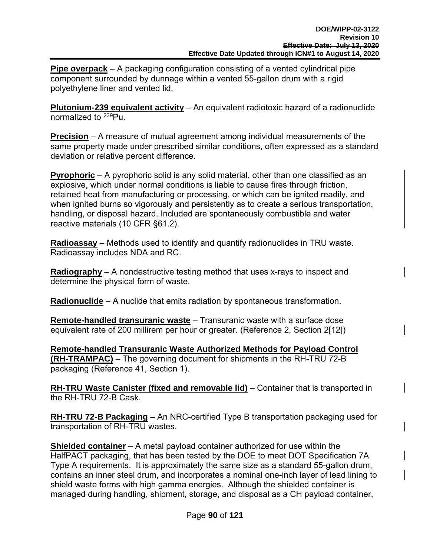**Pipe overpack** – A packaging configuration consisting of a vented cylindrical pipe component surrounded by dunnage within a vented 55-gallon drum with a rigid polyethylene liner and vented lid.

**Plutonium-239 equivalent activity** – An equivalent radiotoxic hazard of a radionuclide normalized to 239Pu.

**Precision** – A measure of mutual agreement among individual measurements of the same property made under prescribed similar conditions, often expressed as a standard deviation or relative percent difference.

**Pyrophoric** – A pyrophoric solid is any solid material, other than one classified as an explosive, which under normal conditions is liable to cause fires through friction, retained heat from manufacturing or processing, or which can be ignited readily, and when ignited burns so vigorously and persistently as to create a serious transportation, handling, or disposal hazard. Included are spontaneously combustible and water reactive materials (10 CFR §61.2).

**Radioassay** – Methods used to identify and quantify radionuclides in TRU waste. Radioassay includes NDA and RC.

**Radiography** – A nondestructive testing method that uses x-rays to inspect and determine the physical form of waste.

**Radionuclide** – A nuclide that emits radiation by spontaneous transformation.

**Remote-handled transuranic waste** – Transuranic waste with a surface dose equivalent rate of 200 millirem per hour or greater. (Reference 2, Section 2[12])

**Remote-handled Transuranic Waste Authorized Methods for Payload Control (RH-TRAMPAC)** – The governing document for shipments in the RH-TRU 72-B packaging (Reference 41, Section 1).

**RH-TRU Waste Canister (fixed and removable lid)** – Container that is transported in the RH-TRU 72-B Cask.

**RH-TRU 72-B Packaging** – An NRC-certified Type B transportation packaging used for transportation of RH-TRU wastes.

**Shielded container** – A metal payload container authorized for use within the HalfPACT packaging, that has been tested by the DOE to meet DOT Specification 7A Type A requirements. It is approximately the same size as a standard 55-gallon drum, contains an inner steel drum, and incorporates a nominal one-inch layer of lead lining to shield waste forms with high gamma energies. Although the shielded container is managed during handling, shipment, storage, and disposal as a CH payload container,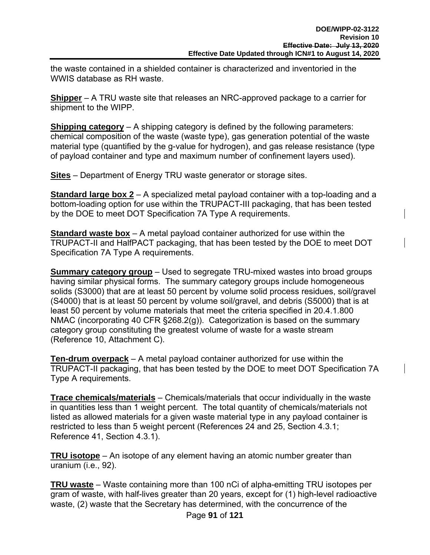the waste contained in a shielded container is characterized and inventoried in the WWIS database as RH waste.

**Shipper** – A TRU waste site that releases an NRC-approved package to a carrier for shipment to the WIPP.

**Shipping category** – A shipping category is defined by the following parameters: chemical composition of the waste (waste type), gas generation potential of the waste material type (quantified by the g-value for hydrogen), and gas release resistance (type of payload container and type and maximum number of confinement layers used).

**Sites** – Department of Energy TRU waste generator or storage sites.

**Standard large box 2** – A specialized metal payload container with a top-loading and a bottom-loading option for use within the TRUPACT-III packaging, that has been tested by the DOE to meet DOT Specification 7A Type A requirements.

**Standard waste box** – A metal payload container authorized for use within the TRUPACT-II and HalfPACT packaging, that has been tested by the DOE to meet DOT Specification 7A Type A requirements.

**Summary category group** – Used to segregate TRU-mixed wastes into broad groups having similar physical forms. The summary category groups include homogeneous solids (S3000) that are at least 50 percent by volume solid process residues, soil/gravel (S4000) that is at least 50 percent by volume soil/gravel, and debris (S5000) that is at least 50 percent by volume materials that meet the criteria specified in 20.4.1.800 NMAC (incorporating 40 CFR §268.2(g)). Categorization is based on the summary category group constituting the greatest volume of waste for a waste stream (Reference 10, Attachment C).

**Ten-drum overpack** – A metal payload container authorized for use within the TRUPACT-II packaging, that has been tested by the DOE to meet DOT Specification 7A Type A requirements.

**Trace chemicals/materials** – Chemicals/materials that occur individually in the waste in quantities less than 1 weight percent. The total quantity of chemicals/materials not listed as allowed materials for a given waste material type in any payload container is restricted to less than 5 weight percent (References 24 and 25, Section 4.3.1; Reference 41, Section 4.3.1).

**TRU isotope** – An isotope of any element having an atomic number greater than uranium (i.e., 92).

**TRU waste** – Waste containing more than 100 nCi of alpha-emitting TRU isotopes per gram of waste, with half-lives greater than 20 years, except for (1) high-level radioactive waste, (2) waste that the Secretary has determined, with the concurrence of the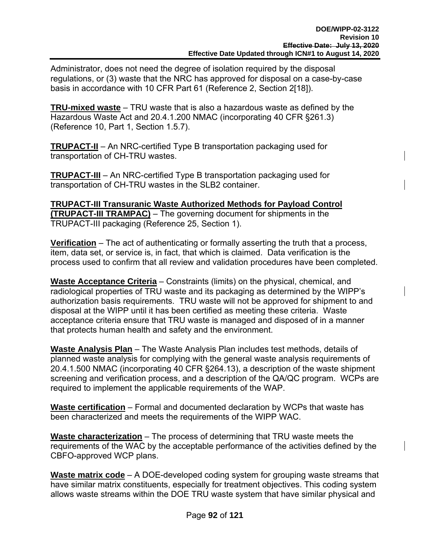Administrator, does not need the degree of isolation required by the disposal regulations, or (3) waste that the NRC has approved for disposal on a case-by-case basis in accordance with 10 CFR Part 61 (Reference 2, Section 2[18]).

**TRU-mixed waste** – TRU waste that is also a hazardous waste as defined by the Hazardous Waste Act and 20.4.1.200 NMAC (incorporating 40 CFR §261.3) (Reference 10, Part 1, Section 1.5.7).

**TRUPACT-II** – An NRC-certified Type B transportation packaging used for transportation of CH-TRU wastes.

**TRUPACT-III** – An NRC-certified Type B transportation packaging used for transportation of CH-TRU wastes in the SLB2 container.

**TRUPACT-III Transuranic Waste Authorized Methods for Payload Control (TRUPACT-III TRAMPAC)** – The governing document for shipments in the TRUPACT-III packaging (Reference 25, Section 1).

**Verification** – The act of authenticating or formally asserting the truth that a process, item, data set, or service is, in fact, that which is claimed. Data verification is the process used to confirm that all review and validation procedures have been completed.

**Waste Acceptance Criteria** – Constraints (limits) on the physical, chemical, and radiological properties of TRU waste and its packaging as determined by the WIPP's authorization basis requirements. TRU waste will not be approved for shipment to and disposal at the WIPP until it has been certified as meeting these criteria. Waste acceptance criteria ensure that TRU waste is managed and disposed of in a manner that protects human health and safety and the environment.

**Waste Analysis Plan** – The Waste Analysis Plan includes test methods, details of planned waste analysis for complying with the general waste analysis requirements of 20.4.1.500 NMAC (incorporating 40 CFR §264.13), a description of the waste shipment screening and verification process, and a description of the QA/QC program. WCPs are required to implement the applicable requirements of the WAP.

**Waste certification** – Formal and documented declaration by WCPs that waste has been characterized and meets the requirements of the WIPP WAC.

**Waste characterization** – The process of determining that TRU waste meets the requirements of the WAC by the acceptable performance of the activities defined by the CBFO-approved WCP plans.

**Waste matrix code** – A DOE-developed coding system for grouping waste streams that have similar matrix constituents, especially for treatment objectives. This coding system allows waste streams within the DOE TRU waste system that have similar physical and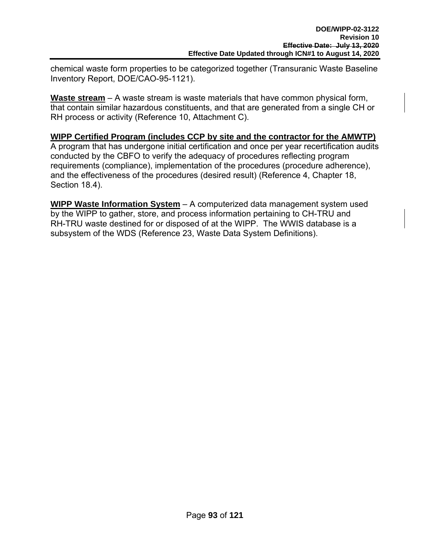chemical waste form properties to be categorized together (Transuranic Waste Baseline Inventory Report, DOE/CAO-95-1121).

**Waste stream** – A waste stream is waste materials that have common physical form, that contain similar hazardous constituents, and that are generated from a single CH or RH process or activity (Reference 10, Attachment C).

#### **WIPP Certified Program (includes CCP by site and the contractor for the AMWTP)**

A program that has undergone initial certification and once per year recertification audits conducted by the CBFO to verify the adequacy of procedures reflecting program requirements (compliance), implementation of the procedures (procedure adherence), and the effectiveness of the procedures (desired result) (Reference 4, Chapter 18, Section 18.4).

**WIPP Waste Information System** – A computerized data management system used by the WIPP to gather, store, and process information pertaining to CH-TRU and RH-TRU waste destined for or disposed of at the WIPP. The WWIS database is a subsystem of the WDS (Reference 23, Waste Data System Definitions).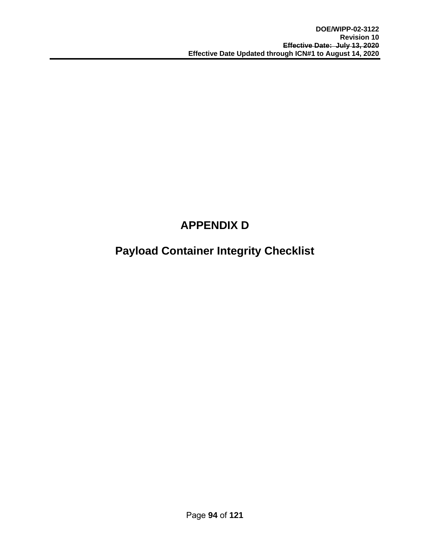# **APPENDIX D**

# **Payload Container Integrity Checklist**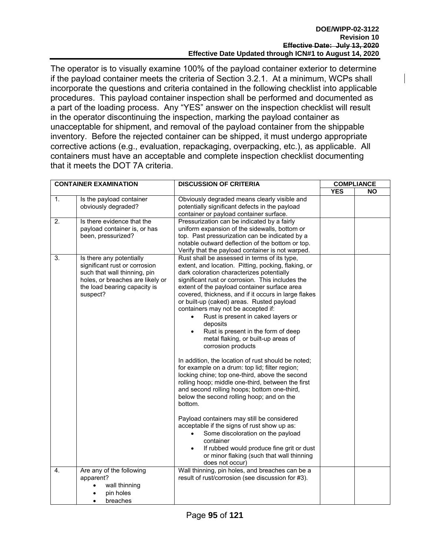The operator is to visually examine 100% of the payload container exterior to determine if the payload container meets the criteria of Section 3.2.1. At a minimum, WCPs shall incorporate the questions and criteria contained in the following checklist into applicable procedures. This payload container inspection shall be performed and documented as a part of the loading process. Any "YES" answer on the inspection checklist will result in the operator discontinuing the inspection, marking the payload container as unacceptable for shipment, and removal of the payload container from the shippable inventory. Before the rejected container can be shipped, it must undergo appropriate corrective actions (e.g., evaluation, repackaging, overpacking, etc.), as applicable. All containers must have an acceptable and complete inspection checklist documenting that it meets the DOT 7A criteria.

| <b>CONTAINER EXAMINATION</b> |                                                                                                                                                                           | <b>DISCUSSION OF CRITERIA</b>                                                                                                                                                                                                                                                                                                                                                                                                                                                                                                                                                                                                                                                                                                                                                                                                                                                                                                                                                                                                                                                                                                                        | <b>COMPLIANCE</b> |           |
|------------------------------|---------------------------------------------------------------------------------------------------------------------------------------------------------------------------|------------------------------------------------------------------------------------------------------------------------------------------------------------------------------------------------------------------------------------------------------------------------------------------------------------------------------------------------------------------------------------------------------------------------------------------------------------------------------------------------------------------------------------------------------------------------------------------------------------------------------------------------------------------------------------------------------------------------------------------------------------------------------------------------------------------------------------------------------------------------------------------------------------------------------------------------------------------------------------------------------------------------------------------------------------------------------------------------------------------------------------------------------|-------------------|-----------|
|                              |                                                                                                                                                                           |                                                                                                                                                                                                                                                                                                                                                                                                                                                                                                                                                                                                                                                                                                                                                                                                                                                                                                                                                                                                                                                                                                                                                      | <b>YES</b>        | <b>NO</b> |
| 1.                           | Is the payload container<br>obviously degraded?                                                                                                                           | Obviously degraded means clearly visible and<br>potentially significant defects in the payload<br>container or payload container surface.                                                                                                                                                                                                                                                                                                                                                                                                                                                                                                                                                                                                                                                                                                                                                                                                                                                                                                                                                                                                            |                   |           |
| 2.                           | Is there evidence that the<br>payload container is, or has<br>been, pressurized?                                                                                          | Pressurization can be indicated by a fairly<br>uniform expansion of the sidewalls, bottom or<br>top. Past pressurization can be indicated by a<br>notable outward deflection of the bottom or top.<br>Verify that the payload container is not warped.                                                                                                                                                                                                                                                                                                                                                                                                                                                                                                                                                                                                                                                                                                                                                                                                                                                                                               |                   |           |
| $\overline{3}$ .             | Is there any potentially<br>significant rust or corrosion<br>such that wall thinning, pin<br>holes, or breaches are likely or<br>the load bearing capacity is<br>suspect? | Rust shall be assessed in terms of its type,<br>extent, and location. Pitting, pocking, flaking, or<br>dark coloration characterizes potentially<br>significant rust or corrosion. This includes the<br>extent of the payload container surface area<br>covered, thickness, and if it occurs in large flakes<br>or built-up (caked) areas. Rusted payload<br>containers may not be accepted if:<br>Rust is present in caked layers or<br>$\bullet$<br>deposits<br>Rust is present in the form of deep<br>metal flaking, or built-up areas of<br>corrosion products<br>In addition, the location of rust should be noted;<br>for example on a drum: top lid; filter region;<br>locking chine; top one-third, above the second<br>rolling hoop; middle one-third, between the first<br>and second rolling hoops; bottom one-third,<br>below the second rolling hoop; and on the<br>bottom.<br>Payload containers may still be considered<br>acceptable if the signs of rust show up as:<br>Some discoloration on the payload<br>container<br>If rubbed would produce fine grit or dust<br>or minor flaking (such that wall thinning<br>does not occur) |                   |           |
| $\mathbf{4}$ .               | Are any of the following<br>apparent?<br>wall thinning<br>pin holes<br>breaches                                                                                           | Wall thinning, pin holes, and breaches can be a<br>result of rust/corrosion (see discussion for #3).                                                                                                                                                                                                                                                                                                                                                                                                                                                                                                                                                                                                                                                                                                                                                                                                                                                                                                                                                                                                                                                 |                   |           |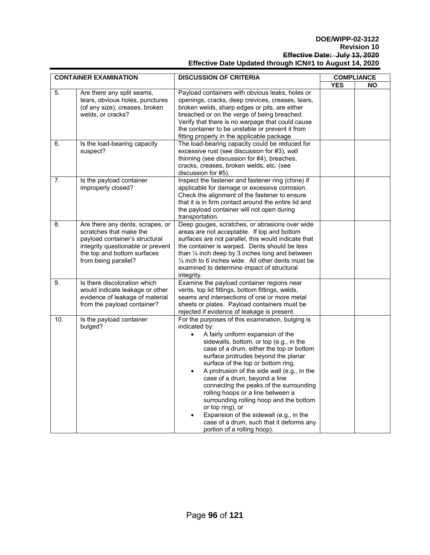#### **DOE/WIPP-02-3122 Revision 10 Effective Date: July 13, 2020 Effective Date Updated through ICN#1 to August 14, 2020**

| <b>CONTAINER EXAMINATION</b> |                                                                                                                                                                                           | <b>DISCUSSION OF CRITERIA</b>                                                                                                                                                                                                                                                                                                                                                                                                                                                                                                                                                                                                                             | <b>COMPLIANCE</b> |           |
|------------------------------|-------------------------------------------------------------------------------------------------------------------------------------------------------------------------------------------|-----------------------------------------------------------------------------------------------------------------------------------------------------------------------------------------------------------------------------------------------------------------------------------------------------------------------------------------------------------------------------------------------------------------------------------------------------------------------------------------------------------------------------------------------------------------------------------------------------------------------------------------------------------|-------------------|-----------|
|                              |                                                                                                                                                                                           |                                                                                                                                                                                                                                                                                                                                                                                                                                                                                                                                                                                                                                                           | <b>YES</b>        | <b>NO</b> |
| 5.                           | Are there any split seams,<br>tears, obvious holes, punctures<br>(of any size), creases, broken<br>welds, or cracks?                                                                      | Payload containers with obvious leaks, holes or<br>openings, cracks, deep crevices, creases, tears,<br>broken welds, sharp edges or pits, are either<br>breached or on the verge of being breached.<br>Verify that there is no warpage that could cause<br>the container to be unstable or prevent it from<br>fitting properly in the applicable package.                                                                                                                                                                                                                                                                                                 |                   |           |
| 6.                           | Is the load-bearing capacity<br>suspect?                                                                                                                                                  | The load-bearing capacity could be reduced for<br>excessive rust (see discussion for #3), wall<br>thinning (see discussion for #4), breaches,<br>cracks, creases, broken welds, etc. (see<br>discussion for #5).                                                                                                                                                                                                                                                                                                                                                                                                                                          |                   |           |
| 7.                           | Is the payload container<br>improperly closed?                                                                                                                                            | Inspect the fastener and fastener ring (chine) if<br>applicable for damage or excessive corrosion.<br>Check the alignment of the fastener to ensure<br>that it is in firm contact around the entire lid and<br>the payload container will not open during<br>transportation.                                                                                                                                                                                                                                                                                                                                                                              |                   |           |
| 8.                           | Are there any dents, scrapes, or<br>scratches that make the<br>payload container's structural<br>integrity questionable or prevent<br>the top and bottom surfaces<br>from being parallel? | Deep gouges, scratches, or abrasions over wide<br>areas are not acceptable. If top and bottom<br>surfaces are not parallel, this would indicate that<br>the container is warped. Dents should be less<br>than 1/4 inch deep by 3 inches long and between<br>$\frac{1}{2}$ inch to 6 inches wide. All other dents must be<br>examined to determine impact of structural<br>integrity.                                                                                                                                                                                                                                                                      |                   |           |
| 9.                           | Is there discoloration which<br>would indicate leakage or other<br>evidence of leakage of material<br>from the payload container?                                                         | Examine the payload container regions near<br>vents, top lid fittings, bottom fittings, welds,<br>seams and intersections of one or more metal<br>sheets or plates. Payload containers must be<br>rejected if evidence of leakage is present.                                                                                                                                                                                                                                                                                                                                                                                                             |                   |           |
| 10.                          | Is the payload container<br>bulged?                                                                                                                                                       | For the purposes of this examination, bulging is<br>indicated by:<br>A fairly uniform expansion of the<br>$\bullet$<br>sidewalls, bottom, or top (e.g., in the<br>case of a drum, either the top or bottom<br>surface protrudes beyond the planar<br>surface of the top or bottom ring,<br>A protrusion of the side wall (e.g., in the<br>$\bullet$<br>case of a drum, beyond a line<br>connecting the peaks of the surrounding<br>rolling hoops or a line between a<br>surrounding rolling hoop and the bottom<br>or top ring), or<br>Expansion of the sidewall (e.g., in the<br>case of a drum, such that it deforms any<br>portion of a rolling hoop). |                   |           |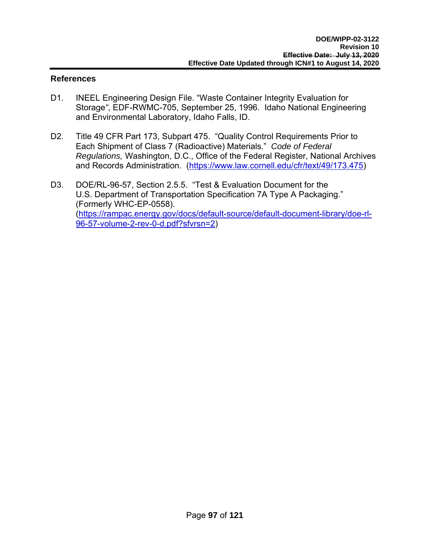#### **References**

- D1. INEEL Engineering Design File. "Waste Container Integrity Evaluation for Storage*"*, EDF-RWMC-705, September 25, 1996. Idaho National Engineering and Environmental Laboratory, Idaho Falls, ID.
- D2. Title 49 CFR Part 173, Subpart 475. "Quality Control Requirements Prior to Each Shipment of Class 7 (Radioactive) Materials." *Code of Federal Regulations,* Washington, D.C., Office of the Federal Register, National Archives and Records Administration. (https://www.law.cornell.edu/cfr/text/49/173.475)
- D3. DOE/RL-96-57, Section 2.5.5. "Test & Evaluation Document for the U.S. Department of Transportation Specification 7A Type A Packaging." (Formerly WHC-EP-0558). (https://rampac.energy.gov/docs/default-source/default-document-library/doe-rl-96-57-volume-2-rev-0-d.pdf?sfvrsn=2)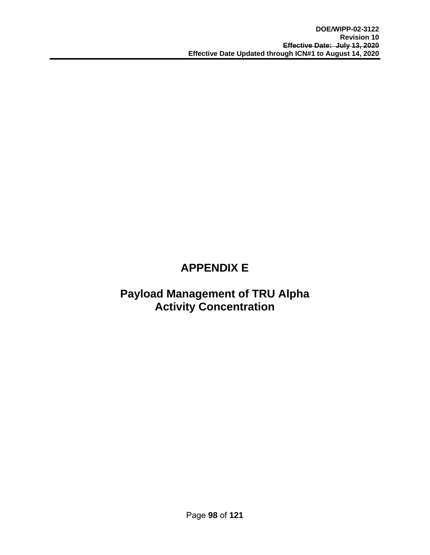# **APPENDIX E**

# **Payload Management of TRU Alpha Activity Concentration**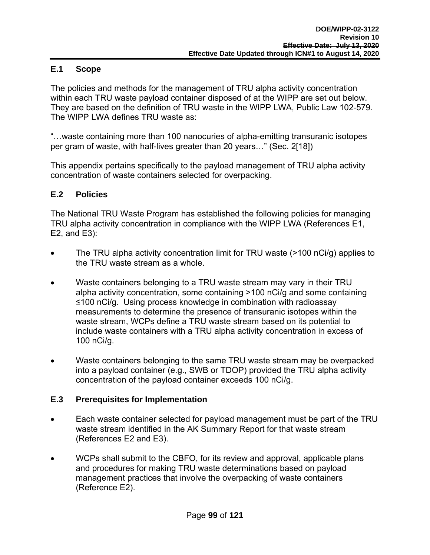### **E.1 Scope**

The policies and methods for the management of TRU alpha activity concentration within each TRU waste payload container disposed of at the WIPP are set out below. They are based on the definition of TRU waste in the WIPP LWA, Public Law 102-579. The WIPP LWA defines TRU waste as:

"…waste containing more than 100 nanocuries of alpha-emitting transuranic isotopes per gram of waste, with half-lives greater than 20 years…" (Sec. 2[18])

This appendix pertains specifically to the payload management of TRU alpha activity concentration of waste containers selected for overpacking.

### **E.2 Policies**

The National TRU Waste Program has established the following policies for managing TRU alpha activity concentration in compliance with the WIPP LWA (References E1, E2, and E3):

- The TRU alpha activity concentration limit for TRU waste (>100 nCi/g) applies to the TRU waste stream as a whole.
- Waste containers belonging to a TRU waste stream may vary in their TRU alpha activity concentration, some containing >100 nCi/g and some containing ≤100 nCi/g. Using process knowledge in combination with radioassay measurements to determine the presence of transuranic isotopes within the waste stream, WCPs define a TRU waste stream based on its potential to include waste containers with a TRU alpha activity concentration in excess of 100 nCi/g.
- Waste containers belonging to the same TRU waste stream may be overpacked into a payload container (e.g., SWB or TDOP) provided the TRU alpha activity concentration of the payload container exceeds 100 nCi/g.

# **E.3 Prerequisites for Implementation**

- Each waste container selected for payload management must be part of the TRU waste stream identified in the AK Summary Report for that waste stream (References E2 and E3).
- WCPs shall submit to the CBFO, for its review and approval, applicable plans and procedures for making TRU waste determinations based on payload management practices that involve the overpacking of waste containers (Reference E2).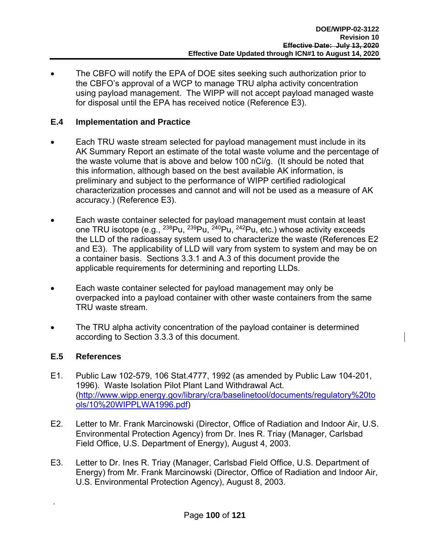The CBFO will notify the EPA of DOE sites seeking such authorization prior to the CBFO's approval of a WCP to manage TRU alpha activity concentration using payload management. The WIPP will not accept payload managed waste for disposal until the EPA has received notice (Reference E3).

#### **E.4 Implementation and Practice**

- Each TRU waste stream selected for payload management must include in its AK Summary Report an estimate of the total waste volume and the percentage of the waste volume that is above and below 100 nCi/g. (It should be noted that this information, although based on the best available AK information, is preliminary and subject to the performance of WIPP certified radiological characterization processes and cannot and will not be used as a measure of AK accuracy.) (Reference E3).
- Each waste container selected for payload management must contain at least one TRU isotope (e.g.,  $^{238}$ Pu,  $^{239}$ Pu,  $^{240}$ Pu,  $^{242}$ Pu, etc.) whose activity exceeds the LLD of the radioassay system used to characterize the waste (References E2 and E3). The applicability of LLD will vary from system to system and may be on a container basis. Sections 3.3.1 and A.3 of this document provide the applicable requirements for determining and reporting LLDs.
- Each waste container selected for payload management may only be overpacked into a payload container with other waste containers from the same TRU waste stream.
- The TRU alpha activity concentration of the payload container is determined according to Section 3.3.3 of this document.

### **E.5 References**

.

- E1. Public Law 102-579, 106 Stat.4777, 1992 (as amended by Public Law 104-201, 1996). Waste Isolation Pilot Plant Land Withdrawal Act. (http://www.wipp.energy.gov/library/cra/baselinetool/documents/regulatory%20to ols/10%20WIPPLWA1996.pdf)
- E2. Letter to Mr. Frank Marcinowski (Director, Office of Radiation and Indoor Air, U.S. Environmental Protection Agency) from Dr. Ines R. Triay (Manager, Carlsbad Field Office, U.S. Department of Energy), August 4, 2003.
- E3. Letter to Dr. Ines R. Triay (Manager, Carlsbad Field Office, U.S. Department of Energy) from Mr. Frank Marcinowski (Director, Office of Radiation and Indoor Air, U.S. Environmental Protection Agency), August 8, 2003.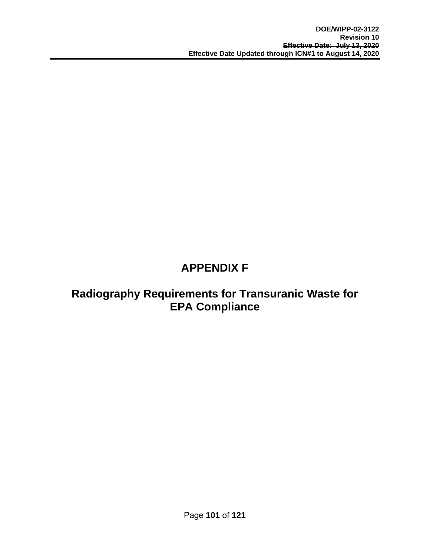# **APPENDIX F**

# **Radiography Requirements for Transuranic Waste for EPA Compliance**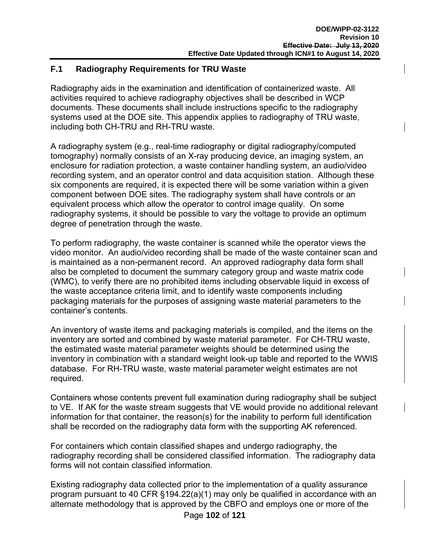### **F.1 Radiography Requirements for TRU Waste**

Radiography aids in the examination and identification of containerized waste. All activities required to achieve radiography objectives shall be described in WCP documents. These documents shall include instructions specific to the radiography systems used at the DOE site. This appendix applies to radiography of TRU waste, including both CH-TRU and RH-TRU waste.

A radiography system (e.g., real-time radiography or digital radiography/computed tomography) normally consists of an X-ray producing device, an imaging system, an enclosure for radiation protection, a waste container handling system, an audio/video recording system, and an operator control and data acquisition station. Although these six components are required, it is expected there will be some variation within a given component between DOE sites. The radiography system shall have controls or an equivalent process which allow the operator to control image quality. On some radiography systems, it should be possible to vary the voltage to provide an optimum degree of penetration through the waste.

To perform radiography, the waste container is scanned while the operator views the video monitor. An audio/video recording shall be made of the waste container scan and is maintained as a non-permanent record. An approved radiography data form shall also be completed to document the summary category group and waste matrix code (WMC), to verify there are no prohibited items including observable liquid in excess of the waste acceptance criteria limit, and to identify waste components including packaging materials for the purposes of assigning waste material parameters to the container's contents.

An inventory of waste items and packaging materials is compiled, and the items on the inventory are sorted and combined by waste material parameter. For CH-TRU waste, the estimated waste material parameter weights should be determined using the inventory in combination with a standard weight look-up table and reported to the WWIS database. For RH-TRU waste, waste material parameter weight estimates are not required.

Containers whose contents prevent full examination during radiography shall be subject to VE. If AK for the waste stream suggests that VE would provide no additional relevant information for that container, the reason(s) for the inability to perform full identification shall be recorded on the radiography data form with the supporting AK referenced.

For containers which contain classified shapes and undergo radiography, the radiography recording shall be considered classified information. The radiography data forms will not contain classified information.

Existing radiography data collected prior to the implementation of a quality assurance program pursuant to 40 CFR §194.22(a)(1) may only be qualified in accordance with an alternate methodology that is approved by the CBFO and employs one or more of the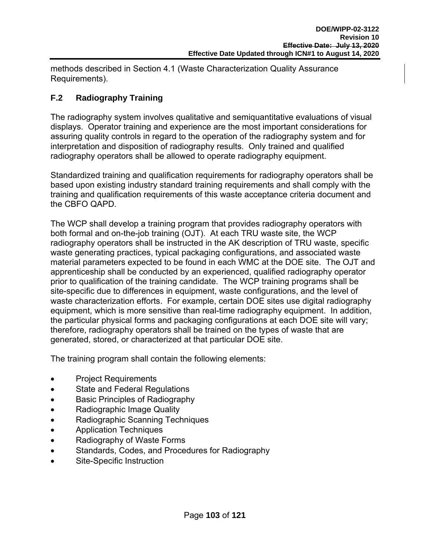methods described in Section 4.1 (Waste Characterization Quality Assurance Requirements).

# **F.2 Radiography Training**

The radiography system involves qualitative and semiquantitative evaluations of visual displays. Operator training and experience are the most important considerations for assuring quality controls in regard to the operation of the radiography system and for interpretation and disposition of radiography results. Only trained and qualified radiography operators shall be allowed to operate radiography equipment.

Standardized training and qualification requirements for radiography operators shall be based upon existing industry standard training requirements and shall comply with the training and qualification requirements of this waste acceptance criteria document and the CBFO QAPD.

The WCP shall develop a training program that provides radiography operators with both formal and on-the-job training (OJT). At each TRU waste site, the WCP radiography operators shall be instructed in the AK description of TRU waste, specific waste generating practices, typical packaging configurations, and associated waste material parameters expected to be found in each WMC at the DOE site. The OJT and apprenticeship shall be conducted by an experienced, qualified radiography operator prior to qualification of the training candidate. The WCP training programs shall be site-specific due to differences in equipment, waste configurations, and the level of waste characterization efforts. For example, certain DOE sites use digital radiography equipment, which is more sensitive than real-time radiography equipment. In addition, the particular physical forms and packaging configurations at each DOE site will vary; therefore, radiography operators shall be trained on the types of waste that are generated, stored, or characterized at that particular DOE site.

The training program shall contain the following elements:

- Project Requirements
- State and Federal Regulations
- Basic Principles of Radiography
- Radiographic Image Quality
- Radiographic Scanning Techniques
- Application Techniques
- Radiography of Waste Forms
- **•** Standards, Codes, and Procedures for Radiography
- Site-Specific Instruction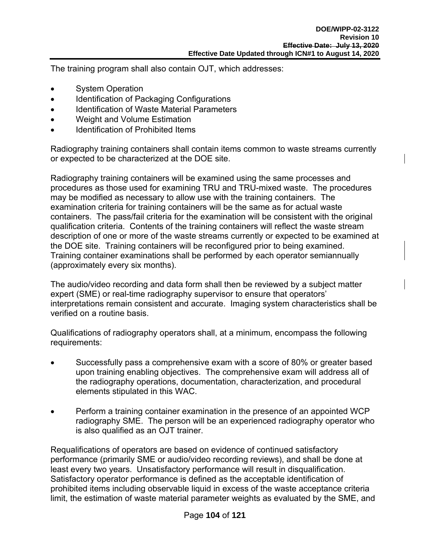The training program shall also contain OJT, which addresses:

- System Operation
- Identification of Packaging Configurations
- **Identification of Waste Material Parameters**
- Weight and Volume Estimation
- **•** Identification of Prohibited Items

Radiography training containers shall contain items common to waste streams currently or expected to be characterized at the DOE site.

Radiography training containers will be examined using the same processes and procedures as those used for examining TRU and TRU-mixed waste. The procedures may be modified as necessary to allow use with the training containers. The examination criteria for training containers will be the same as for actual waste containers. The pass/fail criteria for the examination will be consistent with the original qualification criteria. Contents of the training containers will reflect the waste stream description of one or more of the waste streams currently or expected to be examined at the DOE site. Training containers will be reconfigured prior to being examined. Training container examinations shall be performed by each operator semiannually (approximately every six months).

The audio/video recording and data form shall then be reviewed by a subject matter expert (SME) or real-time radiography supervisor to ensure that operators' interpretations remain consistent and accurate. Imaging system characteristics shall be verified on a routine basis.

Qualifications of radiography operators shall, at a minimum, encompass the following requirements:

- Successfully pass a comprehensive exam with a score of 80% or greater based upon training enabling objectives. The comprehensive exam will address all of the radiography operations, documentation, characterization, and procedural elements stipulated in this WAC.
- Perform a training container examination in the presence of an appointed WCP radiography SME. The person will be an experienced radiography operator who is also qualified as an OJT trainer.

Requalifications of operators are based on evidence of continued satisfactory performance (primarily SME or audio/video recording reviews), and shall be done at least every two years. Unsatisfactory performance will result in disqualification. Satisfactory operator performance is defined as the acceptable identification of prohibited items including observable liquid in excess of the waste acceptance criteria limit, the estimation of waste material parameter weights as evaluated by the SME, and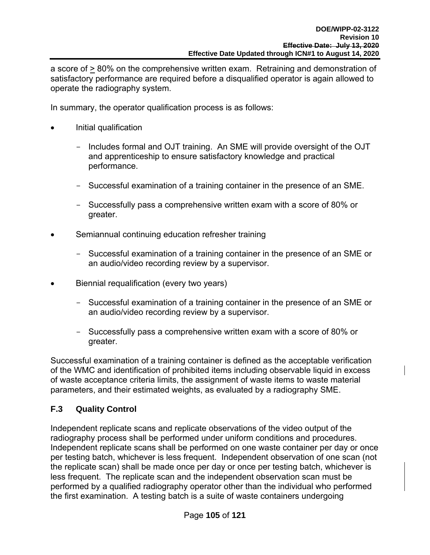a score of > 80% on the comprehensive written exam. Retraining and demonstration of satisfactory performance are required before a disqualified operator is again allowed to operate the radiography system.

In summary, the operator qualification process is as follows:

- Initial qualification
	- Includes formal and OJT training. An SME will provide oversight of the OJT and apprenticeship to ensure satisfactory knowledge and practical performance.
	- Successful examination of a training container in the presence of an SME.
	- Successfully pass a comprehensive written exam with a score of 80% or greater.
- Semiannual continuing education refresher training
	- Successful examination of a training container in the presence of an SME or an audio/video recording review by a supervisor.
- Biennial requalification (every two years)
	- Successful examination of a training container in the presence of an SME or an audio/video recording review by a supervisor.
	- Successfully pass a comprehensive written exam with a score of 80% or greater.

Successful examination of a training container is defined as the acceptable verification of the WMC and identification of prohibited items including observable liquid in excess of waste acceptance criteria limits, the assignment of waste items to waste material parameters, and their estimated weights, as evaluated by a radiography SME.

# **F.3 Quality Control**

Independent replicate scans and replicate observations of the video output of the radiography process shall be performed under uniform conditions and procedures. Independent replicate scans shall be performed on one waste container per day or once per testing batch, whichever is less frequent. Independent observation of one scan (not the replicate scan) shall be made once per day or once per testing batch, whichever is less frequent. The replicate scan and the independent observation scan must be performed by a qualified radiography operator other than the individual who performed the first examination. A testing batch is a suite of waste containers undergoing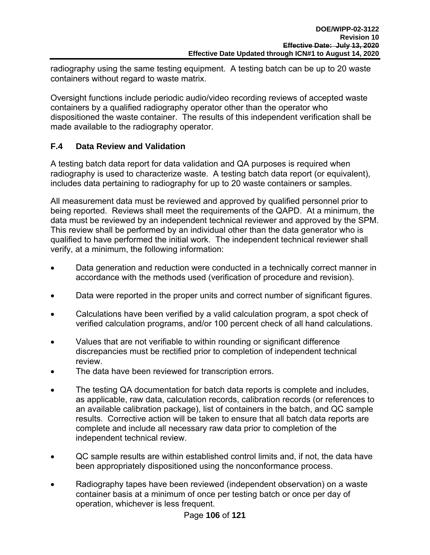radiography using the same testing equipment. A testing batch can be up to 20 waste containers without regard to waste matrix.

Oversight functions include periodic audio/video recording reviews of accepted waste containers by a qualified radiography operator other than the operator who dispositioned the waste container. The results of this independent verification shall be made available to the radiography operator.

### **F.4 Data Review and Validation**

A testing batch data report for data validation and QA purposes is required when radiography is used to characterize waste. A testing batch data report (or equivalent), includes data pertaining to radiography for up to 20 waste containers or samples.

All measurement data must be reviewed and approved by qualified personnel prior to being reported. Reviews shall meet the requirements of the QAPD. At a minimum, the data must be reviewed by an independent technical reviewer and approved by the SPM. This review shall be performed by an individual other than the data generator who is qualified to have performed the initial work. The independent technical reviewer shall verify, at a minimum, the following information:

- Data generation and reduction were conducted in a technically correct manner in accordance with the methods used (verification of procedure and revision).
- Data were reported in the proper units and correct number of significant figures.
- Calculations have been verified by a valid calculation program, a spot check of verified calculation programs, and/or 100 percent check of all hand calculations.
- Values that are not verifiable to within rounding or significant difference discrepancies must be rectified prior to completion of independent technical review.
- The data have been reviewed for transcription errors.
- The testing QA documentation for batch data reports is complete and includes, as applicable, raw data, calculation records, calibration records (or references to an available calibration package), list of containers in the batch, and QC sample results. Corrective action will be taken to ensure that all batch data reports are complete and include all necessary raw data prior to completion of the independent technical review.
- QC sample results are within established control limits and, if not, the data have been appropriately dispositioned using the nonconformance process.
- Radiography tapes have been reviewed (independent observation) on a waste container basis at a minimum of once per testing batch or once per day of operation, whichever is less frequent.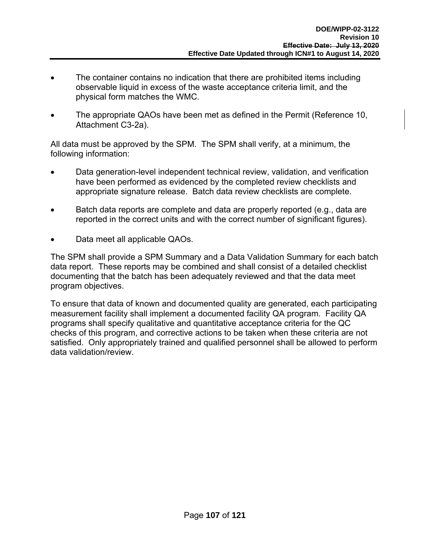- The container contains no indication that there are prohibited items including observable liquid in excess of the waste acceptance criteria limit, and the physical form matches the WMC.
- The appropriate QAOs have been met as defined in the Permit (Reference 10, Attachment C3-2a).

All data must be approved by the SPM. The SPM shall verify, at a minimum, the following information:

- Data generation-level independent technical review, validation, and verification have been performed as evidenced by the completed review checklists and appropriate signature release. Batch data review checklists are complete.
- Batch data reports are complete and data are properly reported (e.g., data are reported in the correct units and with the correct number of significant figures).
- Data meet all applicable QAOs.

The SPM shall provide a SPM Summary and a Data Validation Summary for each batch data report. These reports may be combined and shall consist of a detailed checklist documenting that the batch has been adequately reviewed and that the data meet program objectives.

To ensure that data of known and documented quality are generated, each participating measurement facility shall implement a documented facility QA program. Facility QA programs shall specify qualitative and quantitative acceptance criteria for the QC checks of this program, and corrective actions to be taken when these criteria are not satisfied. Only appropriately trained and qualified personnel shall be allowed to perform data validation/review.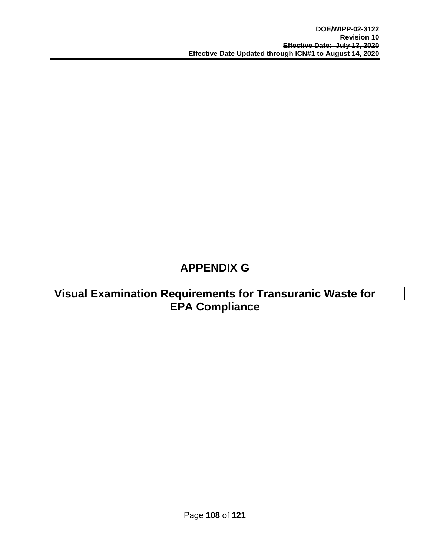# **APPENDIX G**

### **Visual Examination Requirements for Transuranic Waste for EPA Compliance**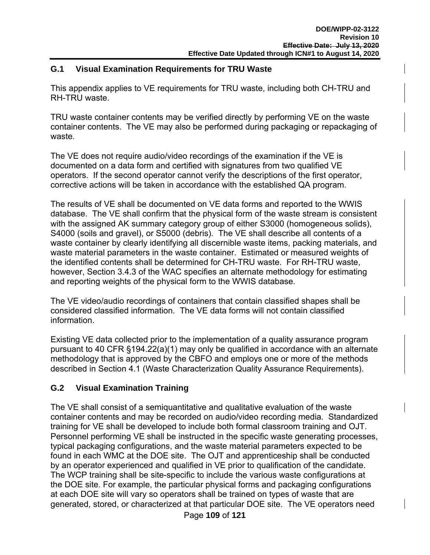#### **G.1 Visual Examination Requirements for TRU Waste**

This appendix applies to VE requirements for TRU waste, including both CH-TRU and RH-TRU waste.

TRU waste container contents may be verified directly by performing VE on the waste container contents. The VE may also be performed during packaging or repackaging of waste.

The VE does not require audio/video recordings of the examination if the VE is documented on a data form and certified with signatures from two qualified VE operators. If the second operator cannot verify the descriptions of the first operator, corrective actions will be taken in accordance with the established QA program.

The results of VE shall be documented on VE data forms and reported to the WWIS database. The VE shall confirm that the physical form of the waste stream is consistent with the assigned AK summary category group of either S3000 (homogeneous solids), S4000 (soils and gravel), or S5000 (debris). The VE shall describe all contents of a waste container by clearly identifying all discernible waste items, packing materials, and waste material parameters in the waste container. Estimated or measured weights of the identified contents shall be determined for CH-TRU waste. For RH-TRU waste, however, Section 3.4.3 of the WAC specifies an alternate methodology for estimating and reporting weights of the physical form to the WWIS database.

The VE video/audio recordings of containers that contain classified shapes shall be considered classified information. The VE data forms will not contain classified information.

Existing VE data collected prior to the implementation of a quality assurance program pursuant to 40 CFR §194.22(a)(1) may only be qualified in accordance with an alternate methodology that is approved by the CBFO and employs one or more of the methods described in Section 4.1 (Waste Characterization Quality Assurance Requirements).

#### **G.2 Visual Examination Training**

The VE shall consist of a semiquantitative and qualitative evaluation of the waste container contents and may be recorded on audio/video recording media. Standardized training for VE shall be developed to include both formal classroom training and OJT. Personnel performing VE shall be instructed in the specific waste generating processes, typical packaging configurations, and the waste material parameters expected to be found in each WMC at the DOE site. The OJT and apprenticeship shall be conducted by an operator experienced and qualified in VE prior to qualification of the candidate. The WCP training shall be site-specific to include the various waste configurations at the DOE site. For example, the particular physical forms and packaging configurations at each DOE site will vary so operators shall be trained on types of waste that are generated, stored, or characterized at that particular DOE site. The VE operators need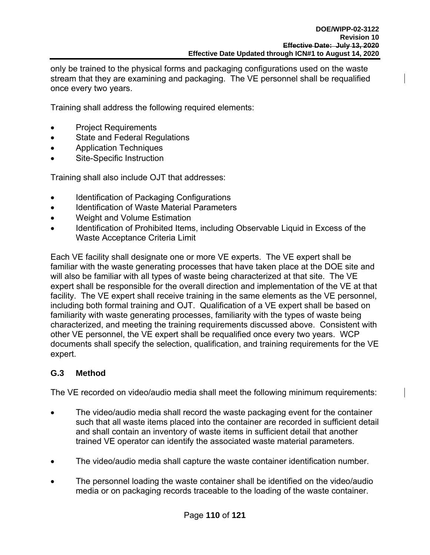only be trained to the physical forms and packaging configurations used on the waste stream that they are examining and packaging. The VE personnel shall be requalified once every two years.

Training shall address the following required elements:

- Project Requirements
- State and Federal Regulations
- Application Techniques
- Site-Specific Instruction

Training shall also include OJT that addresses:

- Identification of Packaging Configurations
- Identification of Waste Material Parameters
- Weight and Volume Estimation
- Identification of Prohibited Items, including Observable Liquid in Excess of the Waste Acceptance Criteria Limit

Each VE facility shall designate one or more VE experts. The VE expert shall be familiar with the waste generating processes that have taken place at the DOE site and will also be familiar with all types of waste being characterized at that site. The VE expert shall be responsible for the overall direction and implementation of the VE at that facility. The VE expert shall receive training in the same elements as the VE personnel, including both formal training and OJT. Qualification of a VE expert shall be based on familiarity with waste generating processes, familiarity with the types of waste being characterized, and meeting the training requirements discussed above. Consistent with other VE personnel, the VE expert shall be requalified once every two years. WCP documents shall specify the selection, qualification, and training requirements for the VE expert.

#### **G.3 Method**

The VE recorded on video/audio media shall meet the following minimum requirements:

- The video/audio media shall record the waste packaging event for the container such that all waste items placed into the container are recorded in sufficient detail and shall contain an inventory of waste items in sufficient detail that another trained VE operator can identify the associated waste material parameters.
- The video/audio media shall capture the waste container identification number.
- The personnel loading the waste container shall be identified on the video/audio media or on packaging records traceable to the loading of the waste container.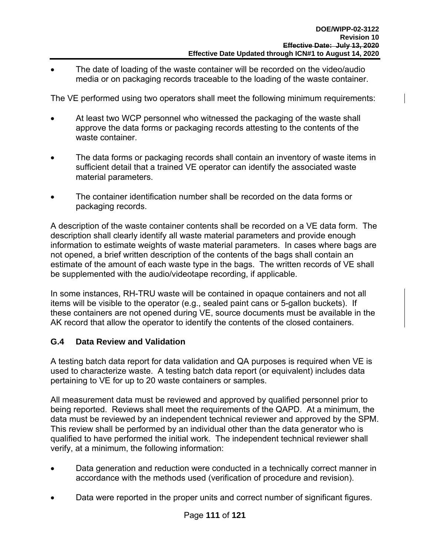The date of loading of the waste container will be recorded on the video/audio media or on packaging records traceable to the loading of the waste container.

The VE performed using two operators shall meet the following minimum requirements:

- At least two WCP personnel who witnessed the packaging of the waste shall approve the data forms or packaging records attesting to the contents of the waste container.
- The data forms or packaging records shall contain an inventory of waste items in sufficient detail that a trained VE operator can identify the associated waste material parameters.
- The container identification number shall be recorded on the data forms or packaging records.

A description of the waste container contents shall be recorded on a VE data form. The description shall clearly identify all waste material parameters and provide enough information to estimate weights of waste material parameters. In cases where bags are not opened, a brief written description of the contents of the bags shall contain an estimate of the amount of each waste type in the bags. The written records of VE shall be supplemented with the audio/videotape recording, if applicable.

In some instances, RH-TRU waste will be contained in opaque containers and not all items will be visible to the operator (e.g., sealed paint cans or 5-gallon buckets). If these containers are not opened during VE, source documents must be available in the AK record that allow the operator to identify the contents of the closed containers.

#### **G.4 Data Review and Validation**

A testing batch data report for data validation and QA purposes is required when VE is used to characterize waste. A testing batch data report (or equivalent) includes data pertaining to VE for up to 20 waste containers or samples.

All measurement data must be reviewed and approved by qualified personnel prior to being reported. Reviews shall meet the requirements of the QAPD. At a minimum, the data must be reviewed by an independent technical reviewer and approved by the SPM. This review shall be performed by an individual other than the data generator who is qualified to have performed the initial work. The independent technical reviewer shall verify, at a minimum, the following information:

- Data generation and reduction were conducted in a technically correct manner in accordance with the methods used (verification of procedure and revision).
- Data were reported in the proper units and correct number of significant figures.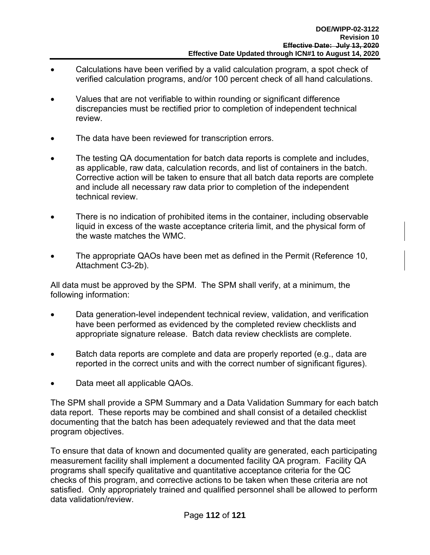- Calculations have been verified by a valid calculation program, a spot check of verified calculation programs, and/or 100 percent check of all hand calculations.
- Values that are not verifiable to within rounding or significant difference discrepancies must be rectified prior to completion of independent technical review.
- The data have been reviewed for transcription errors.
- The testing QA documentation for batch data reports is complete and includes, as applicable, raw data, calculation records, and list of containers in the batch. Corrective action will be taken to ensure that all batch data reports are complete and include all necessary raw data prior to completion of the independent technical review.
- There is no indication of prohibited items in the container, including observable liquid in excess of the waste acceptance criteria limit, and the physical form of the waste matches the WMC.
- The appropriate QAOs have been met as defined in the Permit (Reference 10, Attachment C3-2b).

All data must be approved by the SPM. The SPM shall verify, at a minimum, the following information:

- Data generation-level independent technical review, validation, and verification have been performed as evidenced by the completed review checklists and appropriate signature release. Batch data review checklists are complete.
- Batch data reports are complete and data are properly reported (e.g., data are reported in the correct units and with the correct number of significant figures).
- Data meet all applicable QAOs.

The SPM shall provide a SPM Summary and a Data Validation Summary for each batch data report. These reports may be combined and shall consist of a detailed checklist documenting that the batch has been adequately reviewed and that the data meet program objectives.

To ensure that data of known and documented quality are generated, each participating measurement facility shall implement a documented facility QA program. Facility QA programs shall specify qualitative and quantitative acceptance criteria for the QC checks of this program, and corrective actions to be taken when these criteria are not satisfied. Only appropriately trained and qualified personnel shall be allowed to perform data validation/review.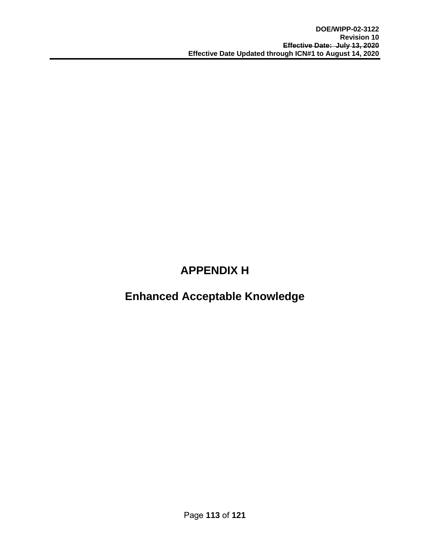## **APPENDIX H**

### **Enhanced Acceptable Knowledge**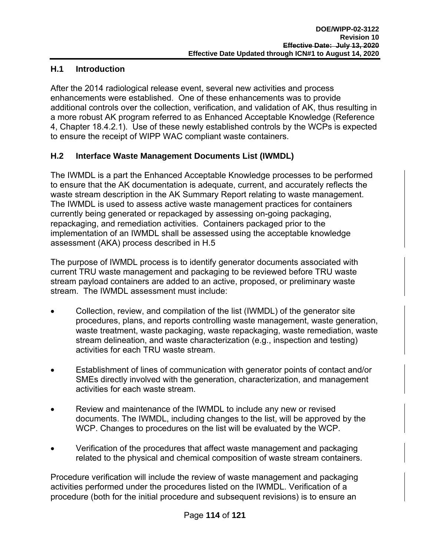#### **H.1 Introduction**

After the 2014 radiological release event, several new activities and process enhancements were established. One of these enhancements was to provide additional controls over the collection, verification, and validation of AK, thus resulting in a more robust AK program referred to as Enhanced Acceptable Knowledge (Reference 4, Chapter 18.4.2.1). Use of these newly established controls by the WCPs is expected to ensure the receipt of WIPP WAC compliant waste containers.

#### **H.2 Interface Waste Management Documents List (IWMDL)**

The IWMDL is a part the Enhanced Acceptable Knowledge processes to be performed to ensure that the AK documentation is adequate, current, and accurately reflects the waste stream description in the AK Summary Report relating to waste management. The IWMDL is used to assess active waste management practices for containers currently being generated or repackaged by assessing on-going packaging, repackaging, and remediation activities. Containers packaged prior to the implementation of an IWMDL shall be assessed using the acceptable knowledge assessment (AKA) process described in H.5

The purpose of IWMDL process is to identify generator documents associated with current TRU waste management and packaging to be reviewed before TRU waste stream payload containers are added to an active, proposed, or preliminary waste stream. The IWMDL assessment must include:

- Collection, review, and compilation of the list (IWMDL) of the generator site procedures, plans, and reports controlling waste management, waste generation, waste treatment, waste packaging, waste repackaging, waste remediation, waste stream delineation, and waste characterization (e.g., inspection and testing) activities for each TRU waste stream.
- Establishment of lines of communication with generator points of contact and/or SMEs directly involved with the generation, characterization, and management activities for each waste stream.
- Review and maintenance of the IWMDL to include any new or revised documents. The IWMDL, including changes to the list, will be approved by the WCP. Changes to procedures on the list will be evaluated by the WCP.
- Verification of the procedures that affect waste management and packaging related to the physical and chemical composition of waste stream containers.

Procedure verification will include the review of waste management and packaging activities performed under the procedures listed on the IWMDL. Verification of a procedure (both for the initial procedure and subsequent revisions) is to ensure an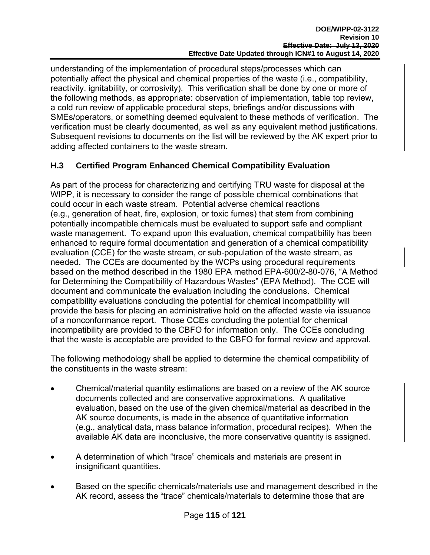understanding of the implementation of procedural steps/processes which can potentially affect the physical and chemical properties of the waste (i.e., compatibility, reactivity, ignitability, or corrosivity). This verification shall be done by one or more of the following methods, as appropriate: observation of implementation, table top review, a cold run review of applicable procedural steps, briefings and/or discussions with SMEs/operators, or something deemed equivalent to these methods of verification. The verification must be clearly documented, as well as any equivalent method justifications. Subsequent revisions to documents on the list will be reviewed by the AK expert prior to adding affected containers to the waste stream.

#### **H.3 Certified Program Enhanced Chemical Compatibility Evaluation**

As part of the process for characterizing and certifying TRU waste for disposal at the WIPP, it is necessary to consider the range of possible chemical combinations that could occur in each waste stream. Potential adverse chemical reactions (e.g., generation of heat, fire, explosion, or toxic fumes) that stem from combining potentially incompatible chemicals must be evaluated to support safe and compliant waste management. To expand upon this evaluation, chemical compatibility has been enhanced to require formal documentation and generation of a chemical compatibility evaluation (CCE) for the waste stream, or sub-population of the waste stream, as needed. The CCEs are documented by the WCPs using procedural requirements based on the method described in the 1980 EPA method EPA-600/2-80-076, "A Method for Determining the Compatibility of Hazardous Wastes" (EPA Method). The CCE will document and communicate the evaluation including the conclusions. Chemical compatibility evaluations concluding the potential for chemical incompatibility will provide the basis for placing an administrative hold on the affected waste via issuance of a nonconformance report. Those CCEs concluding the potential for chemical incompatibility are provided to the CBFO for information only. The CCEs concluding that the waste is acceptable are provided to the CBFO for formal review and approval.

The following methodology shall be applied to determine the chemical compatibility of the constituents in the waste stream:

- Chemical/material quantity estimations are based on a review of the AK source documents collected and are conservative approximations. A qualitative evaluation, based on the use of the given chemical/material as described in the AK source documents, is made in the absence of quantitative information (e.g., analytical data, mass balance information, procedural recipes). When the available AK data are inconclusive, the more conservative quantity is assigned.
- A determination of which "trace" chemicals and materials are present in insignificant quantities.
- Based on the specific chemicals/materials use and management described in the AK record, assess the "trace" chemicals/materials to determine those that are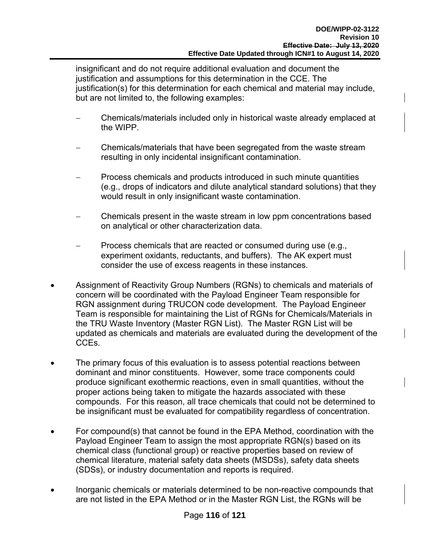insignificant and do not require additional evaluation and document the justification and assumptions for this determination in the CCE. The justification(s) for this determination for each chemical and material may include, but are not limited to, the following examples:

- Chemicals/materials included only in historical waste already emplaced at the WIPP.
- Chemicals/materials that have been segregated from the waste stream resulting in only incidental insignificant contamination.
- Process chemicals and products introduced in such minute quantities (e.g., drops of indicators and dilute analytical standard solutions) that they would result in only insignificant waste contamination.
- Chemicals present in the waste stream in low ppm concentrations based on analytical or other characterization data.
- Process chemicals that are reacted or consumed during use (e.g., experiment oxidants, reductants, and buffers). The AK expert must consider the use of excess reagents in these instances.
- Assignment of Reactivity Group Numbers (RGNs) to chemicals and materials of concern will be coordinated with the Payload Engineer Team responsible for RGN assignment during TRUCON code development. The Payload Engineer Team is responsible for maintaining the List of RGNs for Chemicals/Materials in the TRU Waste Inventory (Master RGN List). The Master RGN List will be updated as chemicals and materials are evaluated during the development of the CCEs.
- The primary focus of this evaluation is to assess potential reactions between dominant and minor constituents. However, some trace components could produce significant exothermic reactions, even in small quantities, without the proper actions being taken to mitigate the hazards associated with these compounds. For this reason, all trace chemicals that could not be determined to be insignificant must be evaluated for compatibility regardless of concentration.
- For compound(s) that cannot be found in the EPA Method, coordination with the Payload Engineer Team to assign the most appropriate RGN(s) based on its chemical class (functional group) or reactive properties based on review of chemical literature, material safety data sheets (MSDSs), safety data sheets (SDSs), or industry documentation and reports is required.
- Inorganic chemicals or materials determined to be non-reactive compounds that are not listed in the EPA Method or in the Master RGN List, the RGNs will be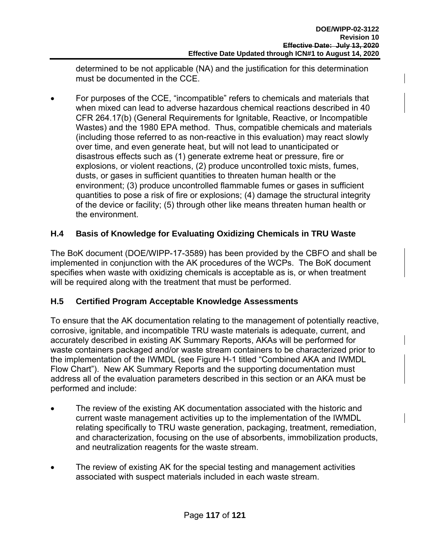determined to be not applicable (NA) and the justification for this determination must be documented in the CCE.

 For purposes of the CCE, "incompatible" refers to chemicals and materials that when mixed can lead to adverse hazardous chemical reactions described in 40 CFR 264.17(b) (General Requirements for Ignitable, Reactive, or Incompatible Wastes) and the 1980 EPA method. Thus, compatible chemicals and materials (including those referred to as non-reactive in this evaluation) may react slowly over time, and even generate heat, but will not lead to unanticipated or disastrous effects such as (1) generate extreme heat or pressure, fire or explosions, or violent reactions, (2) produce uncontrolled toxic mists, fumes, dusts, or gases in sufficient quantities to threaten human health or the environment; (3) produce uncontrolled flammable fumes or gases in sufficient quantities to pose a risk of fire or explosions; (4) damage the structural integrity of the device or facility; (5) through other like means threaten human health or the environment.

#### **H.4 Basis of Knowledge for Evaluating Oxidizing Chemicals in TRU Waste**

The BoK document (DOE/WIPP-17-3589) has been provided by the CBFO and shall be implemented in conjunction with the AK procedures of the WCPs. The BoK document specifies when waste with oxidizing chemicals is acceptable as is, or when treatment will be required along with the treatment that must be performed.

#### **H.5 Certified Program Acceptable Knowledge Assessments**

To ensure that the AK documentation relating to the management of potentially reactive, corrosive, ignitable, and incompatible TRU waste materials is adequate, current, and accurately described in existing AK Summary Reports, AKAs will be performed for waste containers packaged and/or waste stream containers to be characterized prior to the implementation of the IWMDL (see Figure H-1 titled "Combined AKA and IWMDL Flow Chart"). New AK Summary Reports and the supporting documentation must address all of the evaluation parameters described in this section or an AKA must be performed and include:

- The review of the existing AK documentation associated with the historic and current waste management activities up to the implementation of the IWMDL relating specifically to TRU waste generation, packaging, treatment, remediation, and characterization, focusing on the use of absorbents, immobilization products, and neutralization reagents for the waste stream.
- The review of existing AK for the special testing and management activities associated with suspect materials included in each waste stream.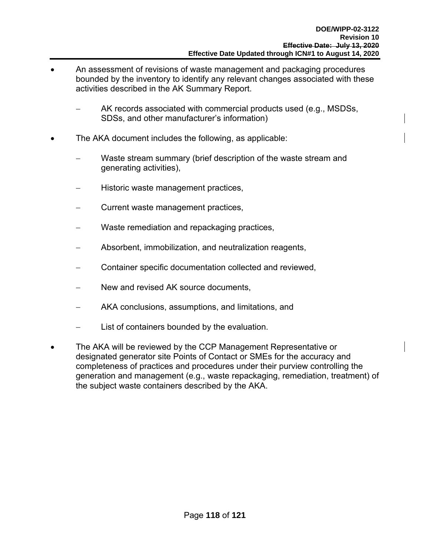- An assessment of revisions of waste management and packaging procedures bounded by the inventory to identify any relevant changes associated with these activities described in the AK Summary Report.
	- AK records associated with commercial products used (e.g., MSDSs, SDSs, and other manufacturer's information)
- The AKA document includes the following, as applicable:
	- Waste stream summary (brief description of the waste stream and generating activities),
	- Historic waste management practices,
	- Current waste management practices,
	- Waste remediation and repackaging practices,
	- Absorbent, immobilization, and neutralization reagents,
	- Container specific documentation collected and reviewed,
	- New and revised AK source documents,
	- AKA conclusions, assumptions, and limitations, and
	- List of containers bounded by the evaluation.
- The AKA will be reviewed by the CCP Management Representative or designated generator site Points of Contact or SMEs for the accuracy and completeness of practices and procedures under their purview controlling the generation and management (e.g., waste repackaging, remediation, treatment) of the subject waste containers described by the AKA.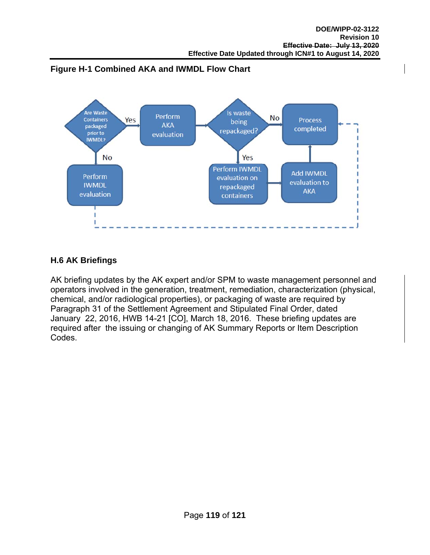



#### **H.6 AK Briefings**

AK briefing updates by the AK expert and/or SPM to waste management personnel and operators involved in the generation, treatment, remediation, characterization (physical, chemical, and/or radiological properties), or packaging of waste are required by Paragraph 31 of the Settlement Agreement and Stipulated Final Order, dated January 22, 2016, HWB 14-21 [CO], March 18, 2016. These briefing updates are required after the issuing or changing of AK Summary Reports or Item Description Codes.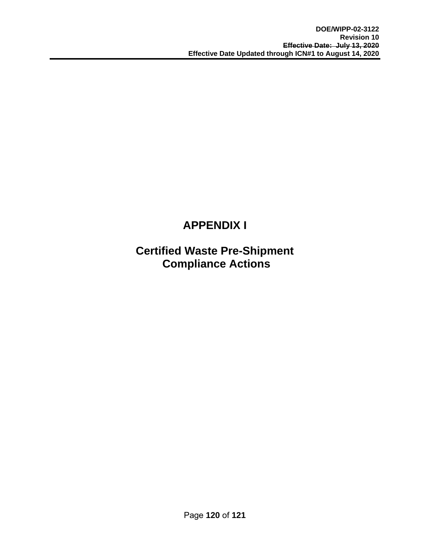# **APPENDIX I**

### **Certified Waste Pre-Shipment Compliance Actions**